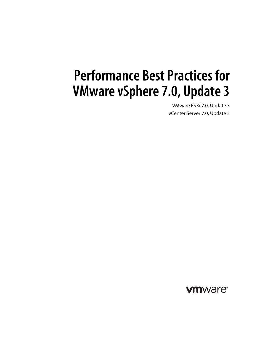## **Performance Best Practices for VMware vSphere 7.0, Update 3**

VMware ESXi 7.0, Update 3 vCenter Server 7.0, Update 3

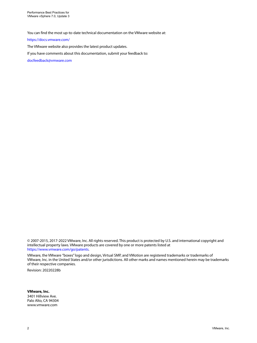You can find the most up-to-date technical documentation on the VMware website at:

[https://docs.vmware.com/](http://www.vmware.com/support)

The VMware website also provides the latest product updates.

If you have comments about this documentation, submit your feedback to:

[docfeedback@vmware.com](mailto:docfeedback@vmware.com)

© 2007-2015, 2017-2022 VMware, Inc. All rights reserved. This product is protected by U.[S. and international copyright and](http://www.vmware.com/go/patents)  intellectual property laws. VMware products are covered by one or more patents listed at [https://www.vmware.com/go/patents.](https://www.vmware.com/download/patents.html)

VMware, the VMware "boxes" logo and design, Virtual SMP, and VMotion are registered trademarks or trademarks of VMware, Inc. in the United States and/or other jurisdictions. All other marks and names mentioned herein may be trademarks of their respective companies.

Revision: 20220228b

**VMware, Inc.**

3401 Hillview Ave. Palo Alto, CA 94304 www.vmware.com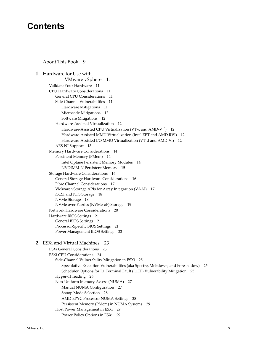## **Contents**

[About This Book 9](#page-8-0)

| 1 | Hardware for Use with                                                            |  |
|---|----------------------------------------------------------------------------------|--|
|   | VMware vSphere<br>11                                                             |  |
|   | Validate Your Hardware 11                                                        |  |
|   | <b>CPU Hardware Considerations</b><br>- 11                                       |  |
|   | General CPU Considerations 11                                                    |  |
|   | Side-Channel Vulnerabilities 11                                                  |  |
|   | Hardware Mitigations 11                                                          |  |
|   | Microcode Mitigations 12                                                         |  |
|   | Software Mitigations 12                                                          |  |
|   | Hardware-Assisted Virtualization 12                                              |  |
|   | Hardware-Assisted CPU Virtualization (VT-x and AMD-V <sup>TM</sup> ) 12          |  |
|   | Hardware-Assisted MMU Virtualization (Intel EPT and AMD RVI)<br>12               |  |
|   | Hardware-Assisted I/O MMU Virtualization (VT-d and AMD-Vi) 12                    |  |
|   | AES-NI Support 13                                                                |  |
|   | Memory Hardware Considerations 14                                                |  |
|   | Persistent Memory (PMem) 14                                                      |  |
|   | Intel Optane Persistent Memory Modules 14                                        |  |
|   | NVDIMM-N Persistent Memory 15                                                    |  |
|   | Storage Hardware Considerations 16                                               |  |
|   | General Storage Hardware Considerations 16                                       |  |
|   | Fibre Channel Considerations 17                                                  |  |
|   | VMware vStorage APIs for Array Integration (VAAI) 17                             |  |
|   | iSCSI and NFS Storage 18                                                         |  |
|   | NVMe Storage 18                                                                  |  |
|   | NVMe over Fabrics (NVMe-oF) Storage<br>- 19                                      |  |
|   | Network Hardware Considerations 20                                               |  |
|   | Hardware BIOS Settings 21                                                        |  |
|   | General BIOS Settings 21<br>Processor-Specific BIOS Settings 21                  |  |
|   | Power Management BIOS Settings 22                                                |  |
|   |                                                                                  |  |
| 2 | <b>ESXi and Virtual Machines</b><br>- 23                                         |  |
|   | ESXi General Considerations 23                                                   |  |
|   | ESXi CPU Considerations 24                                                       |  |
|   | Side-Channel Vulnerability Mitigation in ESXi 25                                 |  |
|   | Speculative Execution Vulnerabilities (aka Spectre, Meltdown, and Foreshadow) 25 |  |
|   | Scheduler Options for L1 Terminal Fault (L1TF) Vulnerability Mitigation 25       |  |
|   | Hyper-Threading 26                                                               |  |
|   | Non-Uniform Memory Access (NUMA) 27                                              |  |
|   | Manual NUMA Configuration 27                                                     |  |
|   | Snoop Mode Selection 28                                                          |  |
|   | AMD EPYC Processor NUMA Settings 28                                              |  |
|   | Persistent Memory (PMem) in NUMA Systems 29                                      |  |
|   | Host Power Management in ESXi<br>29                                              |  |
|   | Power Policy Options in ESXi<br>29                                               |  |
|   |                                                                                  |  |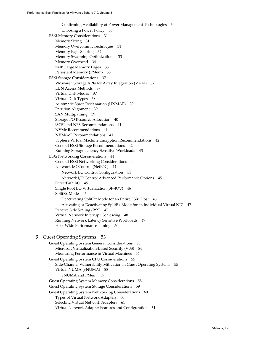[Confirming Availability of Power Management Technologies 30](#page-29-0) [Choosing a Power Policy 30](#page-29-1) [ESXi Memory Considerations 31](#page-30-0) [Memory Sizing 31](#page-30-1) [Memory Overcommit Techniques 31](#page-30-2) [Memory Page Sharing 32](#page-31-0) [Memory Swapping Optimizations 33](#page-32-0) [Memory Overhead 34](#page-33-0) [2MB Large Memory Pages 35](#page-34-0) [Persistent Memory \(PMem\) 36](#page-35-0) [ESXi Storage Considerations 37](#page-36-0) [VMware vStorage APIs for Array Integration \(VAAI\) 37](#page-36-1) [LUN Access Methods 37](#page-36-2) [Virtual Disk Modes 37](#page-36-3) [Virtual Disk Types 38](#page-37-0) [Automatic Space Reclamation \(UNMAP\) 39](#page-38-0) [Partition Alignment 39](#page-38-1) [SAN Multipathing 39](#page-38-2) [Storage I/O Resource Allocation 40](#page-39-0) [iSCSI and NFS Recommendations 41](#page-40-0) [NVMe Recommendations 41](#page-40-1) [NVMe-oF Recommendations 41](#page-40-2) [vSphere Virtual Machine Encryption Recommendations 42](#page-41-0) [General ESXi Storage Recommendations 42](#page-41-1) [Running Storage Latency Sensitive Workloads 43](#page-42-0) [ESXi Networking Considerations 44](#page-43-0) [General ESXi Networking Considerations 44](#page-43-1) [Network I/O Control \(NetIOC\) 44](#page-43-2) [Network I/O Control Configuration 44](#page-43-3) [Network I/O Control Advanced Performance Options 45](#page-44-0) [DirectPath I/O 45](#page-44-1) [Single Root I/O Virtualization \(SR-IOV\) 46](#page-45-0) [SplitRx Mode 46](#page-45-1) [Deactivating SplitRx Mode for an Entire ESXi Host 46](#page-45-2) [Activating or Deactivating SplitRx Mode for an Individual Virtual NIC 47](#page-46-0) [Receive Side Scaling \(RSS\) 47](#page-46-1) [Virtual Network Interrupt Coalescing 48](#page-47-0) [Running Network Latency Sensitive Workloads 49](#page-48-0) [Host-Wide Performance Tuning 50](#page-49-0)

#### **[3](#page-52-0)** [Guest Operating Systems 53](#page-52-1)

[Guest Operating System General Considerations 53](#page-52-2) [Microsoft Virtualization-Based Security \(VBS\) 54](#page-53-0) [Measuring Performance in Virtual Machines 54](#page-53-1) [Guest Operating System CPU Considerations 55](#page-54-0) [Side-Channel Vulnerability Mitigation in Guest Operating Systems 55](#page-54-1) [Virtual NUMA \(vNUMA\) 55](#page-54-2) [vNUMA and PMem 57](#page-56-0) [Guest Operating System Memory Considerations 58](#page-57-0) [Guest Operating System Storage Considerations 59](#page-58-0) [Guest Operating System Networking Considerations 60](#page-59-0) [Types of Virtual Network Adapters 60](#page-59-1) [Selecting Virtual Network Adapters 61](#page-60-0) [Virtual Network Adapter Features and Configuration 61](#page-60-1)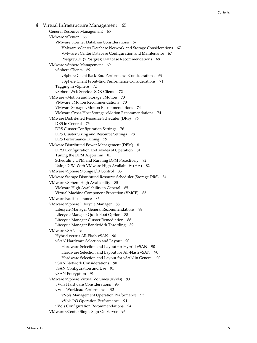#### **[4](#page-64-0)** [Virtual Infrastructure Management 65](#page-64-1)

[General Resource Management 65](#page-64-2) [VMware vCenter 66](#page-65-0) [VMware vCenter Database Considerations 67](#page-66-0) [VMware vCenter Database Network and Storage Considerations 67](#page-66-1) [VMware vCenter Database Configuration and Maintenance 67](#page-66-2) [PostgreSQL \(vPostgres\) Database Recommendations 68](#page-67-0) [VMware vSphere Management 69](#page-68-0) [vSphere Clients 69](#page-68-1) [vSphere Client Back-End Performance Considerations 69](#page-68-2) [vSphere Client Front-End Performance Considerations 71](#page-70-0) [Tagging in vSphere 72](#page-71-0) [vSphere Web Services SDK Clients 72](#page-71-1) [VMware vMotion and Storage vMotion 73](#page-72-0) [VMware vMotion Recommendations 73](#page-72-1) [VMware Storage vMotion Recommendations 74](#page-73-0) [VMware Cross-Host Storage vMotion Recommendations 74](#page-73-1) [VMware Distributed Resource Scheduler \(DRS\) 76](#page-75-0) [DRS in General 76](#page-75-1) [DRS Cluster Configuration Settings 76](#page-75-2) [DRS Cluster Sizing and Resource Settings 78](#page-77-0) [DRS Performance Tuning 79](#page-78-0) [VMware Distributed Power Management \(DPM\) 81](#page-80-0) [DPM Configuration and Modes of Operation 81](#page-80-1) [Tuning the DPM Algorithm 81](#page-80-2) [Scheduling DPM and Running DPM Proactively 82](#page-81-0) [Using DPM With VMware High Availability \(HA\) 82](#page-81-1) [VMware vSphere Storage I/O Control 83](#page-82-0) [VMware Storage Distributed Resource Scheduler \(Storage DRS\) 84](#page-83-0) [VMware vSphere High Availability 85](#page-84-0) [VMware High Availability in General 85](#page-84-1) [Virtual Machine Component Protection \(VMCP\) 85](#page-84-2) [VMware Fault Tolerance 86](#page-85-0) [VMware vSphere Lifecycle Manager 88](#page-87-0) [Lifecycle Manager General Recommendations 88](#page-87-1) [Lifecycle Manager Quick Boot Option 88](#page-87-2) [Lifecycle Manager Cluster Remediation 88](#page-87-3) [Lifecycle Manager Bandwidth Throttling 89](#page-88-0) [VMware vSAN 90](#page-89-0) [Hybrid versus All-Flash vSAN 90](#page-89-1) [vSAN Hardware Selection and Layout 90](#page-89-2) [Hardware Selection and Layout for Hybrid vSAN 90](#page-89-3) [Hardware Selection and Layout for All-Flash vSAN 90](#page-89-4) [Hardware Selection and Layout for vSAN in General 90](#page-89-5) [vSAN Network Considerations 90](#page-89-6) [vSAN Configuration and Use 91](#page-90-0) [vSAN Encryption 91](#page-90-1) [VMware vSphere Virtual Volumes \(vVols\) 93](#page-92-0) [vVols Hardware Considerations 93](#page-92-1) [vVols Workload Performance 93](#page-92-2) [vVols Management Operation Performance 93](#page-92-3) [vVols I/O Operation Performance 94](#page-93-0) [vVols Configuration Recommendations 94](#page-93-1) [VMware vCenter Single Sign-On Server 96](#page-95-0)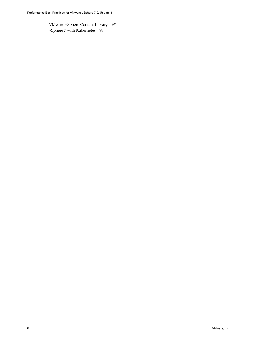[VMware vSphere Content Library 97](#page-96-0) [vSphere 7 with Kubernetes 98](#page-97-0)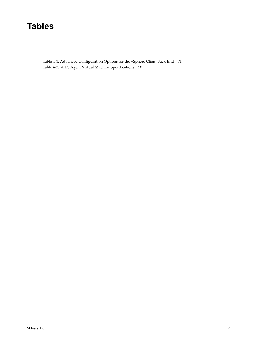## **Tables**

[Table 4-1. Advanced Configuration Options for the vSphere Client Back-End 71](#page-70-1) [Table 4-2. vCLS Agent Virtual Machine Specifications 78](#page-77-1)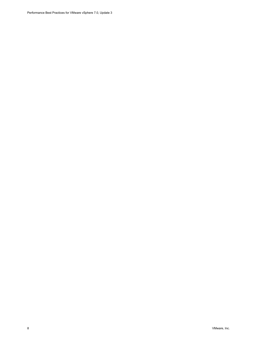Performance Best Practices for VMware vSphere 7.0, Update 3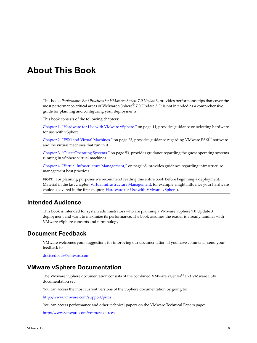## <span id="page-8-0"></span>**About This Book**

This book, *Performance Best Practices for VMware vSphere 7.0 Update 3*, provides performance tips that cover the most performance-critical areas of VMware vSphere® 7.0 Update 3. It is not intended as a comprehensive guide for planning and configuring your deployments.

This book consists of the following chapters:

[Chapter 1, "Hardware for Use with VMware vSphere," on page 11](#page-10-7), provides guidance on selecting hardware for use with vSphere.

[Chapter 2, "ESXi and Virtual Machines," on page 23,](#page-22-3) provides guidance regarding VMware ESXi™ software and the virtual machines that run in it.

[Chapter 3, "Guest Operating Systems," on page 53](#page-52-3), provides guidance regarding the guest operating systems running in vSphere virtual machines.

[Chapter 4, "Virtual Infrastructure Management," on page 65,](#page-64-3) provides guidance regarding infrastructure management best practices.

**NOTE** For planning purposes we recommend reading this entire book before beginning a deployment. Material in the last chapter, [Virtual Infrastructure Management](#page-64-3), for example, might influence your hardware choices (covered in the first chapter, [Hardware for Use with VMware vSphere](#page-10-7)).

## **Intended Audience**

This book is intended for system administrators who are planning a VMware vSphere 7.0 Update 3 deployment and want to maximize its performance. The book assumes the reader is already familiar with VMware vSphere concepts and terminology.

## **Document Feedback**

VMware welcomes your suggestions for improving our documentation. If you have comments, send your feedback to:

[docfeedback@vmware.com](mailto:docfeedback@vmware.com)

## **VMware vSphere Documentation**

The VMware vSphere documentation consists of the combined VMware vCenter® and VMware ESXi documentation set.

You can access the most current versions of the vSphere documentation by going to:

<http://www.vmware.com/support/pubs>

You can access performance and other technical papers on the VMware Technical Papers page:

http://www.vmware.com/vmtn/resources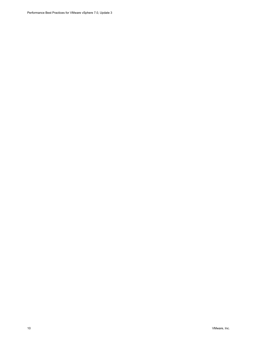Performance Best Practices for VMware vSphere 7.0, Update 3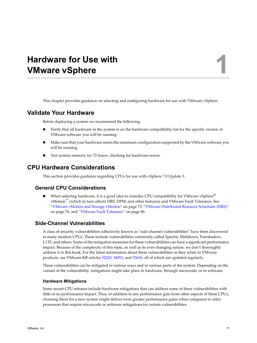# <span id="page-10-7"></span><span id="page-10-1"></span><span id="page-10-0"></span>**Hardware for Use with VMware vSphere 1**

This chapter provides guidance on selecting and configuring hardware for use with VMware vSphere.

## <span id="page-10-2"></span>**Validate Your Hardware**

Before deploying a system we recommend the following:

- Verify that all hardware in the system is on the hardware compatibility list for the specific version of VMware software you will be running.
- Make sure that your hardware meets the minimum configuration supported by the VMware software you will be running.
- Test system memory for 72 hours, checking for hardware errors.

## <span id="page-10-3"></span>**CPU Hardware Considerations**

This section provides guidance regarding CPUs for use with vSphere 7.0 Update 3.

## <span id="page-10-4"></span>**General CPU Considerations**

When selecting hardware, it is a good idea to consider CPU compatibility for VMware vSphere<sup>®</sup> vMotion™ (which in turn affects DRS, DPM, and other features) and VMware Fault Tolerance. See ["VMware vMotion and Storage vMotion" on page 73](#page-72-2), ["VMware Distributed Resource Scheduler \(DRS\)"](#page-75-3) [on page 76,](#page-75-3) and ["VMware Fault Tolerance" on page 86](#page-85-1).

## <span id="page-10-8"></span><span id="page-10-5"></span>**Side-Channel Vulnerabilities**

A class of security vulnerabilities collectively known as "side-channel vulnerabilities" have been discovered in many modern CPUs. These include vulnerabilities commonly called Spectre, Meltdown, Foreshadow, L1TF, and others. Some of the mitigation measures for these vulnerabilities can have a significant performance impact. Because of the complexity of this topic, as well as its ever-changing nature, we don't thoroughly address it in this book. For the latest information about these vulnerabilities as they relate to VMware products, see VMware KB articles [52245,](https://kb.vmware.com/s/article/52245) [54951,](https://kb.vmware.com/s/article/54951) and [55636](https://kb.vmware.com/s/article/55636), all of which are updated regularly.

These vulnerabilities can be mitigated in various ways and in various parts of the system. Depending on the variant of the vulnerability, mitigations might take place in hardware, through microcode, or in software.

## <span id="page-10-6"></span>**Hardware Mitigations**

Some recent CPU releases include hardware mitigations that can address some of these vulnerabilities with little or no performance impact. Thus, in addition to any performance gain from other aspects of these CPUs, choosing them for a new system might deliver even greater performance gains when compared to older processors that require microcode or software mitigations for certain vulnerabilities.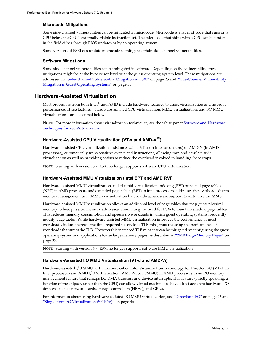## <span id="page-11-0"></span>**Microcode Mitigations**

Some side-channel vulnerabilities can be mitigated in microcode. Microcode is a layer of code that runs on a CPU below the CPU's externally-visible instruction set. The microcode that ships with a CPU can be updated in the field either through BIOS updates or by an operating system.

Some versions of ESXi can update microcode to mitigate certain side-channel vulnerabilities.

#### <span id="page-11-1"></span>**Software Mitigations**

Some side-channel vulnerabilities can be mitigated in software. Depending on the vulnerability, these mitigations might be at the hypervisor level or at the guest operating system level. These mitigations are addressed in ["Side-Channel Vulnerability Mitigation in ESXi" on page 25](#page-24-3) and ["Side-Channel Vulnerability](#page-54-3)  [Mitigation in Guest Operating Systems" on page 55.](#page-54-3)

## <span id="page-11-2"></span>**Hardware-Assisted Virtualization**

Most processors from both Intel $^{\circledR}$  and AMD include hardware features to assist virtualization and improve performance. These features—hardware-assisted CPU virtualization, MMU virtualization, and I/O MMU virtualization—are described below.

**NOTE** For more information about virtualization techniques, see the white paper [Software and Hardware](https://www.vmware.com/techpapers/2009/software-and-hardware-techniques-for-x86-virtualiz-10036.html)  [Techniques for x86 Virtualization.](https://www.vmware.com/techpapers/2009/software-and-hardware-techniques-for-x86-virtualiz-10036.html)

## <span id="page-11-3"></span>**Hardware-Assisted CPU Virtualization (VT-x and AMD-V™)**

Hardware-assisted CPU virtualization assistance, called VT-x (in Intel processors) or AMD-V (in AMD processors), automatically traps sensitive events and instructions, allowing trap-and-emulate style virtualization as well as providing assists to reduce the overhead involved in handling these traps.

**NOTE** Starting with version 6.7, ESXi no longer supports software CPU virtualization.

#### <span id="page-11-4"></span>**Hardware-Assisted MMU Virtualization (Intel EPT and AMD RVI)**

Hardware-assisted MMU virtualization, called rapid virtualization indexing (RVI) or nested page tables (NPT) in AMD processors and extended page tables (EPT) in Intel processors, addresses the overheads due to memory management unit (MMU) virtualization by providing hardware support to virtualize the MMU.

Hardware-assisted MMU virtualization allows an additional level of page tables that map guest physical memory to host physical memory addresses, eliminating the need for ESXi to maintain shadow page tables. This reduces memory consumption and speeds up workloads in which guest operating systems frequently modify page tables. While hardware-assisted MMU virtualization improves the performance of most workloads, it does increase the time required to service a TLB miss, thus reducing the performance of workloads that stress the TLB. However this increased TLB miss cost can be mitigated by configuring the guest operating system and applications to use large memory pages, as described in "2MB Large Memory Pages" on [page 35](#page-34-1).

**NOTE** Starting with version 6.7, ESXi no longer supports software MMU virtualization.

## <span id="page-11-5"></span>**Hardware-Assisted I/O MMU Virtualization (VT-d and AMD-Vi)**

Hardware-assisted I/O MMU virtualization, called Intel Virtualization Technology for Directed I/O (VT-d) in Intel processors and AMD I/O Virtualization (AMD-Vi or IOMMU) in AMD processors, is an I/O memory management feature that remaps I/O DMA transfers and device interrupts. This feature (strictly speaking, a function of the chipset, rather than the CPU) can allow virtual machines to have direct access to hardware I/O devices, such as network cards, storage controllers (HBAs), and GPUs.

For information about using hardware-assisted I/O MMU virtualization, see ["DirectPath I/O" on page 45](#page-44-2) and ["Single Root I/O Virtualization \(SR-IOV\)" on page 46.](#page-45-3)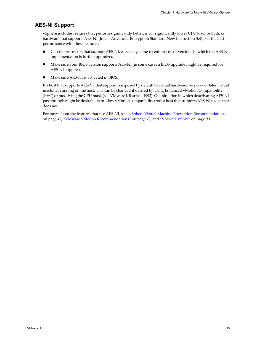## <span id="page-12-0"></span>**AES-NI Support**

vSphere includes features that perform significantly better, incur significantly lower CPU load, or both, on hardware that supports AES-NI (Intel's Advanced Encryption Standard New Instruction Set). For the best performance with these features:

- Choose processors that support AES-NI, especially some recent processor versions in which the AES-NI implementation is further optimized.
- Make sure your BIOS version supports AES-NI (in some cases a BIOS upgrade might be required for AES-NI support).
- Make sure AES-NI is activated in BIOS.

If a host that supports AES-NI, that support is exposed by default to virtual hardware version 7 or later virtual machines running on the host. This can be changed if desired by using Enhanced vMotion Compatibility (EVC) or modifying the CPU mask (see VMware KB article 1993). One situation in which deactivating AES-NI passthrough might be desirable is to allow vMotion compatibility from a host that supports AES-NI to one that does not.

For more about the features that use AES-NI, see ["vSphere Virtual Machine Encryption Recommendations"](#page-41-2) [on page 42,](#page-41-2) ["VMware vMotion Recommendations" on page 73,](#page-72-3) and ["VMware vSAN" on page 90.](#page-89-7)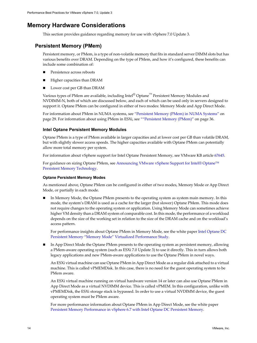## <span id="page-13-0"></span>**Memory Hardware Considerations**

This section provides guidance regarding memory for use with vSphere 7.0 Update 3.

## <span id="page-13-3"></span><span id="page-13-1"></span>**Persistent Memory (PMem)**

Persistent memory, or PMem, is a type of non-volatile memory that fits in standard server DIMM slots but has various benefits over DRAM. Depending on the type of PMem, and how it's configured, these benefits can include some combination of:

- Persistence across reboots
- Higher capacities than DRAM
- Lower cost per GB than DRAM

Various types of PMem are available, including Intel® Optane™ Persistent Memory Modules and NVDIMM-N, both of which are discussed below, and each of which can be used only in servers designed to support it. Optane PMem can be configured in either of two modes: Memory Mode and App Direct Mode.

For information about PMem in NUMA systems, see ["Persistent Memory \(PMem\) in NUMA Systems" on](#page-28-3)  [page 29](#page-28-3). For information about using PMem in ESXi, see "["Persistent Memory \(PMem\)" on page 36](#page-35-1).

## <span id="page-13-2"></span>**Intel Optane Persistent Memory Modules**

Optane PMem is a type of PMem available in larger capacities and at lower cost per GB than volatile DRAM, but with slightly slower access speeds. The higher capacities available with Optane PMem can potentially allow more total memory per system.

For information about vSphere support for Intel Optane Persistent Memory, see VMware KB article [67645](https://kb.vmware.com/s/article/67645).

For guidance on sizing Optane PMem, see [Announcing VMware vSphere Support for Intel® Optane™](https://blogs.vmware.com/vsphere/2019/04/announcing-vmware-vsphere-support-for-intel-optane-dc-persistent-memory-technology.html)  [Persistent Memory Technology](https://blogs.vmware.com/vsphere/2019/04/announcing-vmware-vsphere-support-for-intel-optane-dc-persistent-memory-technology.html).

## **Optane Persistent Memory Modes**

As mentioned above, Optane PMem can be configured in either of two modes, Memory Mode or App Direct Mode, or partially in each mode.

 In Memory Mode, the Optane PMem presents to the operating system as system main memory. In this mode, the system's DRAM is used as a cache for the larger (but slower) Optane PMem. This mode does not require changes to the operating system or application. Using Memory Mode can sometimes achieve higher VM density than a DRAM system of comparable cost. In this mode, the performance of a workload depends on the size of the working set in relation to the size of the DRAM cache and on the workload's access pattern.

For performance insights about Optane PMem in Memory Mode, see the white paper [Intel Optane DC](https://www.vmware.com/techpapers/2019/IntelOptaneDC-PMEM-memory-mode-perf.html)  [Persistent Memory "Memory Mode" Virtualized Performance Study](https://www.vmware.com/techpapers/2019/IntelOptaneDC-PMEM-memory-mode-perf.html).

 In App Direct Mode the Optane PMem presents to the operating system as persistent memory, allowing a PMem-aware operating system (such as ESXi 7.0 Update 3) to use it directly. This in turn allows both legacy applications and new PMem-aware applications to use the Optane PMem in novel ways.

An ESXi virtual machine can use Optane PMem in App Direct Mode as a regular disk attached to a virtual machine. This is called vPMEMDisk. In this case, there is no need for the guest operating system to be PMem aware.

An ESXi virtual machine running on virtual hardware version 14 or later can also use Optane PMem in App Direct Mode as a virtual NVDIMM device. This is called vPMEM. In this configuration, unlike with vPMEMDisk, the ESXi storage stack is bypassed. In order to use a virtual NVDIMM device, the guest operating system must be PMem aware.

For more performance information about Optane PMem in App Direct Mode, see the white paper [Persistent Memory Performance in vSphere 6.7 with Intel Optane DC Persistent Memory.](https://www.vmware.com/techpapers/2018/optane-dc-pmem-vsphere67-perf.html)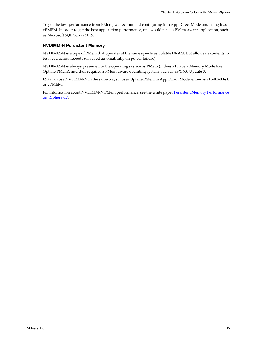To get the best performance from PMem, we recommend configuring it in App Direct Mode and using it as vPMEM. In order to get the best application performance, one would need a PMem-aware application, such as Microsoft SQL Server 2019.

#### <span id="page-14-0"></span>**NVDIMM-N Persistent Memory**

NVDIMM-N is a type of PMem that operates at the same speeds as volatile DRAM, but allows its contents to be saved across reboots (or saved automatically on power failure).

NVDIMM-N is always presented to the operating system as PMem (it doesn't have a Memory Mode like Optane PMem), and thus requires a PMem-aware operating system, such as ESXi 7.0 Update 3.

ESXi can use NVDIMM-N in the same ways it uses Optane PMem in App Direct Mode, either as vPMEMDisk or vPMEM.

For information about NVDIMM-N PMem performance, see the white paper [Persistent Memory Performance](https://www.vmware.com/techpapers/2018/pmem-vsphere67-perf.html)  [on vSphere 6.7.](https://www.vmware.com/techpapers/2018/pmem-vsphere67-perf.html)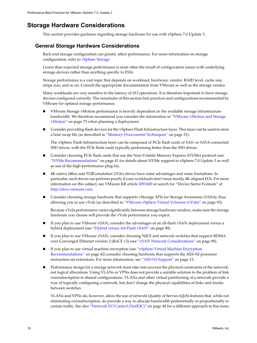## <span id="page-15-0"></span>**Storage Hardware Considerations**

This section provides guidance regarding storage hardware for use with vSphere 7.0 Update 3.

## <span id="page-15-1"></span>**General Storage Hardware Considerations**

Back-end storage configuration can greatly affect performance. For more information on storage configuration, refer to [vSphere Storage](https://docs.vmware.com/en/VMware-vSphere/7.0/com.vmware.vsphere.storage.doc/GUID-8AE88758-20C1-4873-99C7-181EF9ACFA70.html).

Lower than expected storage performance is most often the result of configuration issues with underlying storage devices rather than anything specific to ESXi.

Storage performance is a vast topic that depends on workload, hardware, vendor, RAID level, cache size, stripe size, and so on. Consult the appropriate documentation from VMware as well as the storage vendor.

Many workloads are very sensitive to the latency of I/O operations. It is therefore important to have storage devices configured correctly. The remainder of this section lists practices and configurations recommended by VMware for optimal storage performance.

- VMware Storage vMotion performance is heavily dependent on the available storage infrastructure bandwidth. We therefore recommend you consider the information in ["VMware vMotion and Storage](#page-72-2)  [vMotion" on page 73](#page-72-2) when planning a deployment.
- Consider providing flash devices for the vSphere Flash Infrastructure layer. This layer can be used to store a host swap file (as described in ["Memory Overcommit Techniques" on page 31](#page-30-3)).

The vSphere Flash Infrastructure layer can be composed of PCIe flash cards or SAS- or SATA-connected SSD drives, with the PCIe flash cards typically performing better than the SSD drives.

- Consider choosing PCIe flash cards that use the Non-Volatile Memory Express (NVMe) protocol (see ["NVMe Recommendations" on page 41](#page-40-3) for details about NVMe support in vSphere 7.0 Update 3 as well as use of the high-performance plug-in).
- 4K native (4Kn) and 512B emulation (512e) drives have some advantages and some limitations. In particular, such drives can perform poorly if your workloads don't issue mostly 4K-aligned I/Os. For more information on this subject, see VMware KB article [2091600](https://kb.vmware.com/s/article/2091600) or search for "Device Sector Formats" at http://docs.vmware.com.
- Consider choosing storage hardware that supports vStorage APIs for Storage Awareness (VASA), thus allowing you to use vVols (as described in ["VMware vSphere Virtual Volumes \(vVols\)" on page 93\)](#page-92-4).

Because vVols performance varies significantly between storage hardware vendors, make sure the storage hardware you choose will provide the vVols performance you expect.

- If you plan to use VMware vSAN, consider the advantages of an all-flash vSAN deployment versus a hybrid deployment (see ["Hybrid versus All-Flash vSAN" on page 90](#page-89-8)).
- If you plan to use VMware vSAN, consider choosing NICS and network switches that support RDMA over Converged Ethernet version 2 (RoCE v2) (see ["vSAN Network Considerations" on page 90](#page-89-9)).
- If you plan to use virtual machine encryption (see "vSphere Virtual Machine Encryption [Recommendations" on page 42\)](#page-41-2) consider choosing hardware that supports the AES-NI processor instruction set extensions. For more information, see ["AES-NI Support" on page 13.](#page-12-0)
- **Performance design for a storage network must take into account the physical constraints of the network,** not logical allocations. Using VLANs or VPNs does not provide a suitable solution to the problem of link oversubscription in shared configurations. VLANs and other virtual partitioning of a network provide a way of logically configuring a network, but don't change the physical capabilities of links and trunks between switches.

VLANs and VPNs do, however, allow the use of network Quality of Service (QoS) features that, while not eliminating oversubscription, do provide a way to allocate bandwidth preferentially or proportionally to certain traffic. See also ["Network I/O Control \(NetIOC\)" on page 44](#page-43-4) for a different approach to this issue.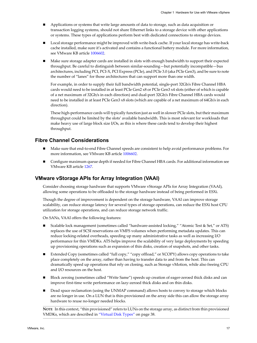- Applications or systems that write large amounts of data to storage, such as data acquisition or transaction logging systems, should not share Ethernet links to a storage device with other applications or systems. These types of applications perform best with dedicated connections to storage devices.
- Local storage performance might be improved with write-back cache. If your local storage has write-back cache installed, make sure it's activated and contains a functional battery module. For more information, see VMware KB article [1006602](https://kb.vmware.com/s/article/1006602).
- Make sure storage adapter cards are installed in slots with enough bandwidth to support their expected throughput. Be careful to distinguish between similar-sounding—but potentially incompatible—bus architectures, including PCI, PCI-X, PCI Express (PCIe), and PCIe 3.0 (aka PCIe Gen3), and be sure to note the number of "lanes" for those architectures that can support more than one width.

For example, in order to supply their full bandwidth potential, single-port 32Gb/s Fibre Channel HBA cards would need to be installed in at least PCIe Gen2 x8 or PCIe Gen3 x4 slots (either of which is capable of a net maximum of 32Gb/s in each direction) and dual-port 32Gb/s Fibre Channel HBA cards would need to be installed in at least PCIe Gen3 x8 slots (which are capable of a net maximum of 64Gb/s in each direction).

These high-performance cards will typically function just as well in slower PCIe slots, but their maximum throughput could be limited by the slots' available bandwidth. This is most relevant for workloads that make heavy use of large block size I/Os, as this is where these cards tend to develop their highest throughput.

## <span id="page-16-0"></span>**Fibre Channel Considerations**

- Make sure that end-to-end Fibre Channel speeds are consistent to help avoid performance problems. For more information, see VMware KB article [1006602.](https://kb.vmware.com/s/article/1006602)
- Configure maximum queue depth if needed for Fibre Channel HBA cards. For additional information see VMware KB article [1267.](https://kb.vmware.com/s/article/1267)

## <span id="page-16-1"></span>**VMware vStorage APIs for Array Integration (VAAI)**

Consider choosing storage hardware that supports VMware vStorage APIs for Array Integration (VAAI), allowing some operations to be offloaded to the storage hardware instead of being performed in ESXi.

Though the degree of improvement is dependent on the storage hardware, VAAI can improve storage scalability, can reduce storage latency for several types of storage operations, can reduce the ESXi host CPU utilization for storage operations, and can reduce storage network traffic.

On SANs, VAAI offers the following features:

- Scalable lock management (sometimes called "hardware-assisted locking," "Atomic Test & Set," or ATS) replaces the use of SCSI reservations on VMFS volumes when performing metadata updates. This can reduce locking-related overheads, speeding up many administrative tasks as well as increasing I/O performance for thin VMDKs. ATS helps improve the scalability of very large deployments by speeding up provisioning operations such as expansion of thin disks, creation of snapshots, and other tasks.
- Extended Copy (sometimes called "full copy," "copy offload," or XCOPY) allows copy operations to take place completely on the array, rather than having to transfer data to and from the host. This can dramatically speed up operations that rely on cloning, such as Storage vMotion, while also freeing CPU and I/O resources on the host.
- Block zeroing (sometimes called "Write Same") speeds up creation of eager-zeroed thick disks and can improve first-time write performance on lazy-zeroed thick disks and on thin disks.
- Dead space reclamation (using the UNMAP command) allows hosts to convey to storage which blocks are no longer in use. On a LUN that is thin-provisioned on the array side this can allow the storage array hardware to reuse no-longer needed blocks.

**NOTE** In this context, "thin provisioned" refers to LUNs on the storage array, as distinct from thin provisioned VMDKs, which are described in ["Virtual Disk Types" on page 38.](#page-37-1)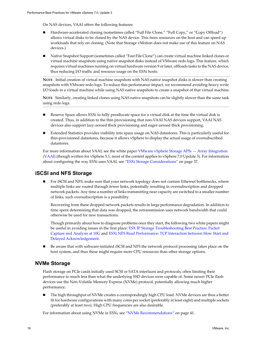On NAS devices, VAAI offers the following features:

- Hardware-accelerated cloning (sometimes called "Full File Clone," "Full Copy," or "Copy Offload") allows virtual disks to be cloned by the NAS device. This frees resources on the host and can speed up workloads that rely on cloning. (Note that Storage vMotion does not make use of this feature on NAS devices.)
- Native Snapshot Support (sometimes called "Fast File Clone") can create virtual machine linked clones or virtual machine snapshots using native snapshot disks instead of VMware redo logs. This feature, which requires virtual machines running on virtual hardware version 9 or later, offloads tasks to the NAS device, thus reducing I/O traffic and resource usage on the ESXi hosts.

**NOTE** Initial creation of virtual machine snapshots with NAS native snapshot disks is slower than creating snapshots with VMware redo logs. To reduce this performance impact, we recommend avoiding heavy write I/O loads in a virtual machine while using NAS native snapshots to create a snapshot of that virtual machine.

**NOTE** Similarly, creating linked clones using NAS native snapshots can be slightly slower than the same task using redo logs.

- Reserve Space allows ESXi to fully preallocate space for a virtual disk at the time the virtual disk is created. Thus, in addition to the thin provisioning that non-VAAI NAS devices support, VAAI NAS devices also support lazy-zeroed thick provisioning and eager-zeroed thick provisioning.
- Extended Statistics provides visibility into space usage on NAS datastores. This is particularly useful for thin-provisioned datastores, because it allows vSphere to display the actual usage of oversubscribed datastores.

For more information about VAAI, see the white paper [VMware vSphere Storage APIs — Array Integration](https://www.vmware.com/techpapers/2012/vmware-vsphere-storage-apis-array-integration-10337.html)  [\(VAAI\)](https://www.vmware.com/techpapers/2012/vmware-vsphere-storage-apis-array-integration-10337.html) (though written for vSphere 5.1, most of the content applies to vSphere 7.0 Update 3). For information about configuring the way ESXi uses VAAI, see ["ESXi Storage Considerations" on page 37.](#page-36-4)

## <span id="page-17-0"></span>**iSCSI and NFS Storage**

 For iSCSI and NFS, make sure that your network topology does not contain Ethernet bottlenecks, where multiple links are routed through fewer links, potentially resulting in oversubscription and dropped network packets. Any time a number of links transmitting near capacity are switched to a smaller number of links, such oversubscription is a possibility.

Recovering from these dropped network packets results in large performance degradation. In addition to time spent determining that data was dropped, the retransmission uses network bandwidth that could otherwise be used for new transactions.

Though primarily about how to diagnose problems once they start, the following two white papers might be useful in avoiding issues in the first place: [ESX IP Storage Troubleshooting Best Practice: Packet](https://www.vmware.com/techpapers/2017/ESX-IP-storage-troubleshooting.html)  [Capture and Analysis at 10G](https://www.vmware.com/techpapers/2017/ESX-IP-storage-troubleshooting.html) and [ESXi NFS Read Performance: TCP Interaction between Slow Start and](https://www.vmware.com/techpapers/2020/esxi7-nfs-read-perf.html)  [Delayed Acknowledgement](https://www.vmware.com/techpapers/2020/esxi7-nfs-read-perf.html).

■ Be aware that with software-initiated iSCSI and NFS the network protocol processing takes place on the host system, and thus these might require more CPU resources than other storage options.

## <span id="page-17-1"></span>**NVMe Storage**

Flash storage on PCIe cards initially used SCSI or SATA interfaces and protocols, often limiting their performance to much less than what the underlying SSD devices were capable of. Some newer PCIe flash devices use the Non-Volatile Memory Express (NVMe) protocol, potentially allowing much higher performance.

 The high throughput of NVMe creates a correspondingly high CPU load. NVMe devices are thus a better fit for hardware configurations with many cores per socket (preferably at least eight) and multiple sockets (preferably at least two). High CPU frequencies are also desirable.

For information about using NVMe in ESXi, see ["NVMe Recommendations" on page 41.](#page-40-3)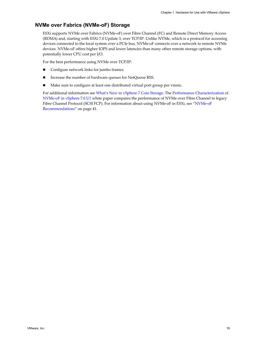## <span id="page-18-0"></span>**NVMe over Fabrics (NVMe-oF) Storage**

ESXi supports NVMe over Fabrics (NVMe-oF) over Fibre Channel (FC) and Remote Direct Memory Access (RDMA) and, starting with ESXi 7.0 Update 3, over TCP/IP. Unlike NVMe, which is a protocol for accessing devices connected to the local system over a PCIe bus, NVMe-oF connects over a network to remote NVMe devices. NVMe-oF offers higher IOPS and lower latencies than many other remote storage options, with potentially lower CPU cost per I/O.

For the best performance using NVMe over TCP/IP:

- Configure network links for jumbo frames.
- Increase the number of hardware queues for NetQueue RSS.
- Make sure to configure at least one distributed virtual port group per vmnic.

For additional information see [What's New in vSphere 7 Core Storage.](https://core.vmware.com/resource/whats-new-vsphere-7-core-storage#sec1-sub1) The [Performance Characterization of](https://www.vmware.com/techpapers/2020/vSphere7u1-NVMe-oF-FC-vs-FC-SCSI.html)  [NVMe-oF in vSphere 7.0 U1](https://www.vmware.com/techpapers/2020/vSphere7u1-NVMe-oF-FC-vs-FC-SCSI.html) white paper compares the performance of NVMe over Fibre Channel to legacy Fibre Channel Protocol (SCSI FCP). For information about using NVMe-oF in ESXi, see ["NVMe-oF](#page-40-4)  [Recommendations" on page 41.](#page-40-4)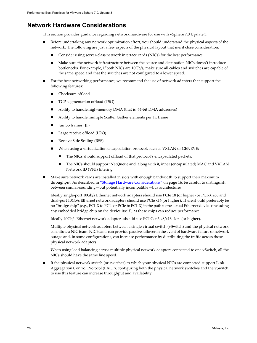## <span id="page-19-0"></span>**Network Hardware Considerations**

This section provides guidance regarding network hardware for use with vSphere 7.0 Update 3.

- Before undertaking any network optimization effort, you should understand the physical aspects of the network. The following are just a few aspects of the physical layout that merit close consideration:
	- Consider using server-class network interface cards (NICs) for the best performance.
	- Make sure the network infrastructure between the source and destination NICs doesn't introduce bottlenecks. For example, if both NICs are 10Gb/s, make sure all cables and switches are capable of the same speed and that the switches are not configured to a lower speed.
- For the best networking performance, we recommend the use of network adapters that support the following features:
	- Checksum offload
	- TCP segmentation offload (TSO)
	- Ability to handle high-memory DMA (that is, 64-bit DMA addresses)
	- Ability to handle multiple Scatter Gather elements per Tx frame
	- $\blacksquare$  Jumbo frames (JF)
	- Large receive offload (LRO)
	- Receive Side Scaling (RSS)
	- When using a virtualization encapsulation protocol, such as VXLAN or GENEVE:
		- The NICs should support offload of that protocol's encapsulated packets.
		- The NICs should support NetQueue and, along with it, inner (encapsulated) MAC and VXLAN Network ID (VNI) filtering.
- Make sure network cards are installed in slots with enough bandwidth to support their maximum throughput. As described in ["Storage Hardware Considerations" on page 16](#page-15-0), be careful to distinguish between similar-sounding—but potentially incompatible—bus architectures.

Ideally single-port 10Gb/s Ethernet network adapters should use PCIe x8 (or higher) or PCI-X 266 and dual-port 10Gb/s Ethernet network adapters should use PCIe x16 (or higher). There should preferably be no "bridge chip" (e.g., PCI-X to PCIe or PCIe to PCI-X) in the path to the actual Ethernet device (including any embedded bridge chip on the device itself), as these chips can reduce performance.

Ideally 40Gb/s Ethernet network adapters should use PCI Gen3 x8/x16 slots (or higher).

Multiple physical network adapters between a single virtual switch (vSwitch) and the physical network constitute a NIC team. NIC teams can provide passive failover in the event of hardware failure or network outage and, in some configurations, can increase performance by distributing the traffic across those physical network adapters.

When using load balancing across multiple physical network adapters connected to one vSwitch, all the NICs should have the same line speed.

 If the physical network switch (or switches) to which your physical NICs are connected support Link Aggregation Control Protocol (LACP), configuring both the physical network switches and the vSwitch to use this feature can increase throughput and availability.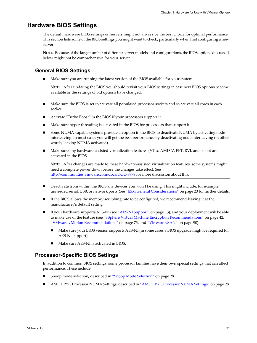## <span id="page-20-3"></span><span id="page-20-0"></span>**Hardware BIOS Settings**

The default hardware BIOS settings on servers might not always be the best choice for optimal performance. This section lists some of the BIOS settings you might want to check, particularly when first configuring a new server.

**NOTE** Because of the large number of different server models and configurations, the BIOS options discussed below might not be comprehensive for your server.

## <span id="page-20-1"></span>**General BIOS Settings**

Make sure you are running the latest version of the BIOS available for your system.

**NOTE** After updating the BIOS you should revisit your BIOS settings in case new BIOS options become available or the settings of old options have changed.

- Make sure the BIOS is set to activate all populated processor sockets and to activate all cores in each socket.
- Activate "Turbo Boost" in the BIOS if your processors support it.
- Make sure hyper-threading is activated in the BIOS for processors that support it.
- Some NUMA-capable systems provide an option in the BIOS to deactivate NUMA by activating node interleaving. In most cases you will get the best performance by deactivating node interleaving (in other words, leaving NUMA activated).
- Make sure any hardware-assisted virtualization features (VT-x, AMD-V, EPT, RVI, and so on) are activated in the BIOS.

**NOTE** After changes are made to these hardware-assisted virtualization features, some systems might need a complete power down before the changes take effect. See <http://communities.vmware.com/docs/DOC-8978>for more discussion about this.

- Deactivate from within the BIOS any devices you won't be using. This might include, for example, unneeded serial, USB, or network ports. See ["ESXi General Considerations" on page 23](#page-22-4) for further details.
- If the BIOS allows the memory scrubbing rate to be configured, we recommend leaving it at the manufacturer's default setting.
- If your hardware supports AES-NI (see ["AES-NI Support" on page 13](#page-12-0)), and your deployment will be able to make use of the feature (see ["vSphere Virtual Machine Encryption Recommendations" on page 42,](#page-41-2) ["VMware vMotion Recommendations" on page 73](#page-72-3), and ["VMware vSAN" on page 90\)](#page-89-7):
	- Make sure your BIOS version supports AES-NI (in some cases a BIOS upgrade might be required for AES-NI support)
	- Make sure AES-NI is activated in BIOS.

## <span id="page-20-2"></span>**Processor-Specific BIOS Settings**

In addition to common BIOS settings, some processor families have their own special settings that can affect performance. These include:

- Snoop mode selection, described in ["Snoop Mode Selection" on page 28.](#page-27-3)
- AMD EPYC Processor NUMA Settings, described in ["AMD EPYC Processor NUMA Settings" on page 28.](#page-27-2)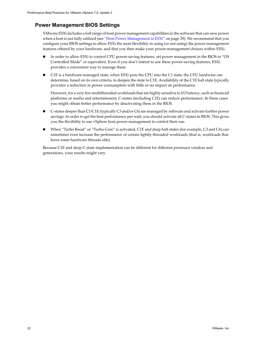## <span id="page-21-0"></span>**Power Management BIOS Settings**

VMware ESXi includes a full range of host power management capabilities in the software that can save power when a host is not fully utilized (see ["Host Power Management in ESXi" on page 29](#page-28-4)). We recommend that you configure your BIOS settings to allow ESXi the most flexibility in using (or not using) the power management features offered by your hardware, and that you then make your power-management choices within ESXi.

- In order to allow ESXi to control CPU power-saving features, set power management in the BIOS to "OS Controlled Mode" or equivalent. Even if you don't intend to use these power-saving features, ESXi provides a convenient way to manage them.
- C1E is a hardware-managed state; when ESXi puts the CPU into the C1 state, the CPU hardware can determine, based on its own criteria, to deepen the state to C1E. Availability of the C1E halt state typically provides a reduction in power consumption with little or no impact on performance.

However, for a very few multithreaded workloads that are highly sensitive to I/O latency, such as financial platforms or media and entertainment, C-states (including C1E) can reduce performance. In these cases you might obtain better performance by deactivating them in the BIOS.

- C-states deeper than C1/C1E (typically C3 and/or C6) are managed by software and activate further power savings. In order to get the best performance per watt, you should activate all C-states in BIOS. This gives you the flexibility to use vSphere host power management to control their use.
- When "Turbo Boost" or "Turbo Core" is activated, C1E and deep halt states (for example, C3 and C6) can sometimes even increase the performance of certain lightly-threaded workloads (that is, workloads that leave some hardware threads idle).

Because C1E and deep C-state implementation can be different for different processor vendors and generations, your results might vary.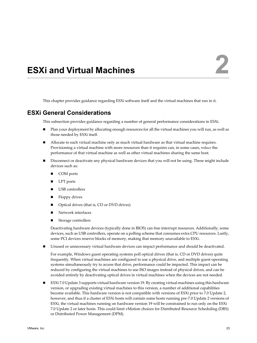## <span id="page-22-3"></span><span id="page-22-1"></span><span id="page-22-0"></span>**ESXi and Virtual Machines 2**

This chapter provides guidance regarding ESXi software itself and the virtual machines that run in it.

## <span id="page-22-4"></span><span id="page-22-2"></span>**ESXi General Considerations**

This subsection provides guidance regarding a number of general performance considerations in ESXi.

- **Plan your deployment by allocating enough resources for all the virtual machines you will run, as well as** those needed by ESXi itself.
- Allocate to each virtual machine only as much virtual hardware as that virtual machine requires. Provisioning a virtual machine with more resources than it requires can, in some cases, *reduce* the performance of that virtual machine as well as other virtual machines sharing the same host.
- Disconnect or deactivate any physical hardware devices that you will not be using. These might include devices such as:
	- COM ports
	- LPT ports
	- **USB** controllers
	- Floppy drives
	- Optical drives (that is, CD or DVD drives)
	- Network interfaces
	- Storage controllers

Deactivating hardware devices (typically done in BIOS) can free interrupt resources. Additionally, some devices, such as USB controllers, operate on a polling scheme that consumes extra CPU resources. Lastly, some PCI devices reserve blocks of memory, making that memory unavailable to ESXi.

Unused or unnecessary virtual hardware devices can impact performance and should be deactivated.

For example, Windows guest operating systems poll optical drives (that is, CD or DVD drives) quite frequently. When virtual machines are configured to use a physical drive, and multiple guest operating systems simultaneously try to access that drive, performance could be impacted. This impact can be reduced by configuring the virtual machines to use ISO images instead of physical drives, and can be avoided entirely by deactivating optical drives in virtual machines when the devices are not needed.

 ESXi 7.0 Update 3 supports virtual hardware version 19. By creating virtual machines using this hardware version, or upgrading existing virtual machines to this version, a number of additional capabilities become available. This hardware version is not compatible with versions of ESXi prior to 7.0 Update 2, however, and thus if a cluster of ESXi hosts will contain some hosts running pre-7.0 Update 2 versions of ESXi, the virtual machines running on hardware version 19 will be constrained to run only on the ESXi 7.0 Update 2 or later hosts. This could limit vMotion choices for Distributed Resource Scheduling (DRS) or Distributed Power Management (DPM).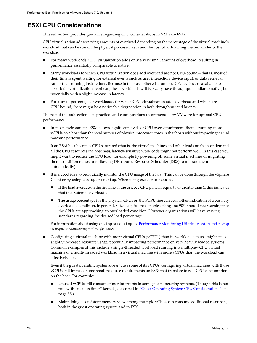## <span id="page-23-0"></span>**ESXi CPU Considerations**

This subsection provides guidance regarding CPU considerations in VMware ESXi.

CPU virtualization adds varying amounts of overhead depending on the percentage of the virtual machine's workload that can be run on the physical processor as is and the cost of virtualizing the remainder of the workload:

- For many workloads, CPU virtualization adds only a very small amount of overhead, resulting in performance essentially comparable to native.
- Many workloads to which CPU virtualization does add overhead are not CPU-bound—that is, most of their time is spent waiting for external events such as user interaction, device input, or data retrieval, rather than running instructions. Because in this case otherwise-unused CPU cycles are available to absorb the virtualization overhead, these workloads will typically have throughput similar to native, but potentially with a slight increase in latency.
- For a small percentage of workloads, for which CPU virtualization adds overhead and which are CPU-bound, there might be a noticeable degradation in both throughput and latency.

The rest of this subsection lists practices and configurations recommended by VMware for optimal CPU performance.

 In most environments ESXi allows significant levels of CPU overcommitment (that is, running more vCPUs on a host than the total number of physical processor cores in that host) without impacting virtual machine performance.

If an ESXi host becomes CPU saturated (that is, the virtual machines and other loads on the host demand all the CPU resources the host has), latency-sensitive workloads might not perform well. In this case you might want to reduce the CPU load, for example by powering off some virtual machines or migrating them to a different host (or allowing Distributed Resource Scheduler (DRS) to migrate them automatically).

- It is a good idea to periodically monitor the CPU usage of the host. This can be done through the vSphere Client or by using esxtop or resxtop. When using esxtop or resxtop:
	- If the load average on the first line of the esxtop CPU panel is equal to or greater than **1**, this indicates that the system is overloaded.
	- The usage percentage for the physical CPUs on the PCPU line can be another indication of a possibly overloaded condition. In general, 80% usage is a reasonable ceiling and 90% should be a warning that the CPUs are approaching an overloaded condition. However organizations will have varying standards regarding the desired load percentage.

For information about using esxtop or resxtop see [Performance Monitoring Utilities: resxtop and esxtop](https://docs.vmware.com/en/VMware-vSphere/7.0/com.vmware.vsphere.monitoring.doc/GUID-A31249BF-B5DC-455B-AFC7-7D0BBD6E37B6.html) in *vSphere Monitoring and Performance*.

 Configuring a virtual machine with more virtual CPUs (vCPUs) than its workload can use might cause slightly increased resource usage, potentially impacting performance on very heavily loaded systems. Common examples of this include a single-threaded workload running in a multiple-vCPU virtual machine or a multi-threaded workload in a virtual machine with more vCPUs than the workload can effectively use.

Even if the guest operating system doesn't use some of its vCPUs, configuring virtual machines with those vCPUs still imposes some small resource requirements on ESXi that translate to real CPU consumption on the host. For example:

- Unused vCPUs still consume timer interrupts in some guest operating systems. (Though this is not true with "tickless timer" kernels, described in ["Guest Operating System CPU Considerations" on](#page-54-4)  [page 55](#page-54-4).)
- Maintaining a consistent memory view among multiple vCPUs can consume additional resources, both in the guest operating system and in ESXi.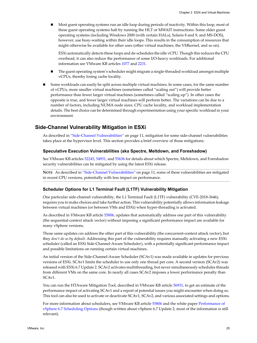Most guest operating systems run an idle loop during periods of inactivity. Within this loop, most of these guest operating systems halt by running the HLT or MWAIT instructions. Some older guest operating systems (including Windows 2000 (with certain HALs), Solaris 8 and 9, and MS-DOS), however, use busy-waiting within their idle loops. This results in the consumption of resources that might otherwise be available for other uses (other virtual machines, the VMkernel, and so on).

ESXi automatically detects these loops and de-schedules the idle vCPU. Though this reduces the CPU overhead, it can also reduce the performance of some I/O-heavy workloads. For additional information see VMware KB articles [1077](https://kb.vmware.com/s/article/1077) and [2231.](https://kb.vmware.com/s/article/2231)

- The guest operating system's scheduler might migrate a single-threaded workload amongst multiple vCPUs, thereby losing cache locality.
- Some workloads can easily be split across multiple virtual machines. In some cases, for the same number of vCPUs, more smaller virtual machines (sometimes called "scaling out") will provide better performance than fewer larger virtual machines (sometimes called "scaling up"). In other cases the opposite is true, and fewer larger virtual machines will perform better. The variations can be due to a number of factors, including NUMA node sizes, CPU cache locality, and workload implementation details. The best choice can be determined through experimentation using your specific workload in your environment.

## <span id="page-24-3"></span><span id="page-24-0"></span>**Side-Channel Vulnerability Mitigation in ESXi**

As described in ["Side-Channel Vulnerabilities" on page 11](#page-10-8), mitigation for some side-channel vulnerabilities takes place at the hypervisor level. This section provides a brief overview of those mitigations.

#### <span id="page-24-1"></span>**Speculative Execution Vulnerabilities (aka Spectre, Meltdown, and Foreshadow)**

See VMware KB articles [52245,](https://kb.vmware.com/s/article/52245) [54951](https://kb.vmware.com/s/article/54951), and [55636](https://kb.vmware.com/s/article/55636) for details about which Spectre, Meltdown, and Foreshadow security vulnerabilities can be mitigated by using the latest ESXi release.

**NOTE** As described in ["Side-Channel Vulnerabilities" on page 11](#page-10-8), some of these vulnerabilities are mitigated in recent CPU versions, potentially with less impact on performance.

#### <span id="page-24-2"></span>**Scheduler Options for L1 Terminal Fault (L1TF) Vulnerability Mitigation**

One particular side-channel vulnerability, the L1 Terminal Fault (L1TF) vulnerability (CVE-2018-3646), requires you to make choices and take further action. This vulnerability potentially allows information leakage between virtual machines (or between VMs and ESXi) when hyper-threading is activated.

As described in VMware KB article [55806](https://kb.vmware.com/s/article/55806), updates that automatically address one part of this vulnerability (the sequential-context attack vector) without imposing a significant performance impact are available for many vSphere versions.

Those same updates *can* address the other part of this vulnerability (the concurrent-context attack vector), but they *don't do so by default*. Addressing this part of the vulnerability requires manually activating a new ESXi scheduler (called an ESXi Side-Channel-Aware Scheduler), with a potentially significant performance impact and possible limitations on running certain virtual machines.

An initial version of the Side-Channel-Aware Scheduler (SCAv1) was made available in updates for previous versions of ESXi. SCAv1 limits the scheduler to use only one thread per core. A second version (SCAv2) was released with ESXi 6.7 Update 2. SCAv2 activates multithreading, but never simultaneously schedules threads from different VMs on the same core. In nearly all cases SCAv2 imposes a lower performance penalty than SCAv1.

You can run the HTAware Mitigation Tool, described in VMware KB article [56931,](https://kb.vmware.com/s/article/56931) to get an estimate of the performance impact of activating SCAv1 and a report of potential issues you might encounter when doing so. This tool can also be used to activate or deactivate SCAv1, SCAv2, and various associated settings and options.

For more information about schedulers, see VMware KB article [55806](https://kb.vmware.com/s/article/55806) and the white paper [Performance of](https://www.vmware.com/techpapers/2018/scheduler-options-vsphere67u2-perf.html)  [vSphere 6.7 Scheduling Options](https://www.vmware.com/techpapers/2018/scheduler-options-vsphere67u2-perf.html) (though written about vSphere 6.7 Update 2, most of the information is still relevant).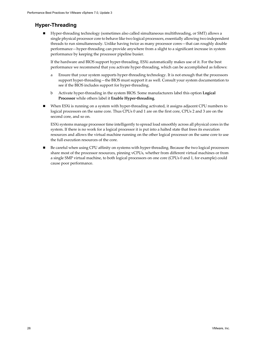## <span id="page-25-0"></span>**Hyper-Threading**

 Hyper-threading technology (sometimes also called simultaneous multithreading, or SMT) allows a single physical processor core to behave like two logical processors, essentially allowing two independent threads to run simultaneously. Unlike having twice as many processor cores—that can roughly double performance—hyper-threading can provide anywhere from a slight to a significant increase in system performance by keeping the processor pipeline busier.

If the hardware and BIOS support hyper-threading, ESXi automatically makes use of it. For the best performance we recommend that you activate hyper-threading, which can be accomplished as follows:

- a Ensure that your system supports hyper-threading technology. It is not enough that the processors support hyper-threading—the BIOS must support it as well. Consult your system documentation to see if the BIOS includes support for hyper-threading.
- b Activate hyper-threading in the system BIOS. Some manufacturers label this option **Logical Processor** while others label it **Enable Hyper-threading**.
- When ESXi is running on a system with hyper-threading activated, it assigns adjacent CPU numbers to logical processors on the same core. Thus CPUs 0 and 1 are on the first core, CPUs 2 and 3 are on the second core, and so on.

ESXi systems manage processor time intelligently to spread load smoothly across all physical cores in the system. If there is no work for a logical processor it is put into a halted state that frees its execution resources and allows the virtual machine running on the other logical processor on the same core to use the full execution resources of the core.

Be careful when using CPU affinity on systems with hyper-threading. Because the two logical processors share most of the processor resources, pinning vCPUs, whether from different virtual machines or from a single SMP virtual machine, to both logical processors on one core (CPUs 0 and 1, for example) could cause poor performance.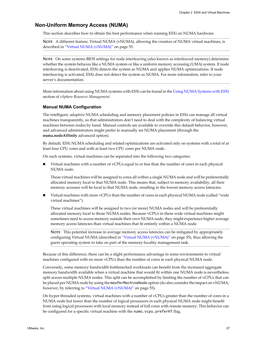## <span id="page-26-0"></span>**Non-Uniform Memory Access (NUMA)**

This section describes how to obtain the best performance when running ESXi on NUMA hardware.

**NOTE** A different feature, Virtual NUMA (vNUMA), allowing the creation of NUMA virtual machines, is described in ["Virtual NUMA \(vNUMA\)" on page 55.](#page-54-5)

**NOTE** On some systems BIOS settings for node interleaving (also known as interleaved memory) determine whether the system behaves like a NUMA system or like a uniform memory accessing (UMA) system. If node interleaving is deactivated, ESXi detects the system as NUMA and applies NUMA optimizations. If node interleaving is activated, ESXi does not detect the system as NUMA. For more information, refer to your server's documentation.

More information about using NUMA systems with ESXi can be found in the [Using NUMA Systems with ESXi](https://docs.vmware.com/en/VMware-vSphere/7.0/com.vmware.vsphere.resmgmt.doc/GUID-7E0C6311-5B27-408E-8F51-E4F1FC997283.html) section of *vSphere Resource Management*.

#### <span id="page-26-1"></span>**Manual NUMA Configuration**

The intelligent, adaptive NUMA scheduling and memory placement policies in ESXi can manage all virtual machines transparently, so that administrators don't need to deal with the complexity of balancing virtual machines between nodes by hand. Manual controls are available to override this default behavior, however, and advanced administrators might prefer to manually set NUMA placement (through the **numa.nodeAffinity** advanced option).

By default, ESXi NUMA scheduling and related optimizations are activated only on systems with a total of at least four CPU cores and with at least two CPU cores per NUMA node.

On such systems, virtual machines can be separated into the following two categories:

 Virtual machines with a number of vCPUs equal to or less than the number of cores in each physical NUMA node.

These virtual machines will be assigned to cores all within a single NUMA node and will be preferentially allocated memory local to that NUMA node. This means that, subject to memory availability, all their memory accesses will be local to that NUMA node, resulting in the lowest memory access latencies.

 Virtual machines with more vCPUs than the number of cores in each physical NUMA node (called "wide virtual machines").

These virtual machines will be assigned to two (or more) NUMA nodes and will be preferentially allocated memory local to those NUMA nodes. Because vCPUs in these wide virtual machines might sometimes need to access memory outside their own NUMA node, they might experience higher average memory access latencies than virtual machines that fit entirely within a NUMA node.

**NOTE** This potential increase in average memory access latencies can be mitigated by appropriately configuring Virtual NUMA (described in ["Virtual NUMA \(vNUMA\)" on page 55\)](#page-54-5), thus allowing the guest operating system to take on part of the memory-locality management task.

Because of this difference, there can be a slight performance advantage in some environments to virtual machines configured with no more vCPUs than the number of cores in each physical NUMA node.

Conversely, some memory bandwidth bottlenecked workloads can benefit from the increased aggregate memory bandwidth available when a virtual machine that would fit within one NUMA node is nevertheless split across multiple NUMA nodes. This split can be accomplished by limiting the number of vCPUs that can be placed per NUMA node by using the maxPerMachineNode option (do also consider the impact on vNUMA, however, by referring to ["Virtual NUMA \(vNUMA\)" on page 55\)](#page-54-5).

On hyper-threaded systems, virtual machines with a number of vCPUs greater than the number of cores in a NUMA node but lower than the number of logical processors in each physical NUMA node might benefit from using logical processors with local memory instead of full cores with remote memory. This behavior can be configured for a specific virtual machine with the numa. vcpu.preferHT flag.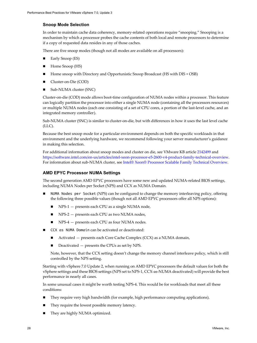## <span id="page-27-3"></span><span id="page-27-0"></span>**Snoop Mode Selection**

In order to maintain cache data coherency, memory-related operations require "snooping." Snooping is a mechanism by which a processor probes the cache contents of both local and remote processors to determine if a copy of requested data resides in any of those caches.

There are five snoop modes (though not all modes are available on all processors):

- Early Snoop (ES)
- Home Snoop (HS)
- Home snoop with Directory and Opportunistic Snoop Broadcast (HS with DIS + OSB)
- Cluster-on-Die (COD)
- Sub-NUMA cluster (SNC)

Cluster-on-die (COD) mode allows boot-time configuration of NUMA nodes within a processor. This feature can logically partition the processor into either a single NUMA node (containing all the processors resources) or multiple NUMA nodes (each one consisting of a set of CPU cores, a portion of the last-level cache, and an integrated memory controller).

Sub-NUMA cluster (SNC) is similar to cluster-on-die, but with differences in how it uses the last level cache (LLC).

Because the best snoop mode for a particular environment depends on both the specific workloads in that environment and the underlying hardware, we recommend following your server manufacturer's guidance in making this selection.

For additional information about snoop modes and cluster on die, see VMware KB article [2142499](https://kb.vmware.com/s/article/2142499) and [https://software.intel.com/en-us/articles/intel-xeon-processor-e5-2600-v4-product-family-technical-overview.](https://software.intel.com/en-us/articles/intel-xeon-processor-e5-2600-v4-product-family-technical-overview) For information about sub-NUMA cluster, see [Intel® Xeon® Processor Scalable Family Technical Overview.](https://www.intel.com/content/www/us/en/developer/articles/technical/xeon-processor-scalable-family-technical-overview.html)

## <span id="page-27-2"></span><span id="page-27-1"></span>**AMD EPYC Processor NUMA Settings**

The second generation AMD EPYC processors have some new and updated NUMA-related BIOS settings, including NUMA Nodes per Socket (NPS) and CCX as NUMA Domain.

- NUMA Nodes per Socket (NPS) can be configured to change the memory interleaving policy, offering the following three possible values (though not all AMD EPYC processors offer all NPS options):
	- NPS-1 presents each CPU as a single NUMA node,
	- NPS-2 presents each CPU as two NUMA nodes,
	- $\blacksquare$  NPS-4 presents each CPU as four NUMA nodes.
- CCX as NUMA Domain can be activated or deactivated:
	- Activated presents each Core Cache Complex (CCX) as a NUMA domain,
	- Deactivated presents the CPUs as set by NPS.

Note, however, that the CCX setting doesn't change the memory channel interleave policy, which is still controlled by the NPS setting.

Starting with vSphere 7.0 Update 2, when running on AMD EPYC processors the default values for both the vSphere settings and these BIOS settings (NPS set to NPS-1, CCX-as-NUMA deactivated) will provide the best performance in nearly all cases.

In some unusual cases it might be worth testing NPS-4. This would be for workloads that meet all these conditions:

- They require very high bandwidth (for example, high performance computing applications).
- They require the lowest possible memory latency.
- They are highly NUMA optimized.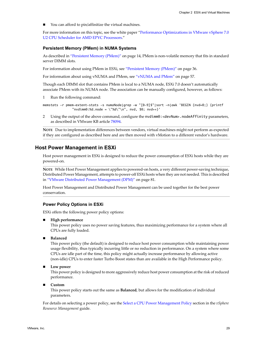You can afford to pin/affinitize the virtual machines.

For more information on this topic, see the white paper ["Performance Optimizations in VMware vSphere 7.0](https://www.vmware.com/techpapers/2021/vsphere70u2-cpu-sched-amd-epyc.html)  [U2 CPU Scheduler for AMD EPYC Processors.](https://www.vmware.com/techpapers/2021/vsphere70u2-cpu-sched-amd-epyc.html)"

#### <span id="page-28-3"></span><span id="page-28-0"></span>**Persistent Memory (PMem) in NUMA Systems**

As described in ["Persistent Memory \(PMem\)" on page 14](#page-13-3), PMem is non-volatile memory that fits in standard server DIMM slots.

For information about using PMem in ESXi, see ["Persistent Memory \(PMem\)" on page 36.](#page-35-0)

For information about using vNUMA and PMem, see ["vNUMA and PMem" on page 57.](#page-56-1)

Though each DIMM slot that contains PMem is local to a NUMA node, ESXi 7.0 doesn't automatically associate PMem with its NUMA node. The association can be manually configured, however, as follows:

```
1 Run the following command:
```

```
memstats -r pmem-extent-stats -s numaNode|grep -w "[0-9]$"|sort -n|awk 'BEGIN {nvd=0;} {printf 
   "nvdimm0:%d.node = \"%d\"\n", nvd, $0; nvd++}'
```
2 Using the output of the above command, configure the nvdimm0:<devNum>.nodeAffinity parameters, as described in VMware KB article [78094.](https://kb.vmware.com/s/article/78094)

**NOTE** Due to implementation differences between vendors, virtual machines might not perform as expected if they are configured as described here and are then moved with vMotion to a different vendor's hardware.

## <span id="page-28-4"></span><span id="page-28-1"></span>**Host Power Management in ESXi**

Host power management in ESXi is designed to reduce the power consumption of ESXi hosts while they are powered-on.

**NOTE** While Host Power Management applies to powered-on hosts, a very different power-saving technique, Distributed Power Management, attempts to power-off ESXi hosts when they are not needed. This is described in ["VMware Distributed Power Management \(DPM\)" on page 81](#page-80-3).

Host Power Management and Distributed Power Management can be used together for the best power conservation.

#### <span id="page-28-2"></span>**Power Policy Options in ESXi**

ESXi offers the following power policy options:

**High performance**

This power policy uses no power saving features, thus maximizing performance for a system where all CPUs are fully loaded.

**Balanced**

This power policy (the default) is designed to reduce host power consumption while maintaining power usage flexibility, thus typically incurring little or no reduction in performance. On a system where some CPUs are idle part of the time, this policy might actually increase performance by allowing active (non-idle) CPUs to enter faster Turbo Boost states than are available in the High Performance policy.

**Low power** 

This power policy is designed to more aggressively reduce host power consumption at the risk of reduced performance.

**Custom**

This power policy starts out the same as **Balanced**, but allows for the modification of individual parameters.

For details on selecting a power policy, see the [Select a CPU Power Management Policy](https://docs.vmware.com/en/VMware-vSphere/7.0/com.vmware.vsphere.resmgmt.doc/GUID-F48D75C7-2461-4643-8A3A-B0383146F3AA.html) section in the *vSphere Resource Management* guide.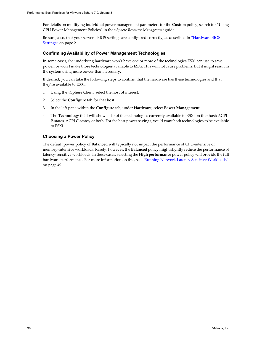For details on modifying individual power management parameters for the **Custom** policy, search for "Using CPU Power Management Policies" in the *vSphere Resource Management* guide.

Be sure, also, that your server's BIOS settings are configured correctly, as described in ["Hardware BIOS](#page-20-3)  [Settings" on page 21](#page-20-3).

## <span id="page-29-0"></span>**Confirming Availability of Power Management Technologies**

In some cases, the underlying hardware won't have one or more of the technologies ESXi can use to save power, or won't make those technologies available to ESXi. This will not cause problems, but it might result in the system using more power than necessary.

If desired, you can take the following steps to confirm that the hardware has these technologies and that they're available to ESXi:

- 1 Using the vSphere Client, select the host of interest.
- 2 Select the **Configure** tab for that host.
- 3 In the left pane within the **Configure** tab, under **Hardware**, select **Power Management**.
- 4 The **Technology** field will show a list of the technologies currently available to ESXi on that host: ACPI P-states, ACPI C-states, or both. For the best power savings, you'd want both technologies to be available to ESXi.

#### <span id="page-29-1"></span>**Choosing a Power Policy**

The default power policy of **Balanced** will typically not impact the performance of CPU-intensive or memory-intensive workloads. Rarely, however, the **Balanced** policy might slightly reduce the performance of latency-sensitive workloads. In these cases, selecting the **High performance** power policy will provide the full hardware performance. For more information on this, see ["Running Network Latency Sensitive Workloads"](#page-48-0) [on page 49.](#page-48-0)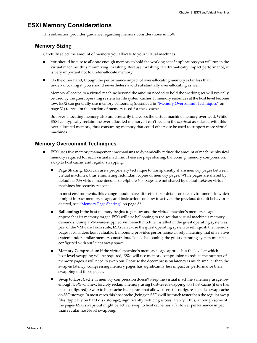## <span id="page-30-0"></span>**ESXi Memory Considerations**

This subsection provides guidance regarding memory considerations in ESXi.

## <span id="page-30-1"></span>**Memory Sizing**

Carefully select the amount of memory you allocate to your virtual machines.

- You should be sure to allocate enough memory to hold the working set of applications you will run in the virtual machine, thus minimizing thrashing. Because thrashing can dramatically impact performance, it is very important not to under-allocate memory.
- On the other hand, though the performance impact of over-allocating memory is far less than under-allocating it, you should nevertheless avoid substantially over-allocating as well.

Memory allocated to a virtual machine beyond the amount needed to hold the working set will typically be used by the guest operating system for file system caches. If memory resources at the host level become low, ESXi can generally use memory ballooning (described in ["Memory Overcommit Techniques" on](#page-30-2)  [page 31](#page-30-2)) to reclaim the portion of memory used for these caches.

But over-allocating memory also unnecessarily increases the virtual machine memory overhead. While ESXi can typically reclaim the over-allocated memory, it can't reclaim the *overhead* associated with this over-allocated memory, thus consuming memory that could otherwise be used to support more virtual machines.

## <span id="page-30-3"></span><span id="page-30-2"></span>**Memory Overcommit Techniques**

- ESXi uses five memory management mechanisms to dynamically reduce the amount of machine physical memory required for each virtual machine. These are page sharing, ballooning, memory compression, swap to host cache, and regular swapping.
	- **Page Sharing:** ESXi can use a proprietary technique to transparently share memory pages between virtual machines, thus eliminating redundant copies of memory pages. While pages are shared by default *within* virtual machines, as of vSphere 6.0, pages are not shared by default *between* virtual machines for security reasons.

In most environments, this change should have little effect. For details on the environments in which it might impact memory usage, and instructions on how to activate the previous default behavior if desired, see ["Memory Page Sharing" on page 32](#page-31-0).

- **Ballooning:** If the host memory begins to get low and the virtual machine's memory usage approaches its memory target, ESXi will use ballooning to reduce that virtual machine's memory demands. Using a VMware-supplied vmmemctl module installed in the guest operating system as part of the VMware Tools suite, ESXi can cause the guest operating system to relinquish the memory pages it considers least valuable. Ballooning provides performance closely matching that of a native system under similar memory constraints. To use ballooning, the guest operating system must be configured with sufficient swap space.
- **Memory Compression**: If the virtual machine's memory usage approaches the level at which host-level swapping will be required, ESXi will use memory compression to reduce the number of memory pages it will need to swap out. Because the decompression latency is much smaller than the swap-in latency, compressing memory pages has significantly less impact on performance than swapping out those pages.
- **Swap to Host Cache:** If memory compression doesn't keep the virtual machine's memory usage low enough, ESXi will next forcibly reclaim memory using host-level swapping to a host cache (if one has been configured). Swap to host cache is a feature that allows users to configure a special swap cache on SSD storage. In most cases this host cache (being on SSD) will be much faster than the regular swap files (typically on hard disk storage), significantly reducing access latency. Thus, although some of the pages ESXi swaps out might be active, swap to host cache has a far lower performance impact than regular host-level swapping.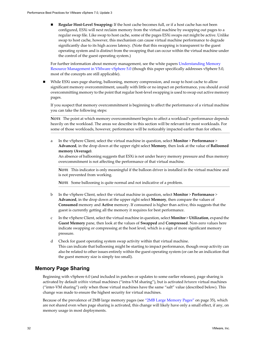**Regular Host-Level Swapping:** If the host cache becomes full, or if a host cache has not been configured, ESXi will next reclaim memory from the virtual machine by swapping out pages to a regular swap file. Like swap to host cache, some of the pages ESXi swaps out might be active. Unlike swap to host cache, however, this mechanism can cause virtual machine performance to degrade significantly due to its high access latency. (Note that this swapping is transparent to the guest operating system and is distinct from the swapping that can occur within the virtual machine under the control of the guest operating system.)

For further information about memory management, see the white papers [Understanding Memory](https://www.vmware.com/techpapers/2011/understanding-memory-management-in-vmware-vsphere-10206.html)  [Resource Management in VMware vSphere 5.0](https://www.vmware.com/techpapers/2011/understanding-memory-management-in-vmware-vsphere-10206.html) (though this paper specifically addresses vSphere 5.0, most of the concepts are still applicable).

 While ESXi uses page sharing, ballooning, memory compression, and swap to host cache to allow significant memory overcommitment, usually with little or no impact on performance, you should avoid overcommitting memory to the point that regular host-level swapping is used to swap out active memory pages.

If you suspect that memory overcommitment is beginning to affect the performance of a virtual machine you can take the following steps:

**NOTE** The point at which memory overcommitment begins to affect a workload's performance depends heavily on the workload. The areas we describe in this section will be relevant for most workloads. For some of those workloads, however, performance will be noticeably impacted earlier than for others.

a In the vSphere Client, select the virtual machine in question, select **Monitor** > **Performance** > **Advanced**, in the drop down at the upper right select **Memory**, then look at the value of **Ballooned memory (Average)**.

An absence of ballooning suggests that ESXi is not under heavy memory pressure and thus memory overcommitment is not affecting the performance of that virtual machine.

**NOTE** This indicator is only meaningful if the balloon driver is installed in the virtual machine and is not prevented from working.

**NOTE** Some ballooning is quite normal and not indicative of a problem.

- b In the vSphere Client, select the virtual machine in question, select **Monitor** > **Performance** > **Advanced**, in the drop down at the upper right select **Memory**, then compare the values of **Consumed** memory and **Active** memory. If consumed is higher than active, this suggests that the guest is currently getting all the memory it requires for best performance.
- c In the vSphere Client, select the virtual machine in question, select **Monitor** > **Utilization**, expand the **Guest Memory** pane, then look at the values of **Swapped** and **Compressed**. Non-zero values here indicate swapping or compressing at the host level, which is a sign of more significant memory pressure.
- d Check for guest operating system swap activity within that virtual machine. This can indicate that ballooning might be starting to impact performance, though swap activity can also be related to other issues entirely within the guest operating system (or can be an indication that the guest memory size is simply too small).

## <span id="page-31-0"></span>**Memory Page Sharing**

Beginning with vSphere 6.0 (and included in patches or updates to some earlier releases), page sharing is activated by default *within* virtual machines ("intra-VM sharing"), but is activated *between* virtual machines ("inter-VM sharing") only when those virtual machines have the same "salt" value (described below). This change was made to ensure the highest security for virtual machines.

Because of the prevalence of 2MB large memory pages (see ["2MB Large Memory Pages" on page 35](#page-34-0)), which are not shared even when page sharing is activated, this change will likely have only a small effect, if any, on memory usage in most deployments.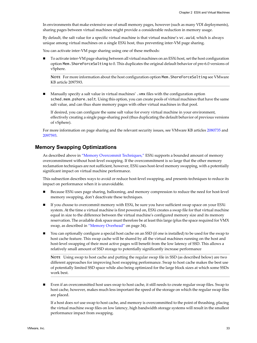In environments that make extensive use of small memory pages, however (such as many VDI deployments), sharing pages between virtual machines might provide a considerable reduction in memory usage.

By default, the salt value for a specific virtual machine is that virtual machine's vc.uuid, which is always unique among virtual machines on a single ESXi host, thus preventing inter-VM page sharing.

You can activate inter-VM page sharing using one of these methods:

 To activate inter-VM page sharing between all virtual machines on an ESXi host, set the host configuration option Mem.ShareForceSalting to 0. This duplicates the original default behavior of pre-6.0 versions of vSphere.

**NOTE** For more information about the host configuration option Mem.ShareForceSalting see VMware KB article 2097593.

 Manually specify a salt value in virtual machines' .vmx files with the configuration option sched.mem.pshare.salt. Using this option, you can create pools of virtual machines that have the same salt value, and can thus share memory pages with other virtual machines in that pool.

If desired, you can configure the same salt value for every virtual machine in your environment, effectively creating a single page-sharing pool (thus duplicating the default behavior of previous versions of vSphere).

For more information on page sharing and the relevant security issues, see VMware KB articles [2080735](https://kb.vmware.com/s/article/2080735) and [2097593](https://kb.vmware.com/s/article/2097593).

## <span id="page-32-0"></span>**Memory Swapping Optimizations**

As described above in ["Memory Overcommit Techniques,"](#page-30-2) ESXi supports a bounded amount of memory overcommitment without host-level swapping. If the overcommitment is so large that the other memory reclamation techniques are not sufficient, however, ESXi uses host-level memory swapping, with a potentially significant impact on virtual machine performance.

This subsection describes ways to avoid or reduce host-level swapping, and presents techniques to reduce its impact on performance when it is unavoidable.

- Because ESXi uses page sharing, ballooning, and memory compression to reduce the need for host-level memory swapping, don't deactivate these techniques.
- If you choose to overcommit memory with ESXi, be sure you have sufficient swap space on your ESXi system. At the time a virtual machine is first powered on, ESXi creates a swap file for that virtual machine equal in size to the difference between the virtual machineʹs configured memory size and its memory reservation. The available disk space must therefore be at least this large (plus the space required for VMX swap, as described in ["Memory Overhead" on page 34\)](#page-33-0).
- You can optionally configure a special host cache on an SSD (if one is installed) to be used for the swap to host cache feature. This swap cache will be shared by all the virtual machines running on the host and host-level swapping of their most active pages will benefit from the low latency of SSD. This allows a relatively small amount of SSD storage to potentially significantly increase performance

**NOTE** Using swap to host cache and putting the regular swap file in SSD (as described below) are two different approaches for improving host swapping performance. Swap to host cache makes the best use of potentially limited SSD space while also being optimized for the large block sizes at which some SSDs work best.

 Even if an overcommitted host uses swap to host cache, it still needs to create regular swap files. Swap to host cache, however, makes much less important the speed of the storage on which the regular swap files are placed.

If a host does *not* use swap to host cache, and memory is overcommitted to the point of thrashing, placing the virtual machine swap files on low latency, high bandwidth storage systems will result in the smallest performance impact from swapping.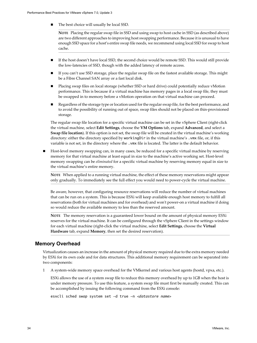The best choice will usually be local SSD.

**NOTE** Placing the regular swap file in SSD and using swap to host cache in SSD (as described above) are two different approaches to improving host swapping performance. Because it is unusual to have enough SSD space for a host's entire swap file needs, we recommend using local SSD for swap to host cache.

- If the host doesn't have local SSD, the second choice would be remote SSD. This would still provide the low-latencies of SSD, though with the added latency of remote access.
- If you can't use SSD storage, place the regular swap file on the fastest available storage. This might be a Fibre Channel SAN array or a fast local disk.
- Placing swap files on local storage (whether SSD or hard drive) could potentially reduce vMotion performance. This is because if a virtual machine has memory pages in a local swap file, they must be swapped in to memory before a vMotion operation on that virtual machine can proceed.
- Regardless of the storage type or location used for the regular swap file, for the best performance, and to avoid the possibility of running out of space, swap files should not be placed on thin-provisioned storage.

The regular swap file location for a specific virtual machine can be set in the vSphere Client (right-click the virtual machine, select **Edit Settings**, choose the **VM Options** tab, expand **Advanced**, and select a **Swap file location**). If this option is not set, the swap file will be created in the virtual machine's working directory: either the directory specified by workingDir in the virtual machine's .vmx file, or, if this variable is not set, in the directory where the .vmx file is located. The latter is the default behavior.

 Host-level memory swapping can, in many cases, be reduced for a specific virtual machine by reserving memory for that virtual machine at least equal in size to the machine's active working set. Host-level memory swapping can be *eliminated* for a specific virtual machine by reserving memory equal in size to the virtual machine's entire memory.

**NOTE** When applied to a running virtual machine, the effect of these memory reservations might appear only gradually. To immediately see the full effect you would need to power-cycle the virtual machine.

Be aware, however, that configuring resource reservations will reduce the number of virtual machines that can be run on a system. This is because ESXi will keep available enough host memory to fulfill all reservations (both for virtual machines and for overhead) and wonʹt power-on a virtual machine if doing so would reduce the available memory to less than the reserved amount.

**NOTE** The memory reservation is a guaranteed lower bound on the amount of physical memory ESXi reserves for the virtual machine. It can be configured through the vSphere Client in the settings window for each virtual machine (right-click the virtual machine, select **Edit Settings**, choose the **Virtual Hardware** tab, expand **Memory**, then set the desired reservation).

## <span id="page-33-0"></span>**Memory Overhead**

Virtualization causes an increase in the amount of physical memory required due to the extra memory needed by ESXi for its own code and for data structures. This additional memory requirement can be separated into two components:

1 A system-wide memory space overhead for the VMkernel and various host agents (hostd, vpxa, etc.).

ESXi allows the use of a system swap file to reduce this memory overhead by up to 1GB when the host is under memory pressure. To use this feature, a system swap file must first be manually created. This can be accomplished by issuing the following command from the ESXi console:

esxcli sched swap system set -d true -n <*datastore name*>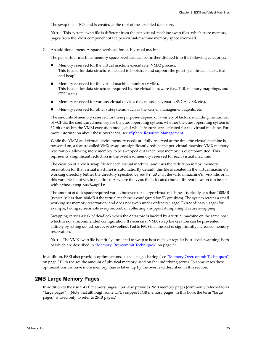The swap file is 1GB and is created at the root of the specified datastore.

**NOTE** This system swap file is different from the per-virtual-machine swap files, which store memory pages from the VMX component of the per-virtual-machine memory space overhead.

2 An additional memory space overhead for each virtual machine.

The per-virtual-machine memory space overhead can be further divided into the following categories:

- Memory reserved for the virtual machine executable (VMX) process. This is used for data structures needed to bootstrap and support the guest (i.e., thread stacks, text, and heap).
- Memory reserved for the virtual machine monitor (VMM). This is used for data structures required by the virtual hardware (i.e., TLB, memory mappings, and CPU state).
- Memory reserved for various virtual devices (i.e., mouse, keyboard, SVGA, USB, etc.).
- Memory reserved for other subsystems, such as the kernel, management agents, etc.

The amounts of memory reserved for these purposes depend on a variety of factors, including the number of vCPUs, the configured memory for the guest operating system, whether the guest operating system is 32-bit or 64-bit, the VMM execution mode, and which features are activated for the virtual machine. For more information about these overheads, see [vSphere Resource Management](https://docs.vmware.com/en/VMware-vSphere/7.0/com.vmware.vsphere.resmgmt.doc/GUID-98BD5A8A-260A-494F-BAAE-74781F5C4B87.html).

While the VMM and virtual device memory needs are fully reserved at the time the virtual machine is powered on, a feature called VMX swap can significantly reduce the per-virtual-machine VMX memory reservation, allowing more memory to be swapped out when host memory is overcommitted. This represents a significant reduction in the overhead memory reserved for each virtual machine.

The creation of a VMX swap file for each virtual machine (and thus the reduction in host memory reservation for that virtual machine) is automatic. By default, this file is created in the virtual machine's working directory (either the directory specified by workingDir in the virtual machine's .vmx file, or, if this variable is not set, in the directory where the .vmx file is located) but a different location can be set with sched.swap.vmxSwapDir.

The amount of disk space required varies, but even for a large virtual machine is typically less than 100MB (typically less than 300MB if the virtual machine is configured for 3D graphics). The system retains a small working set memory reservation, and does not swap under ordinary usage. Extraordinary usage (for example, taking screenshots every second, or collecting a support dump) might cause swapping.

Swapping carries a risk of deadlock when the datastore is backed by a virtual machine on the same host, which is not a recommended configuration. If necessary, VMX swap file creation can be prevented entirely by setting sched. swap. vmxSwapEnabled to FALSE, at the cost of significantly increased memory reservation.

**NOTE** The VMX swap file is entirely unrelated to swap to host cache or regular host-level swapping, both of which are described in ["Memory Overcommit Techniques" on page 31](#page-30-2).

In addition, ESXi also provides optimizations, such as page sharing (see ["Memory Overcommit Techniques"](#page-30-2) [on page 31\)](#page-30-2), to reduce the amount of physical memory used on the underlying server. In some cases these optimizations can save more memory than is taken up by the overhead described in this section.

## <span id="page-34-1"></span><span id="page-34-0"></span>**2MB Large Memory Pages**

In addition to the usual 4KB memory pages, ESXi also provides 2MB memory pages (commonly referred to as "large pages"). (Note that although some CPUs support 1GB memory pages, in this book the term "large pages" is used only to refer to 2MB pages.)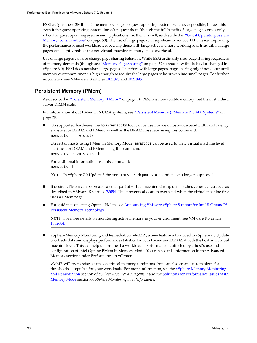ESXi assigns these 2MB machine memory pages to guest operating systems whenever possible; it does this even if the guest operating system doesn't request them (though the full benefit of large pages comes only when the guest operating system and applications use them as well, as described in ["Guest Operating System](#page-57-1)  [Memory Considerations" on page 58\)](#page-57-1). The use of large pages can significantly reduce TLB misses, improving the performance of most workloads, especially those with large active memory working sets. In addition, large pages can slightly reduce the per-virtual-machine memory space overhead.

Use of large pages can also change page sharing behavior. While ESXi ordinarily uses page sharing regardless of memory demands (though see ["Memory Page Sharing" on page 32](#page-31-0) to read how this behavior changed in vSphere 6.0), ESXi does not share large pages. Therefore with large pages, page sharing might not occur until memory overcommitment is high enough to require the large pages to be broken into small pages. For further information see VMware KB articles [1021095](https://kb.vmware.com/s/article/1021095) and [1021896.](https://kb.vmware.com/s/article/1021896)

## <span id="page-35-1"></span><span id="page-35-0"></span>**Persistent Memory (PMem)**

As described in ["Persistent Memory \(PMem\)" on page 14](#page-13-3), PMem is non-volatile memory that fits in standard server DIMM slots.

For information about PMem in NUMA systems, see ["Persistent Memory \(PMem\) in NUMA Systems" on](#page-28-0)  [page 29](#page-28-0).

■ On supported hardware, the ESXi memstats tool can be used to view host-wide bandwidth and latency statistics for DRAM and PMem, as well as the DRAM miss rate, using this command: memstats -r hw-stats

On certain hosts using PMem in Memory Mode, memstats can be used to view virtual machine level statistics for DRAM and PMem using this command: memstats -r vm-stats -h

For additional information use this command: memstats -h

NOTE In vSphere 7.0 Update 3 the memstats -r dcpmm-stats option is no longer supported.

- If desired, PMem can be preallocated as part of virtual machine startup using sched.pmem.prealloc, as described in VMware KB article [78094](https://kb.vmware.com/s/article/78094). This prevents allocation overhead when the virtual machine first uses a PMem page.
- For guidance on sizing Optane PMem, see [Announcing VMware vSphere Support for Intel® Optane™](https://blogs.vmware.com/vsphere/2019/04/announcing-vmware-vsphere-support-for-intel-optane-dc-persistent-memory-technology.html)  [Persistent Memory Technology](https://blogs.vmware.com/vsphere/2019/04/announcing-vmware-vsphere-support-for-intel-optane-dc-persistent-memory-technology.html).

**NOTE** For more details on monitoring active memory in your environment, see VMware KB article [1002604.](https://kb.vmware.com/s/article/1002604)

 vSphere Memory Monitoring and Remediation (vMMR), a new feature introduced in vSphere 7.0 Update 3, collects data and displays performance statistics for both PMem and DRAM at both the host and virtual machine level. This can help determine if a workload's performance is affected by a host's use and configuration of Intel Optane PMem in Memory Mode. You can see this information in the Advanced Memory section under Performance in vCenter.

vMMR will try to raise alarms on critical memory conditions. You can also create custom alerts for thresholds acceptable for your workloads. For more information, see the [vSphere Memory Monitoring](https://docs.vmware.com/en/VMware-vSphere/7.0/com.vmware.vsphere.resmgmt.doc/GUID-CE019F04-DEA1-473B-ADBC-64607899BD8F.html)  [and Remediation](https://docs.vmware.com/en/VMware-vSphere/7.0/com.vmware.vsphere.resmgmt.doc/GUID-CE019F04-DEA1-473B-ADBC-64607899BD8F.html) section of *vSphere Resource Management* and the [Solutions for Performance Issues With](https://docs.vmware.com/en/VMware-vSphere/7.0/com.vmware.vsphere.monitoring.doc/GUID-D0D8090C-242A-4A21-86B4-59FC7C8A5871.html)  [Memory Mode](https://docs.vmware.com/en/VMware-vSphere/7.0/com.vmware.vsphere.monitoring.doc/GUID-D0D8090C-242A-4A21-86B4-59FC7C8A5871.html) section of *vSphere Monitoring and Performance*.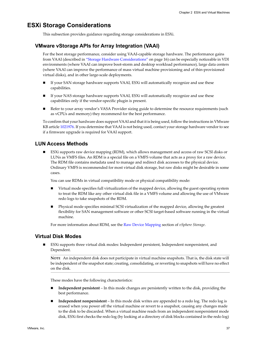# **ESXi Storage Considerations**

This subsection provides guidance regarding storage considerations in ESXi.

#### **VMware vStorage APIs for Array Integration (VAAI)**

For the best storage performance, consider using VAAI-capable storage hardware. The performance gains from VAAI (described in ["Storage Hardware Considerations" on page 16](#page-15-0)) can be especially noticeable in VDI environments (where VAAI can improve boot-storm and desktop workload performance), large data centers (where VAAI can improve the performance of mass virtual machine provisioning and of thin-provisioned virtual disks), and in other large-scale deployments.

- If your SAN storage hardware supports VAAI, ESXi will automatically recognize and use these capabilities.
- If your NAS storage hardware supports VAAI, ESXi will automatically recognize and use these capabilities only if the vendor-specific plugin is present.
- Refer to your array vendor's VASA Provider sizing guide to determine the resource requirements (such as vCPUs and memory) they recommend for the best performance.

To confirm that your hardware does support VAAI and that it is being used, follow the instructions in VMware KB article [1021976.](https://kb.vmware.com/s/article/1021976) If you determine that VAAI is not being used, contact your storage hardware vendor to see if a firmware upgrade is required for VAAI support.

#### **LUN Access Methods**

 ESXi supports raw device mapping (RDM), which allows management and access of raw SCSI disks or LUNs as VMFS files. An RDM is a special file on a VMFS volume that acts as a proxy for a raw device. The RDM file contains metadata used to manage and redirect disk accesses to the physical device. Ordinary VMFS is recommended for most virtual disk storage, but raw disks might be desirable in some cases.

You can use RDMs in virtual compatibility mode or physical compatibility mode:

- Virtual mode specifies full virtualization of the mapped device, allowing the guest operating system to treat the RDM like any other virtual disk file in a VMFS volume and allowing the use of VMware redo logs to take snapshots of the RDM.
- Physical mode specifies minimal SCSI virtualization of the mapped device, allowing the greatest flexibility for SAN management software or other SCSI target-based software running in the virtual machine.

For more information about RDM, see the [Raw Device Mapping](https://docs.vmware.com/en/VMware-vSphere/7.0/com.vmware.vsphere.storage.doc/GUID-B3522FF1-76FF-419D-8DB6-F15BFD4DF12A.html) section of *vSphere Storage*.

#### **Virtual Disk Modes**

 ESXi supports three virtual disk modes: Independent persistent, Independent nonpersistent, and Dependent.

**NOTE** An independent disk does not participate in virtual machine snapshots. That is, the disk state will be independent of the snapshot state; creating, consolidating, or reverting to snapshots will have no effect on the disk.

These modes have the following characteristics:

- **Independent persistent** In this mode changes are persistently written to the disk, providing the best performance.
- **Independent nonpersistent** In this mode disk writes are appended to a redo log. The redo log is erased when you power off the virtual machine or revert to a snapshot, causing any changes made to the disk to be discarded. When a virtual machine reads from an independent nonpersistent mode disk, ESXi first checks the redo log (by looking at a directory of disk blocks contained in the redo log)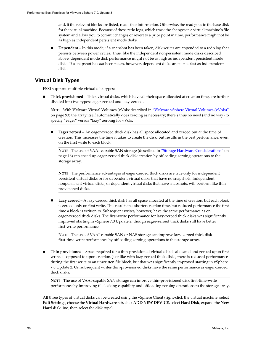and, if the relevant blocks are listed, reads that information. Otherwise, the read goes to the base disk for the virtual machine. Because of these redo logs, which track the changes in a virtual machine's file system and allow you to commit changes or revert to a prior point in time, performance might not be as high as independent persistent mode disks.

 **Dependent** – In this mode, if a snapshot has been taken, disk writes are appended to a redo log that persists between power cycles. Thus, like the independent nonpersistent mode disks described above, dependent mode disk performance might not be as high as independent persistent mode disks. If a snapshot has *not* been taken, however, dependent disks are just as fast as independent disks.

# <span id="page-37-0"></span>**Virtual Disk Types**

ESXi supports multiple virtual disk types:

 **Thick provisioned** – Thick virtual disks, which have all their space allocated at creation time, are further divided into two types: eager-zeroed and lazy-zeroed.

**NOTE** With VMware Virtual Volumes (vVols; described in ["VMware vSphere Virtual Volumes \(vVols\)"](#page-92-0) [on page 93\)](#page-92-0) the array itself automatically does zeroing as necessary; there's thus no need (and no way) to specify "eager" versus "lazy" zeroing for vVols.

 **Eager zeroed** – An eager-zeroed thick disk has all space allocated and zeroed out at the time of creation. This increases the time it takes to create the disk, but results in the best performance, even on the first write to each block.

**NOTE** The use of VAAI-capable SAN storage (described in ["Storage Hardware Considerations" on](#page-15-0)  [page 16](#page-15-0)) can speed up eager-zeroed thick disk creation by offloading zeroing operations to the storage array.

**NOTE** The performance advantages of eager-zeroed thick disks are true only for independent persistent virtual disks or for dependent virtual disks that have no snapshots. Independent nonpersistent virtual disks, or dependent virtual disks that have snapshots, will perform like thin provisioned disks.

 **Lazy zeroed** – A lazy-zeroed thick disk has all space allocated at the time of creation, but each block is zeroed only on first write. This results in a shorter creation time, but reduced performance the first time a block is written to. Subsequent writes, however, have the same performance as on eager-zeroed thick disks. The first-write performance for lazy-zeroed thick disks was significantly improved starting in vSphere 7.0 Update 2, though eager-zeroed thick disks still have better first-write performance.

**NOTE** The use of VAAI-capable SAN or NAS storage can improve lazy-zeroed thick disk first-time-write performance by offloading zeroing operations to the storage array.

 **Thin provisioned** – Space required for a thin-provisioned virtual disk is allocated and zeroed upon first write, as opposed to upon creation. Just like with lazy-zeroed thick disks, there is reduced performance during the first write to an unwritten file block, but that was significantly improved starting in vSphere 7.0 Update 2. On subsequent writes thin-provisioned disks have the same performance as eager-zeroed thick disks.

**NOTE** The use of VAAI-capable SAN storage can improve thin-provisioned disk first-time-write performance by improving file locking capability and offloading zeroing operations to the storage array.

All three types of virtual disks can be created using the vSphere Client (right-click the virtual machine, select **Edit Settings**, choose the **Virtual Hardware** tab, click **ADD NEW DEVICE**, select **Hard Disk**, expand the **New Hard disk** line, then select the disk type).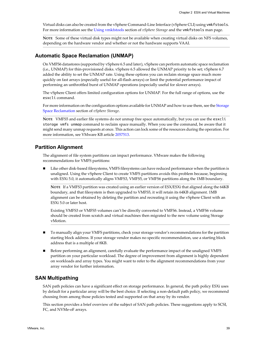Virtual disks can also be created from the vSphere Command-Line Interface (vSphere CLI) using vmkfstools. For more information see the [Using vmkfstools](https://docs.vmware.com/en/VMware-vSphere/7.0/com.vmware.vsphere.storage.doc/GUID-A5D85C33-A510-4A3E-8FC7-93E6BA0A048F.html) section of *vSphere Storage* and the vmkfstools man page.

**NOTE** Some of these virtual disk types might not be available when creating virtual disks on NFS volumes, depending on the hardware vendor and whether or not the hardware supports VAAI.

#### **Automatic Space Reclamation (UNMAP)**

On VMFS6 datastores (supported by vSphere 6.5 and later), vSphere can perform automatic space reclamation (i.e., UNMAP) for thin-provisioned disks. vSphere 6.5 allowed the UNMAP priority to be set; vSphere 6.7 added the ability to set the UNMAP rate. Using these options you can reclaim storage space much more quickly on fast arrays (especially useful for all-flash arrays) or limit the potential performance impact of performing an unthrottled burst of UNMAP operations (especially useful for slower arrays).

The vSphere Client offers limited configuration options for UNMAP. For the full range of options, use the esxcli command.

For more information on the configuration options available for UNMAP and how to use them, see the Storage [Space Reclamation](https://docs.vmware.com/en/VMware-vSphere/7.0/com.vmware.vsphere.storage.doc/GUID-B40D1420-26FD-4318-8A72-FA29C9A395C2.html) section of *vSphere Storage*.

**NOTE** VMFS5 and earlier file systems do not unmap free space automatically, but you can use the esxcli storage vmfs unmap command to reclaim space manually. When you use the command, be aware that it might send many unmap requests at once. This action can lock some of the resources during the operation. For more information, see VMware KB article [2057513.](https://kb.vmware.com/s/article/2057513)

#### **Partition Alignment**

The alignment of file system partitions can impact performance. VMware makes the following recommendations for VMFS partitions:

 Like other disk-based filesystems, VMFS filesystems can have reduced performance when the partition is unaligned. Using the vSphere Client to create VMFS partitions avoids this problem because, beginning with ESXi 5.0, it automatically aligns VMFS3, VMFS5, or VMFS6 partitions along the 1MB boundary.

**NOTE** If a VMFS3 partition was created using an earlier version of ESX/ESXi that aligned along the 64KB boundary, and that filesystem is then upgraded to VMFS5, it will retain its 64KB alignment. 1MB alignment can be obtained by deleting the partition and recreating it using the vSphere Client with an ESXi 5.0 or later host.

Existing VMFS3 or VMFS5 volumes can't be directly converted to VMFS6. Instead, a VMFS6 volume should be created from scratch and virtual machines then migrated to the new volume using Storage vMotion.

- To manually align your VMFS partitions, check your storage vendor's recommendations for the partition starting block address. If your storage vendor makes no specific recommendation, use a starting block address that is a multiple of 8KB.
- Before performing an alignment, carefully evaluate the performance impact of the unaligned VMFS partition on your particular workload. The degree of improvement from alignment is highly dependent on workloads and array types. You might want to refer to the alignment recommendations from your array vendor for further information.

# **SAN Multipathing**

SAN path policies can have a significant effect on storage performance. In general, the path policy ESXi uses by default for a particular array will be the best choice. If selecting a non-default path policy, we recommend choosing from among those policies tested and supported on that array by its vendor.

This section provides a brief overview of the subject of SAN path policies. These suggestions apply to SCSI, FC, and NVMe-oF arrays.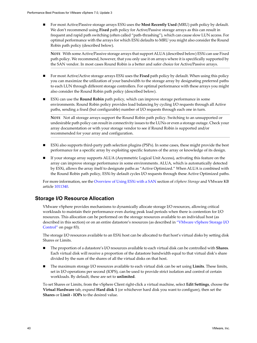■ For most Active/Passive storage arrays ESXi uses the **Most Recently Used** (MRU) path policy by default. We don't recommend using **Fixed** path policy for Active/Passive storage arrays as this can result in frequent and rapid path switching (often called "path-thrashing"), which can cause slow LUN access. For optimal performance with the arrays for which ESXi defaults to MRU you might also consider the Round Robin path policy (described below).

**NOTE** With some Active/Passive storage arrays that support ALUA (described below) ESXi can use Fixed path policy. We recommend, however, that you only use it on arrays where it is specifically supported by the SAN vendor. In most cases Round Robin is a better and safer choice for Active/Passive arrays.

- For most Active/Active storage arrays ESXi uses the **Fixed** path policy by default. When using this policy you can maximize the utilization of your bandwidth to the storage array by designating preferred paths to each LUN through different storage controllers. For optimal performance with these arrays you might also consider the Round Robin path policy (described below).
- ESXi can use the **Round Robin** path policy, which can improve storage performance in some environments. Round Robin policy provides load balancing by cycling I/O requests through all Active paths, sending a fixed (but configurable) number of I/O requests through each one in turn.

**NOTE** Not all storage arrays support the Round Robin path policy. Switching to an unsupported or undesirable path policy can result in connectivity issues to the LUNs or even a storage outage. Check your array documentation or with your storage vendor to see if Round Robin is supported and/or recommended for your array and configuration.

- ESXi also supports third-party path selection plugins (PSPs). In some cases, these might provide the best performance for a specific array by exploiting specific features of the array or knowledge of its design.
- If your storage array supports ALUA (Asymmetric Logical Unit Access), activating this feature on the array can improve storage performance in some environments. ALUA, which is automatically detected by ESXi, allows the array itself to designate paths as "Active Optimized." When ALUA is combined with the Round Robin path policy, ESXi by default cycles I/O requests through these Active Optimized paths.

For more information, see the [Overview of Using ESXi with a SAN](https://docs.vmware.com/en/VMware-vSphere/7.0/com.vmware.vsphere.storage.doc/GUID-CC4A9BA1-AB17-4D83-9145-20B7C3024E24.html) section of *vSphere Storage* and VMware KB article [1011340](https://kb.vmware.com/s/article/1011340).

# **Storage I/O Resource Allocation**

VMware vSphere provides mechanisms to dynamically allocate storage I/O resources, allowing critical workloads to maintain their performance even during peak load periods when there is contention for I/O resources. This allocation can be performed on the storage resources available to an individual host (as described in this section) or on an entire datastore's resources (as described in ["VMware vSphere Storage I/O](#page-82-0)  [Control" on page 83](#page-82-0)).

The storage I/O resources available to an ESXi host can be allocated to that host's virtual disks by setting disk Shares or Limits.

- The proportion of a datastore's I/O resources available to each virtual disk can be controlled with **Shares**. Each virtual disk will receive a proportion of the datastore bandwidth equal to that virtual disk's share divided by the sum of the shares of all the virtual disks on that host.
- The maximum storage I/O resources available to each virtual disk can be set using **Limits**. These limits, set in I/O operations per second (IOPS), can be used to provide strict isolation and control of certain workloads. By default, these are set to **unlimited**.

To set Shares or Limits, from the vSphere Client right-click a virtual machine, select **Edit Settings**, choose the **Virtual Hardware** tab, expand **Hard disk 1** (or whichever hard disk you want to configure), then set the **Shares** or **Limit - IOPs** to the desired value.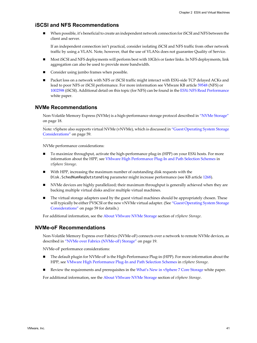## **iSCSI and NFS Recommendations**

 When possible, it's beneficial to create an independent network connection for iSCSI and NFS between the client and server.

If an independent connection isn't practical, consider isolating iSCSI and NFS traffic from other network traffic by using a VLAN. Note, however, that the use of VLANs does not guarantee Quality of Service.

- Most iSCSI and NFS deployments will perform best with 10Gb/s or faster links. In NFS deployments, link aggregation can also be used to provide more bandwidth.
- Consider using jumbo frames when possible.
- Packet loss on a network with NFS or iSCSI traffic might interact with ESXi-side TCP delayed ACKs and lead to poor NFS or iSCSI performance. For more information see VMware KB article [59548](https://kb.vmware.com/s/article/59548) (NFS) or [1002598](https://kb.vmware.com/s/article/1002598) (iSCSI). Additional detail on this topic (for NFS) can be found in the [ESXi NFS Read Performance](https://www.vmware.com/techpapers/2020/esxi7-nfs-read-perf.html) white paper.

#### **NVMe Recommendations**

Non-Volatile Memory Express (NVMe) is a high-performance storage protocol described in ["NVMe Storage"](#page-17-0) [on page 18.](#page-17-0)

Note: vSphere also supports virtual NVMe (vNVMe), which is discussed in ["Guest Operating System Storage](#page-58-0)  [Considerations" on page 59.](#page-58-0)

NVMe performance considerations:

- To maximize throughput, activate the high-performance plug-in (HPP) on your ESXi hosts. For more information about the HPP, see [VMware High Performance Plug-In and Path Selection Schemes](https://docs.vmware.com/en/VMware-vSphere/7.0/com.vmware.vsphere.storage.doc/GUID-F7B60A5A-D077-4E37-8CA7-8CB912173D24.html) in *vSphere Storage*.
- With HPP, increasing the maximum number of outstanding disk requests with the Disk.SchedNumReqOutstanding parameter might increase performance (see KB article [1268](https://kb.vmware.com/s/article/1268)).
- NVMe devices are highly parallelized; their maximum throughput is generally achieved when they are backing multiple virtual disks and/or multiple virtual machines.
- The virtual storage adapters used by the guest virtual machines should be appropriately chosen. These will typically be either PVSCSI or the new vNVMe virtual adapter. (See "Guest Operating System Storage [Considerations" on page 59](#page-58-0) for details.)

For additional information, see the [About VMware NVMe Storage](https://docs.vmware.com/en/VMware-vSphere/7.0/com.vmware.vsphere.storage.doc/GUID-2A80F528-5B7D-4BE9-8EF6-52E2301DC423.html) section of *vSphere Storage*.

#### **NVMe-oF Recommendations**

Non-Volatile Memory Express over Fabrics (NVMe-oF) connects over a network to remote NVMe devices, as described in ["NVMe over Fabrics \(NVMe-oF\) Storage" on page 19](#page-18-0).

NVMe-oF performance considerations:

- The default plugin for NVMe-oF is the High-Performance Plug-in (HPP). For more information about the HPP, see [VMware High Performance Plug-In and Path Selection Schemes](https://docs.vmware.com/en/VMware-vSphere/7.0/com.vmware.vsphere.storage.doc/GUID-F7B60A5A-D077-4E37-8CA7-8CB912173D24.html) in *vSphere Storage*.
- Review the requirements and prerequisites in the [What's New in vSphere 7 Core Storage](https://core.vmware.com/resource/whats-new-vsphere-7-core-storage#sec1-sub1) white paper.

For additional information, see the [About VMware NVMe Storage](https://docs.vmware.com/en/VMware-vSphere/7.0/com.vmware.vsphere.storage.doc/GUID-2A80F528-5B7D-4BE9-8EF6-52E2301DC423.html) section of *vSphere Storage*.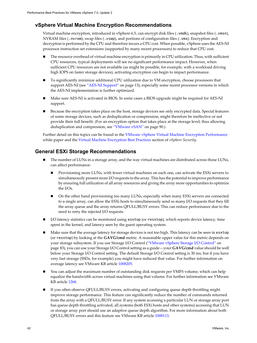# **vSphere Virtual Machine Encryption Recommendations**

Virtual machine encryption, introduced in vSphere 6.5, can encrypt disk files (. vmdk), snapshot files (. vmsn), NVRAM files (.nvram), swap files (.vswp), and portions of configuration files (.vmx). Encryption and decryption is performed by the CPU and therefore incurs a CPU cost. When possible, vSphere uses the AES-NI processor instruction set extensions (supported by many recent processors) to reduce that CPU cost.

- The resource overhead of virtual machine encryption is primarily in CPU utilization. Thus, with sufficient CPU resources, typical deployments will see no significant performance impact. However, when sufficient CPU resources are not available (as might be possible, for example, with a workload driving high IOPS on faster storage devices), activating encryption can begin to impact performance.
- To significantly minimize additional CPU utilization due to VM encryption, choose processors that support AES-NI (see ["AES-NI Support" on page 13](#page-12-0)), especially some recent processor versions in which the AES-NI implementation is further optimized.
- Make sure AES-NI is activated in BIOS. In some cases a BIOS upgrade might be required for AES-NI support.
- Because the encryption takes place on the host, storage devices see only encrypted data. Special features of some storage devices, such as deduplication or compression, might therefore be ineffective or not provide their full benefit. (For an encryption option that takes place at the storage level, thus allowing deduplication and compression, see ["VMware vSAN" on page 90](#page-89-0).)

Further detail on this topics can be found in the [VMware vSphere Virtual Machine Encryption Performance](https://www.vmware.com/techpapers/2016/vm-encryption-vsphere65-perf.html) white paper and the [Virtual Machine Encryption Best Practices](https://docs.vmware.com/en/VMware-vSphere/7.0/com.vmware.vsphere.security.doc/GUID-B3DA9865-A28F-4EFD-ACF4-CBC8813ED110.html) section of *vSphere Security*.

# **General ESXi Storage Recommendations**

- The number of LUNs in a storage array, and the way virtual machines are distributed across those LUNs, can affect performance:
	- Provisioning more LUNs, with fewer virtual machines on each one, can activate the ESXi servers to simultaneously present more I/O requests to the array. This has the potential to improve performance by ensuring full utilization of all array resources and giving the array more opportunities to optimize the I/Os.
	- On the other hand provisioning too many LUNs, especially when many ESXi servers are connected to a single array, can allow the ESXi hosts to simultaneously send so many I/O requests that they fill the array queue and the array returns QFULL/BUSY errors. This can reduce performance due to the need to retry the rejected I/O requests.
- I/O latency statistics can be monitored using esxtop (or resxtop), which reports device latency, time spent in the kernel, and latency seen by the guest operating system.
- Make sure that the average latency for storage devices is not too high. This latency can be seen in esxtop (or resxtop) by looking at the **GAVG/cmd** metric. A reasonable upper value for this metric depends on your storage subsystem. If you use Storage I/O Control (["VMware vSphere Storage I/O Control" on](#page-82-0)  [page 83](#page-82-0)), you can use your Storage I/O Control setting as a guide—your **GAVG/cmd** value should be well below your Storage I/O Control setting. The default Storage I/O Control setting is 30 ms, but if you have very fast storage (SSDs, for example) you might have reduced that value. For further information on average latency see VMware KB article [1008205](https://kb.vmware.com/s/article/1008205).
- You can adjust the maximum number of outstanding disk requests per VMFS volume, which can help equalize the bandwidth across virtual machines using that volume. For further information see VMware KB article [1268](https://kb.vmware.com/s/article/1268).
- If you often observe QFULL/BUSY errors, activating and configuring queue depth throttling might improve storage performance. This feature can significantly reduce the number of commands returned from the array with a QFULL/BUSY error. If any system accessing a particular LUN or storage array port has queue depth throttling activated, all systems (both ESXi hosts and other systems) accessing that LUN or storage array port should use an adaptive queue depth algorithm. For more information about both QFULL/BUSY errors and this feature see VMware KB article [1008113.](https://kb.vmware.com/s/article/1008113)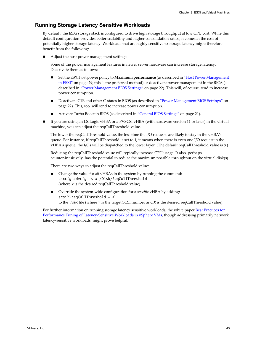#### **Running Storage Latency Sensitive Workloads**

By default, the ESXi storage stack is configured to drive high storage throughput at low CPU cost. While this default configuration provides better scalability and higher consolidation ratios, it comes at the cost of potentially higher storage latency. Workloads that are highly sensitive to storage latency might therefore benefit from the following:

Adjust the host power management settings:

Some of the power management features in newer server hardware can increase storage latency. Deactivate them as follows:

- Set the ESXi host power policy to **Maximum performance** (as described in ["Host Power Management](#page-28-0)  [in ESXi" on page 29;](#page-28-0) this is the preferred method) or deactivate power management in the BIOS (as described in ["Power Management BIOS Settings" on page 22](#page-21-0)). This will, of course, tend to increase power consumption.
- Deactivate C1E and other C-states in BIOS (as described in "Power Management BIOS Settings" on [page 22](#page-21-0)). This, too, will tend to increase power consumption.
- Activate Turbo Boost in BIOS (as described in ["General BIOS Settings" on page 21\)](#page-20-0).
- If you are using an LSILogic vHBA or a PVSCSI vHBA (with hardware version 11 or later) in the virtual machine, you can adjust the reqCallThreshold value.

The lower the reqCallThreshold value, the less time the I/O requests are likely to stay in the vHBAʹs queue. For instance, if reqCallThreshold is set to 1, it means when there is even one I/O request in the vHBAʹs queue, the I/Os will be dispatched to the lower layer. (The default reqCallThreshold value is 8.)

Reducing the reqCallThreshold value will typically increase CPU usage. It also, perhaps counter-intuitively, has the potential to reduce the maximum possible throughput on the virtual disk(s).

There are two ways to adjust the reqCallThreshold value:

- Change the value for *all* vHBAs in the system by running the command: esxcfg-advcfg -s *x* /Disk/ReqCallThreshold (where *x* is the desired reqCallThreshold value).
- Override the system-wide configuration for a *specific* vHBA by adding: scsi*Y*.reqCallThreshold = *X* to the .vmx file (where *Y* is the target SCSI number and *X* is the desired reqCallThreshold value).

For further information on running storage latency sensitive workloads, the white paper [Best Practices for](https://www.vmware.com/techpapers/2011/best-practices-for-performance-tuning-of-latency-s-10220.html)  [Performance Tuning of Latency-Sensitive Workloads in vSphere VMs,](https://www.vmware.com/techpapers/2011/best-practices-for-performance-tuning-of-latency-s-10220.html) though addressing primarily network latency-sensitive workloads, might prove helpful.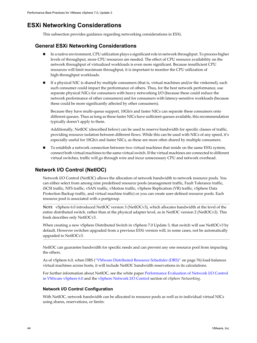# **ESXi Networking Considerations**

This subsection provides guidance regarding networking considerations in ESXi.

# **General ESXi Networking Considerations**

- In a native environment, CPU utilization plays a significant role in network throughput. To process higher levels of throughput, more CPU resources are needed. The effect of CPU resource availability on the network throughput of virtualized workloads is even more significant. Because insufficient CPU resources will limit maximum throughput, it is important to monitor the CPU utilization of high-throughput workloads.
- If a physical NIC is shared by multiple consumers (that is, virtual machines and/or the vmkernel), each such consumer could impact the performance of others. Thus, for the best network performance, use separate physical NICs for consumers with heavy networking I/O (because these could reduce the network performance of other consumers) and for consumers with latency-sensitive workloads (because these could be more significantly affected by other consumers).

Because they have multi-queue support, 10Gb/s and faster NICs can separate these consumers onto different queues. Thus as long as these faster NICs have sufficient queues available, this recommendation typically doesn't apply to them.

Additionally, NetIOC (described below) can be used to reserve bandwidth for specific classes of traffic, providing resource isolation between different flows. While this can be used with NICs of any speed, it's especially useful for 10Gb/s and faster NICs, as these are more often shared by multiple consumers.

■ To establish a network connection between two virtual machines that reside on the same ESXi system, connect both virtual machines to the same virtual switch. If the virtual machines are connected to different virtual switches, traffic will go through wire and incur unnecessary CPU and network overhead.

# **Network I/O Control (NetIOC)**

Network I/O Control (NetIOC) allows the allocation of network bandwidth to network resource pools. You can either select from among nine predefined resource pools (management traffic, Fault Tolerance traffic, iSCSI traffic, NFS traffic, vSAN traffic, vMotion traffic, vSphere Replication (VR) traffic, vSphere Data Protection Backup traffic, and virtual machine traffic) or you can create user-defined resource pools. Each resource pool is associated with a portgroup.

**NOTE** vSphere 6.0 introduced NetIOC version 3 (NetIOCv3), which allocates bandwidth at the level of the entire distributed switch, rather than at the physical adapter level, as in NetIOC version 2 (NetIOCv2). This book describes only NetIOCv3.

When creating a new vSphere Distributed Switch in vSphere 7.0 Update 3, that switch will use NetIOCv3 by default. However switches upgraded from a previous ESXi version will, in some cases, not be automatically upgraded to NetIOCv3.

NetIOC can guarantee bandwidth for specific needs and can prevent any one resource pool from impacting the others.

As of vSphere 6.0, when DRS [\("VMware Distributed Resource Scheduler \(DRS\)" on page 76](#page-75-0)) load-balances virtual machines across hosts, it will include NetIOC bandwidth reservations in its calculations.

For further information about NetIOC, see the white paper [Performance Evaluation of Network I/O Control](https://www.vmware.com/techpapers/2015/performance-evaluation-of-network-io-control-in-v-10454.html)  [in VMware vSphere 6.0](https://www.vmware.com/techpapers/2015/performance-evaluation-of-network-io-control-in-v-10454.html) and the [vSphere Network I/O Control](https://docs.vmware.com/en/VMware-vSphere/7.0/com.vmware.vsphere.networking.doc/GUID-ADEA0213-C969-43E4-B1F4-66D4A916EBDF.html) section of *vSphere Networking*.

#### **Network I/O Control Configuration**

With NetIOC, network bandwidth can be allocated to resource pools as well as to individual virtual NICs using shares, reservations, or limits: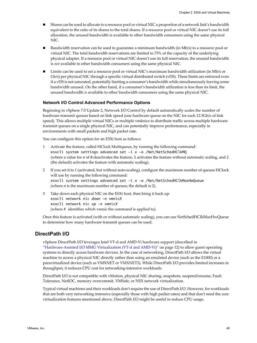- Shares can be used to allocate to a resource pool or virtual NIC a proportion of a network link's bandwidth equivalent to the ratio of its shares to the total shares. If a resource pool or virtual NIC doesn't use its full allocation, the unused bandwidth is available to other bandwidth consumers using the same physical NIC.
- Bandwidth reservation can be used to guarantee a minimum bandwidth (in Mb/s) to a resource pool or virtual NIC. The total bandwidth reservations are limited to 75% of the capacity of the underlying physical adapter. If a resource pool or virtual NIC doesn't use its full reservation, the unused bandwidth is *not* available to other bandwidth consumers using the same physical NIC.
- Limits can be used to set a resource pool or virtual NIC's maximum bandwidth utilization (in Mb/s or Gb/s) per physical NIC through a specific virtual distributed switch (vDS). These limits are enforced even if a vDS is not saturated, potentially limiting a consumer's bandwidth while simultaneously leaving some bandwidth unused. On the other hand, if a consumer's bandwidth utilization is less than its limit, the unused bandwidth *is* available to other bandwidth consumers using the same physical NIC.

#### **Network I/O Control Advanced Performance Options**

Beginning in vSphere 7.0 Update 2, Network I/O Control by default automatically scales the number of hardware transmit queues based on link speed (one hardware queue on the NIC for each 12.5Gb/s of link speed). This allows multiple virtual NICs or multiple vmknics to distribute traffic across multiple hardware transmit queues on a single physical NIC, and can potentially improve performance, especially in environments with small packets and high packet rate.

You can configure this option for an ESXi host as follows:

- 1 Activate the feature, called HClock Multiqueue, by running the following command: esxcli system settings advanced set -i *x* -o /Net/NetSchedHClkMQ (where a value for *x* of 0 deactivates the feature, 1 activates the feature without automatic scaling, and 2 (the default) activates the feature with automatic scaling).
- 2 If you set it to 1 (activated, but without auto-scaling), configure the maximum number of queues HClock will use by running the following command: esxcli system settings advanced set -i *n* -o /Net/NetSchedHClkMaxHwQueue (where *n* is the maximum number of queues; the default is 2).
- 3 Take down each physical NIC on the ESXi host, then bring it back up: esxcli network nic down -n vmnic*X* esxcli network nic up -n vmnic*X* (where *X* identifies which vmnic the command is applied to).

Once this feature is activated (with or without automatic scaling), you can use NetSchedHClkMaxHwQueue to determine how many hardware transmit queues can be used.

#### <span id="page-44-0"></span>**DirectPath I/O**

vSphere DirectPath I/O leverages Intel VT-d and AMD-Vi hardware support (described in ["Hardware-Assisted I/O MMU Virtualization \(VT-d and AMD-Vi\)" on page 12\)](#page-11-0) to allow guest operating systems to directly access hardware devices. In the case of networking, DirectPath I/O allows the virtual machine to access a physical NIC directly rather than using an emulated device (such as the E1000) or a paravirtualized device (such as VMXNET or VMXNET3). While DirectPath I/O provides limited increases in throughput, it reduces CPU cost for networking-intensive workloads.

DirectPath I/O is not compatible with vMotion, physical NIC sharing, snapshots, suspend/resume, Fault Tolerance, NetIOC, memory overcommit, VMSafe, or NSX network virtualization.

Typical virtual machines and their workloads don't require the use of DirectPath I/O. However, for workloads that are both very networking intensive (especially those with high packet rates) and that don't need the core virtualization features mentioned above, DirectPath I/O might be useful to reduce CPU usage.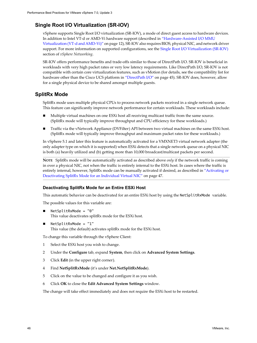# <span id="page-45-1"></span><span id="page-45-0"></span>**Single Root I/O Virtualization (SR-IOV)**

vSphere supports Single Root I/O virtualization (SR-IOV), a mode of direct guest access to hardware devices. In addition to Intel VT-d or AMD-Vi hardware support (described in ["Hardware-Assisted I/O MMU](#page-11-0)  [Virtualization \(VT-d and AMD-Vi\)" on page 12](#page-11-0)), SR-IOV also requires BIOS, physical NIC, and network driver support. For more information on supported configurations, see the [Single Root I/O Virtualization \(SR-IOV\)](https://docs.vmware.com/en/VMware-vSphere/7.0/com.vmware.vsphere.networking.doc/GUID-CC021803-30EA-444D-BCBE-618E0D836B9F.html?hWord=N4IghgNiBcIM4CcC0BLA9gNxAXyA) section of *vSphere Networking*.

SR-IOV offers performance benefits and trade-offs similar to those of DirectPath I/O. SR-IOV is beneficial in workloads with very high packet rates or very low latency requirements. Like DirectPath I/O, SR-IOV is not compatible with certain core virtualization features, such as vMotion (for details, see the compatibility list for hardware other than the Cisco UCS platform in ["DirectPath I/O" on page 45\)](#page-44-0). SR-IOV does, however, allow for a single physical device to be shared amongst multiple guests.

# **SplitRx Mode**

SplitRx mode uses multiple physical CPUs to process network packets received in a single network queue. This feature can significantly improve network performance for certain workloads. These workloads include:

- Multiple virtual machines on one ESXi host all receiving multicast traffic from the same source. (SplitRx mode will typically improve throughput and CPU efficiency for these workloads.)
- Traffic via the vNetwork Appliance (DVFilter) API between two virtual machines on the same ESXi host. (SplitRx mode will typically improve throughput and maximum packet rates for these workloads.)

In vSphere 5.1 and later this feature is automatically activated for a VMXNET3 virtual network adapter (the only adapter type on which it is supported) when ESXi detects that a single network queue on a physical NIC is both (a) heavily utilized and (b) getting more than 10,000 broadcast/multicast packets per second.

**NOTE** SplitRx mode will be automatically activated as described above *only* if the network traffic is coming in over a physical NIC, not when the traffic is entirely internal to the ESXi host. In cases where the traffic is entirely internal, however, SplitRx mode can be manually activated if desired, as described in ["Activating or](#page-46-0)  [Deactivating SplitRx Mode for an Individual Virtual NIC" on page 47.](#page-46-0)

#### **Deactivating SplitRx Mode for an Entire ESXi Host**

This automatic behavior can be deactivated for an entire ESXi host by using the NetSplitRxMode variable.

The possible values for this variable are:

- NetSplitRxMode = "0" This value deactivates splitRx mode for the ESXi host.
- NetSplitRxMode = "1" This value (the default) activates splitRx mode for the ESXi host.

To change this variable through the vSphere Client:

- 1 Select the ESXi host you wish to change.
- 2 Under the **Configure** tab, expand **System**, then click on **Advanced System Settings**.
- 3 Click **Edit** (in the upper right corner).
- 4 Find **NetSplitRxMode** (it's under **Net.NetSplitRxMode**).
- 5 Click on the value to be changed and configure it as you wish.
- 6 Click **OK** to close the **Edit Advanced System Settings** window.

The change will take effect immediately and does not require the ESXi host to be restarted.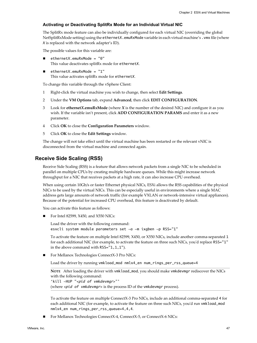#### <span id="page-46-0"></span>**Activating or Deactivating SplitRx Mode for an Individual Virtual NIC**

The SplitRx mode feature can also be individually configured for each virtual NIC (overriding the global NetSplitRxMode setting) using the ethernet*X*.emuRxMode variable in each virtual machine's .vmx file (where *X* is replaced with the network adapter's ID).

The possible values for this variable are:

- $ethernetX$ .emuRxMode =  $"0"$ This value deactivates splitRx mode for ethernet*X*.
- ethernet*X*.emuRxMode = "1" This value activates splitRx mode for ethernet*X*.

To change this variable through the vSphere Client:

- 1 Right-click the virtual machine you wish to change, then select **Edit Settings**.
- 2 Under the **VM Options** tab, expand **Advanced**, then click **EDIT CONFIGURATION**.
- 3 Look for **ethernet***X***.emuRxMode** (where *X* is the number of the desired NIC) and configure it as you wish. If the variable isn't present, click **ADD CONFIGURATION PARAMS** and enter it as a new parameter.
- 4 Click **OK** to close the **Configuration Parameters** window.
- 5 Click **OK** to close the **Edit Settings** window.

The change will not take effect until the virtual machine has been restarted or the relevant vNIC is disconnected from the virtual machine and connected again.

#### **Receive Side Scaling (RSS)**

Receive Side Scaling (RSS) is a feature that allows network packets from a single NIC to be scheduled in parallel on multiple CPUs by creating multiple hardware queues. While this might increase network throughput for a NIC that receives packets at a high rate, it can also increase CPU overhead.

When using certain 10Gb/s or faster Ethernet physical NICs, ESXi allows the RSS capabilities of the physical NICs to be used by the virtual NICs. This can be especially useful in environments where a single MAC address gets large amounts of network traffic (for example VXLAN or network-intensive virtual appliances). Because of the potential for increased CPU overhead, this feature is deactivated by default.

You can activate this feature as follows:

For Intel 82599, X450, and X550 NICs:

Load the driver with the following command: esxcli system module parameters set -a -m ixgben -p RSS="1"

To activate the feature on multiple Intel 82599, X450, or X550 NICs, include another comma-separated 1 for each additional NIC (for example, to activate the feature on three such NICs, youʹd replace RSS="1" in the above command with RSS="1,1,1").

For Mellanox Technologies ConnectX-3 Pro NICs:

Load the driver by running vmkload\_mod nmlx4\_en num\_rings\_per\_rss\_queue=4

**NOTE** After loading the driver with vmkload\_mod, you should make vmkdevmgr rediscover the NICs with the following command: 'kill -HUP "<*pid of vmkdevmgr*>"' (where <*pid of vmkdevmgr*> is the process ID of the vmkdevmgr process).

To activate the feature on multiple ConnectX-3 Pro NICs, include an additional comma-separated 4 for each additional NIC (for example, to activate the feature on three such NICs, you'd run vmkload\_mod nmlx4\_en num\_rings\_per\_rss\_queue=4,4,4.

For Mellanox Technologies ConnectX-4, ConnectX-5, or ConnectX-6 NICs: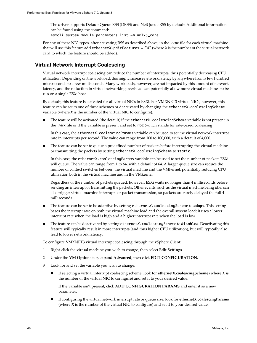The driver supports Default Queue RSS (DRSS) and NetQueue RSS by default. Additional information can be found using the command:

esxcli system module parameters list -m nmlx5\_core

For any of these NIC types, after activating RSS as described above, in the . vmx file for each virtual machine that will use this feature add  $ethernetX$ .  $pNicFeatures = "4"$  (where  $X$  is the number of the virtual network card to which the feature should be added).

# <span id="page-47-0"></span>**Virtual Network Interrupt Coalescing**

Virtual network interrupt coalescing can reduce the number of interrupts, thus potentially decreasing CPU utilization. Depending on the workload, this might increase network latency by anywhere from a few hundred microseconds to a few milliseconds. Many workloads, however, are not impacted by this amount of network latency, and the reduction in virtual networking overhead can potentially allow more virtual machines to be run on a single ESXi host.

By default, this feature is activated for all virtual NICs in ESXi. For VMXNET3 virtual NICs, however, this feature can be set to one of three schemes or deactivated by changing the ethernet*X*.coalescingScheme variable (where *X* is the number of the virtual NIC to configure).

 The feature will be activated (the default) if the ethernet*X*.coalescingScheme variable is not present in the .vmx file or if the variable is present and set to **rbc** (which stands for rate-based coalescing)

In this case, the ethernetX.coalescingParams variable can be used to set the virtual network interrupt rate in interrupts per second. The value can range from 100 to 100,000, with a default of 4,000.

 The feature can be set to queue a predefined number of packets before interrupting the virtual machine or transmitting the packets by setting ethernet*X*.coalescingScheme to **static**.

In this case, the ethernetX.coalescingParams variable can be used to set the number of packets ESXi will queue. The value can range from 1 to 64, with a default of 64. A larger queue size can reduce the number of context switches between the virtual machine and the VMkernel, potentially reducing CPU utilization both in the virtual machine and in the VMkernel.

Regardless of the number of packets queued, however, ESXi waits no longer than 4 milliseconds before sending an interrupt or transmitting the packets. Other events, such as the virtual machine being idle, can also trigger virtual machine interrupts or packet transmission, so packets are rarely delayed the full 4 milliseconds.

- The feature can be set to be adaptive by setting ethernet*X*.coalescingScheme to **adapt**. This setting bases the interrupt rate on both the virtual machine load and the overall system load; it uses a lower interrupt rate when the load is high and a higher interrupt rate when the load is low.
- The feature can be deactivated by setting ethernet*X*.coalescingScheme to **disabled**. Deactivating this feature will typically result in more interrupts (and thus higher CPU utilization), but will typically also lead to lower network latency.

To configure VMXNET3 virtual interrupt coalescing through the vSphere Client:

- 1 Right-click the virtual machine you wish to change, then select **Edit Settings**.
- 2 Under the **VM Options** tab, expand **Advanced**, then click **EDIT CONFIGURATION**.
- 3 Look for and set the variable you wish to change:
	- If selecting a virtual interrupt coalescing scheme, look for **ethernetX.coalescingScheme** (where **X** is the number of the virtual NIC to configure) and set it to your desired value.

If the variable isn't present, click **ADD CONFIGURATION PARAMS** and enter it as a new parameter.

 If configuring the virtual network interrupt rate or queue size, look for **ethernetX.coalescingParams** (where **X** is the number of the virtual NIC to configure) and set it to your desired value.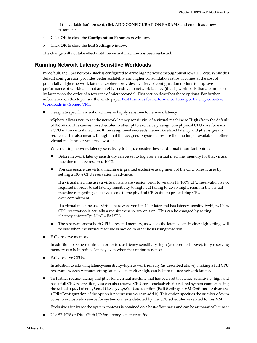If the variable isn't present, click **ADD CONFIGURATION PARAMS** and enter it as a new parameter.

- 4 Click **OK** to close the **Configuration Parameters** window.
- 5 Click **OK** to close the **Edit Settings** window.

The change will not take effect until the virtual machine has been restarted.

#### **Running Network Latency Sensitive Workloads**

By default, the ESXi network stack is configured to drive high network throughput at low CPU cost. While this default configuration provides better scalability and higher consolidation ratios, it comes at the cost of potentially higher network latency. vSphere provides a variety of configuration options to improve performance of workloads that are highly sensitive to network latency (that is, workloads that are impacted by latency on the order of a few tens of microseconds). This section describes those options. For further information on this topic, see the white paper [Best Practices for Performance Tuning of Latency-Sensitive](https://www.vmware.com/techpapers/2011/best-practices-for-performance-tuning-of-latency-s-10220.html)  [Workloads in vSphere VMs.](https://www.vmware.com/techpapers/2011/best-practices-for-performance-tuning-of-latency-s-10220.html)

Designate specific virtual machines as highly sensitive to network latency.

vSphere allows you to set the network latency sensitivity of a virtual machine to **High** (from the default of **Normal**). This causes the scheduler to attempt to exclusively assign one physical CPU core for each vCPU in the virtual machine. If the assignment succeeds, network-related latency and jitter is greatly reduced. This also means, though, that the assigned physical cores are then no longer available to other virtual machines or vmkernel worlds.

When setting network latency sensitivity to high, consider these additional important points:

- Before network latency sensitivity can be set to high for a virtual machine, memory for that virtual machine must be reserved 100%.
- You can ensure the virtual machine is granted exclusive assignment of the CPU cores it uses by setting a 100% CPU reservation in advance.

If a virtual machine uses a virtual hardware version prior to version 14, 100% CPU reservation is not required in order to set latency sensitivity to high, but failing to do so might result in the virtual machine not getting exclusive access to the physical CPUs due to pre-existing CPU over-commitment.

If a virtual machine uses virtual hardware version 14 or later and has latency-sensitivity=high, 100% CPU reservation is actually a requirement to power it on. (This can be changed by setting "latency.enforceCpuMin" = FALSE.)

- The reservations for both CPU cores and memory, as well as the latency-sensitivity=high setting, will persist when the virtual machine is moved to other hosts using vMotion.
- Fully reserve memory.

In addition to being required in order to use latency-sensitivity=high (as described above), fully reserving memory can help reduce latency even when that option is not set.

**Fully reserve CPUs.** 

In addition to allowing latency-sensitivity=high to work reliably (as described above), making a full CPU reservation, even without setting latency-sensitivity=high, can help to reduce network latency.

■ To further reduce latency and jitter for a virtual machine that has been set to latency-sensitivity=high and has a full CPU reservation, you can also reserve CPU cores exclusively for related system contexts using the sched.cpu.latencySensitivity.sysContexts option (**Edit Settings** > **VM Options** > **Advanced** > **Edit Configuration**; if the option is not present you can add it). This option specifies the number of extra cores to exclusively reserve for system contexts detected by the CPU scheduler as related to this VM.

Exclusive affinity for the system contexts is obtained on a best-effort basis and can be automatically unset.

Use SR-IOV or DirectPath I/O for latency sensitive traffic.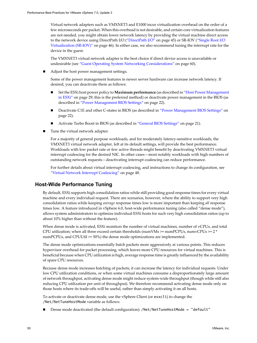Virtual network adapters such as VMXNET3 and E1000 incur virtualization overhead on the order of a few microseconds per packet. When this overhead is not desirable, and certain core virtualization features are not needed, you might obtain lower network latency by providing the virtual machine direct access to the network device using DirectPath I/O [\("DirectPath I/O" on page 45\)](#page-44-0) or SR-IOV [\("Single Root I/O](#page-45-0)  [Virtualization \(SR-IOV\)" on page 46\)](#page-45-0). In either case, we also recommend tuning the interrupt rate for the device in the guest.

The VMXNET3 virtual network adapter is the best choice if direct device access is unavailable or undesirable (see ["Guest Operating System Networking Considerations" on page 60](#page-59-0)).

Adjust the host power management settings.

Some of the power management features in newer server hardware can increase network latency. If desired, you can deactivate them as follows:

- Set the ESXi host power policy to **Maximum performance** (as described in ["Host Power Management](#page-28-0)  [in ESXi" on page 29;](#page-28-0) this is the preferred method) or deactivate power management in the BIOS (as described in ["Power Management BIOS Settings" on page 22](#page-21-0)).
- Deactivate C1E and other C-states in BIOS (as described in "Power Management BIOS Settings" on [page 22](#page-21-0)).
- Activate Turbo Boost in BIOS (as described in ["General BIOS Settings" on page 21\)](#page-20-0).
- Tune the virtual network adapter.

For a majority of general purpose workloads, and for moderately latency-sensitive workloads, the VMXNET3 virtual network adapter, left at its default settings, will provide the best performance. Workloads with low packet rate or few active threads might benefit by deactivating VMXNET3 virtual interrupt coalescing for the desired NIC. In other cases—most notably workloads with high numbers of outstanding network requests—deactivating interrupt coalescing can reduce performance.

For further details about virtual interrupt coalescing, and instructions to change its configuration, see ["Virtual Network Interrupt Coalescing" on page 48](#page-47-0).

#### **Host-Wide Performance Tuning**

By default, ESXi supports high consolidation ratios while still providing good response times for every virtual machine and every individual request. There are scenarios, however, where the ability to support very high consolidation ratios while keeping *average* response times low is more important than keeping *all* response times low. A feature introduced in vSphere 6.0, host-wide performance tuning (also called "dense mode"), allows system administrators to optimize individual ESXi hosts for such very high consolidation ratios (up to about 10% higher than without the feature).

When dense mode is activated, ESXi monitors the number of virtual machines, number of vCPUs, and total CPU utilization; when all three exceed certain thresholds (numVMs  $\ge$ = numPCPUs, numvCPUs  $\ge$ = 2  $\ast$ numPCPUs, and CPUUtil >= 50%) the dense mode optimizations are implemented.

The dense mode optimizations essentially batch packets more aggressively at various points. This reduces hypervisor overhead for packet processing, which leaves more CPU resources for virtual machines. This is beneficial because when CPU utilization is high, average response time is greatly influenced by the availability of spare CPU resources.

Because dense mode increases batching of packets, it can increase the latency for individual requests. Under low CPU utilization conditions, or when some virtual machines consume a disproportionately large amount of network throughput, activating dense mode might reduce system-wide throughput (though while still also reducing CPU utilization per unit of throughput). We therefore recommend activating dense mode only on those hosts where its trade-offs will be useful, rather than simply activating it on all hosts.

To activate or deactivate dense mode, use the vSphere Client (or esxcli) to change the /Net/NetTuneHostMode variable as follows:

Dense mode deactivated (the default configuration): /Net/NetTuneHostMode = "default"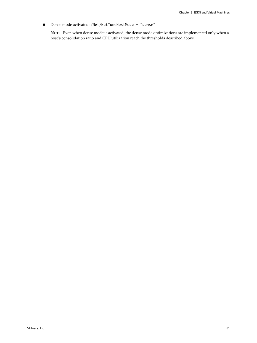■ Dense mode activated: /Net/NetTuneHostMode = "dense"

**NOTE** Even when dense mode is activated, the dense mode optimizations are implemented only when a host's consolidation ratio and CPU utilization reach the thresholds described above.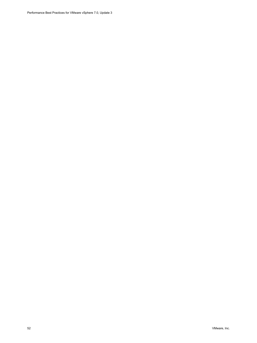Performance Best Practices for VMware vSphere 7.0, Update 3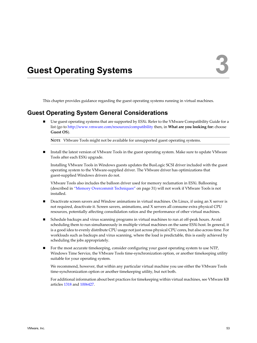# **Guest Operating Systems 3**

This chapter provides guidance regarding the guest operating systems running in virtual machines.

# **Guest Operating System General Considerations**

 Use guest operating systems that are supported by ESXi. Refer to the VMware Compatibility Guide for a list (go to http://www.vmware.com/resources/compatibility then, in **What are you looking for:** choose **Guest OS**).

**NOTE** VMware Tools might not be available for unsupported guest operating systems.

 Install the latest version of VMware Tools in the guest operating system. Make sure to update VMware Tools after each ESXi upgrade.

Installing VMware Tools in Windows guests updates the BusLogic SCSI driver included with the guest operating system to the VMware-supplied driver. The VMware driver has optimizations that guest-supplied Windows drivers do not.

VMware Tools also includes the balloon driver used for memory reclamation in ESXi. Ballooning (described in ["Memory Overcommit Techniques" on page 31\)](#page-30-0) will not work if VMware Tools is not installed.

- Deactivate screen savers and Window animations in virtual machines. On Linux, if using an X server is not required, deactivate it. Screen savers, animations, and X servers all consume extra physical CPU resources, potentially affecting consolidation ratios and the performance of other virtual machines.
- Schedule backups and virus scanning programs in virtual machines to run at off-peak hours. Avoid scheduling them to run simultaneously in multiple virtual machines on the same ESXi host. In general, it is a good idea to evenly distribute CPU usage not just across physical CPU cores, but also across time. For workloads such as backups and virus scanning, where the load is predictable, this is easily achieved by scheduling the jobs appropriately.
- For the most accurate timekeeping, consider configuring your guest operating system to use NTP, Windows Time Service, the VMware Tools time-synchronization option, or another timekeeping utility suitable for your operating system.

We recommend, however, that within any particular virtual machine you use either the VMware Tools time-synchronization option or another timekeeping utility, but not both.

For additional information about best practices for timekeeping within virtual machines, see VMware KB articles [1318](https://kb.vmware.com/s/article/1318) and [1006427.](https://kb.vmware.com/s/article/1006427)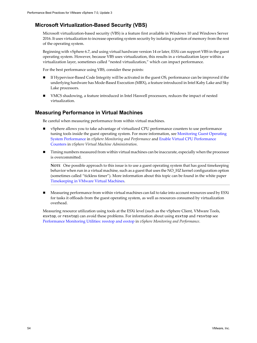# **Microsoft Virtualization-Based Security (VBS)**

Microsoft virtualization-based security (VBS) is a feature first available in Windows 10 and Windows Server 2016. It uses virtualization to increase operating system security by isolating a portion of memory from the rest of the operating system.

Beginning with vSphere 6.7, and using virtual hardware version 14 or later, ESXi can support VBS in the guest operating system. However, because VBS uses virtualization, this results in a virtualization layer within a virtualization layer, sometimes called "nested virtualization," which can impact performance.

For the best performance using VBS, consider these points:

- If Hypervisor-Based Code Integrity will be activated in the guest OS, performance can be improved if the underlying hardware has Mode-Based Execution (MBX), a feature introduced in Intel Kaby Lake and Sky Lake processors.
- VMCS shadowing, a feature introduced in Intel Haswell processors, reduces the impact of nested virtualization.

# **Measuring Performance in Virtual Machines**

Be careful when measuring performance from within virtual machines.

- vSphere allows you to take advantage of virtualized CPU performance counters to use performance tuning tools inside the guest operating system. For more information, see [Monitoring Guest Operating](https://docs.vmware.com/en/VMware-vSphere/7.0/com.vmware.vsphere.monitoring.doc/GUID-7F81E75C-39AA-4EF5-A2C2-F82C518AC459.html?hWord=N4IghgNiBcIA4FMBOAzA9kgtmAdgYwQAI80BXHAF2QGcQBfIA)  [System Performance](https://docs.vmware.com/en/VMware-vSphere/7.0/com.vmware.vsphere.monitoring.doc/GUID-7F81E75C-39AA-4EF5-A2C2-F82C518AC459.html?hWord=N4IghgNiBcIA4FMBOAzA9kgtmAdgYwQAI80BXHAF2QGcQBfIA) in *vSphere Monitoring and Performance* and [Enable Virtual CPU Performance](https://docs.vmware.com/en/VMware-vSphere/7.0/com.vmware.vsphere.vm_admin.doc/GUID-F920A3C7-3B42-4E78-8EA7-961E49AF479D.html)  [Counters](https://docs.vmware.com/en/VMware-vSphere/7.0/com.vmware.vsphere.vm_admin.doc/GUID-F920A3C7-3B42-4E78-8EA7-961E49AF479D.html) in *vSphere Virtual Machine Administration*.
- Timing numbers measured from within virtual machines can be inaccurate, especially when the processor is overcommitted.

**NOTE** One possible approach to this issue is to use a guest operating system that has good timekeeping behavior when run in a virtual machine, such as a guest that uses the NO\_HZ kernel configuration option (sometimes called "tickless timer"). More information about this topic can be found in the white paper [Timekeeping in VMware Virtual Machines](https://www.vmware.com/techpapers/2006/timekeeping-in-vmware-virtual-machines-238.html).

 Measuring performance from within virtual machines can fail to take into account resources used by ESXi for tasks it offloads from the guest operating system, as well as resources consumed by virtualization overhead.

Measuring resource utilization using tools at the ESXi level (such as the vSphere Client, VMware Tools, esxtop, or resxtop) can avoid these problems. For information about using esxtop and resxtop see [Performance Monitoring Utilities: resxtop and esxtop](https://docs.vmware.com/en/VMware-vSphere/7.0/com.vmware.vsphere.monitoring.doc/GUID-A31249BF-B5DC-455B-AFC7-7D0BBD6E37B6.html) in *vSphere Monitoring and Performance*.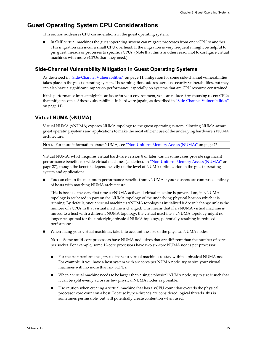# **Guest Operating System CPU Considerations**

This section addresses CPU considerations in the guest operating system.

 In SMP virtual machines the guest operating system can migrate processes from one vCPU to another. This migration can incur a small CPU overhead. If the migration is very frequent it might be helpful to pin guest threads or processes to specific vCPUs. (Note that this is another reason not to configure virtual machines with more vCPUs than they need.)

# **Side-Channel Vulnerability Mitigation in Guest Operating Systems**

As described in ["Side-Channel Vulnerabilities" on page 11](#page-10-0), mitigation for some side-channel vulnerabilities takes place in the guest operating system. These mitigations address serious security vulnerabilities, but they can also have a significant impact on performance, especially on systems that are CPU resource constrained.

If this performance impact might be an issue for your environment, you can reduce it by choosing recent CPUs that mitigate some of these vulnerabilities in hardware (again, as described in ["Side-Channel Vulnerabilities"](#page-10-0) [on page 11\)](#page-10-0).

# **Virtual NUMA (vNUMA)**

Virtual NUMA (vNUMA) exposes NUMA topology to the guest operating system, allowing NUMA-aware guest operating systems and applications to make the most efficient use of the underlying hardware's NUMA architecture.

**NOTE** For more information about NUMA, see ["Non-Uniform Memory Access \(NUMA\)" on page 27](#page-26-0).

Virtual NUMA, which requires virtual hardware version 8 or later, can in some cases provide significant performance benefits for wide virtual machines (as defined in ["Non-Uniform Memory Access \(NUMA\)" on](#page-26-0)  [page 27](#page-26-0)), though the benefits depend heavily on the level of NUMA optimization in the guest operating system and applications.

 You can obtain the maximum performance benefits from vNUMA if your clusters are composed entirely of hosts with matching NUMA architecture.

This is because the very first time a vNUMA-activated virtual machine is powered on, its vNUMA topology is set based in part on the NUMA topology of the underlying physical host on which it is running. By default, once a virtual machine's vNUMA topology is initialized it doesn't change unless the number of vCPUs in that virtual machine is changed. This means that if a vNUMA virtual machine is moved to a host with a different NUMA topology, the virtual machine's vNUMA topology might no longer be optimal for the underlying physical NUMA topology, potentially resulting in reduced performance.

When sizing your virtual machines, take into account the size of the physical NUMA nodes:

**NOTE** Some multi-core processors have NUMA node sizes that are different than the number of cores per socket. For example, some 12-core processors have two six-core NUMA nodes per processor.

- For the best performance, try to size your virtual machines to stay within a physical NUMA node. For example, if you have a host system with six cores per NUMA node, try to size your virtual machines with no more than six vCPUs.
- When a virtual machine needs to be larger than a single physical NUMA node, try to size it such that it can be split evenly across as few physical NUMA nodes as possible.
- Use caution when creating a virtual machine that has a vCPU count that exceeds the physical processor core count on a host. Because hyper-threads are considered logical threads, this is sometimes permissible, but will potentially create contention when used.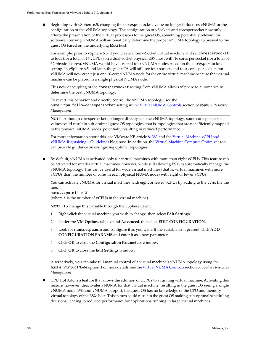Beginning with vSphere 6.5, changing the corespersocket value no longer influences vNUMA or the configuration of the vNUMA topology. The configuration of vSockets and corespersocket now only affects the presentation of the virtual processors to the guest OS, something potentially relevant for software licensing. vNUMA will automatically determine the proper vNUMA topology to present to the guest OS based on the underlying ESXi host.

For example: prior to vSphere 6.5, if you create a four-vSocket virtual machine and set corespersocket to four (for a total of 16 vCPUs) on a dual-socket physical ESXi host with 16 cores per socket (for a total of 32 physical cores), vNUMA would have created four vNUMA nodes based on the corespersocket setting. In vSphere 6.5 and later, the guest OS will still see four sockets and four cores per socket, but vNUMA will now create just one 16-core vNUMA node for the entire virtual machine because that virtual machine can be placed in a single physical NUMA node.

This new decoupling of the corespersocket setting from vNUMA allows vSphere to automatically determine the best vNUMA topology.

To revert this behavior and directly control the vNUMA topology, see the numa.vcpu.followcorespersocket setting in the [Virtual NUMA Controls](https://docs.vmware.com/en/VMware-vSphere/7.0/com.vmware.vsphere.resmgmt.doc/GUID-3E956FB5-8ACB-42C3-B068-664989C3FF44.html) section of *vSphere Resource Management*.

**NOTE** Although corespersocket no longer directly sets the vNUMA topology, some corespersocket values could result in sub-optimal guest OS topologies; that is, topologies that are not efficiently mapped to the physical NUMA nodes, potentially resulting in reduced performance.

For more information about this, see VMware KB article [81383](https://kb.vmware.com/s/article/81383) and the [Virtual Machine vCPU and](https://blogs.vmware.com/performance/2017/03/virtual-machine-vcpu-and-vnuma-rightsizing-rules-of-thumb.html)  [vNUMA Rightsizing – Guidelines](https://blogs.vmware.com/performance/2017/03/virtual-machine-vcpu-and-vnuma-rightsizing-rules-of-thumb.html) blog post. In addition, the [Virtual Machine Compute Optimizer](https://flings.vmware.com/virtual-machine-compute-optimizer) tool can provide guidance on configuring optimal topologies.

 By default, vNUMA is activated only for virtual machines with more than eight vCPUs. This feature can be activated for smaller virtual machines, however, while still allowing ESXi to automatically manage the vNUMA topology. This can be useful for wide virtual machines (that is, virtual machines with more vCPUs than the number of cores in each physical NUMA node) with eight or fewer vCPUs.

You can activate vNUMA for virtual machines with eight or fewer vCPUs by adding to the . vmx file the line:

numa.vcpu.min = *X*

(where  $X$  is the number of vCPUs in the virtual machine).

**NOTE** To change this variable through the vSphere Client:

- 1 Right-click the virtual machine you wish to change, then select **Edit Settings**.
- 2 Under the **VM Options** tab, expand **Advanced**, then click **EDIT CONFIGURATION**.
- 3 Look for **numa.vcpu.min** and configure it as you wish. If the variable isn't present, click **ADD CONFIGURATION PARAMS** and enter it as a new parameter.
- 4 Click **OK** to close the **Configuration Parameters** window.
- 5 Click **OK** to close the **Edit Settings** window.

Alternatively, you can take full manual control of a virtual machine's vNUMA topology using the maxPerVirtualNode option. For more details, see the [Virtual NUMA Controls](https://docs.vmware.com/en/VMware-vSphere/7.0/com.vmware.vsphere.resmgmt.doc/GUID-3E956FB5-8ACB-42C3-B068-664989C3FF44.html) section of *vSphere Resource Management*.

 CPU Hot Add is a feature that allows the addition of vCPUs to a running virtual machine. Activating this feature, however, deactivates vNUMA for that virtual machine, resulting in the guest OS seeing a single vNUMA node. Without vNUMA support, the guest OS has no knowledge of the CPU and memory virtual topology of the ESXi host. This in turn could result in the guest OS making sub-optimal scheduling decisions, leading to reduced performance for applications running in large virtual machines.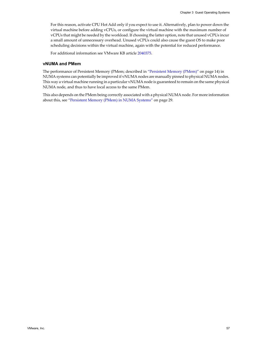For this reason, activate CPU Hot Add only if you expect to use it. Alternatively, plan to power down the virtual machine before adding vCPUs, or configure the virtual machine with the maximum number of vCPUs that might be needed by the workload. If choosing the latter option, note that unused vCPUs incur a small amount of unnecessary overhead. Unused vCPUs could also cause the guest OS to make poor scheduling decisions within the virtual machine, again with the potential for reduced performance.

For additional information see VMware KB article [2040375.](https://kb.vmware.com/s/article/2040375)

#### **vNUMA and PMem**

The performance of Persistent Memory (PMem; described in ["Persistent Memory \(PMem\)" on page 14\)](#page-13-0) in NUMA systems can potentially be improved if vNUMA nodes are manually pinned to physical NUMA nodes. This way a virtual machine running in a particular vNUMA node is guaranteed to remain on the same physical NUMA node, and thus to have local access to the same PMem.

This also depends on the PMem being correctly associated with a physical NUMA node. For more information about this, see ["Persistent Memory \(PMem\) in NUMA Systems" on page 29](#page-28-1).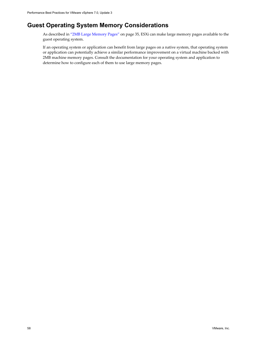# **Guest Operating System Memory Considerations**

As described in ["2MB Large Memory Pages" on page 35,](#page-34-0) ESXi can make large memory pages available to the guest operating system.

If an operating system or application can benefit from large pages on a native system, that operating system or application can potentially achieve a similar performance improvement on a virtual machine backed with 2MB machine memory pages. Consult the documentation for your operating system and application to determine how to configure each of them to use large memory pages.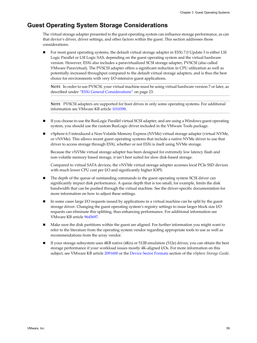# <span id="page-58-0"></span>**Guest Operating System Storage Considerations**

The virtual storage adapter presented to the guest operating system can influence storage performance, as can that device's driver, driver settings, and other factors within the guest. This section addresses those considerations.

 For most guest operating systems, the default virtual storage adapter in ESXi 7.0 Update 3 is either LSI Logic Parallel or LSI Logic SAS, depending on the guest operating system and the virtual hardware version. However, ESXi also includes a paravirtualized SCSI storage adapter, PVSCSI (also called VMware Paravirtual). The PVSCSI adapter offers a significant reduction in CPU utilization as well as potentially increased throughput compared to the default virtual storage adapters, and is thus the best choice for environments with very I/O-intensive guest applications.

**NOTE** In order to use PVSCSI, your virtual machine must be using virtual hardware version 7 or later, as described under ["ESXi General Considerations" on page 23](#page-22-0).

**NOTE** PVSCSI adapters are supported for boot drives in only some operating systems. For additional information see VMware KB article [1010398.](https://kb.vmware.com/s/article/1010398)

- If you choose to use the BusLogic Parallel virtual SCSI adapter, and are using a Windows guest operating system, you should use the custom BusLogic driver included in the VMware Tools package.
- vSphere 6.5 introduced a Non-Volatile Memory Express (NVMe) virtual storage adapter (virtual NVMe, or vNVMe). This allows recent guest operating systems that include a native NVMe driver to use that driver to access storage through ESXi, whether or not ESXi is itself using NVMe storage.

Because the vNVMe virtual storage adapter has been designed for extremely low latency flash and non-volatile memory based storage, it isn't best suited for slow disk-based storage.

Compared to virtual SATA devices, the vNVMe virtual storage adapter accesses local PCIe SSD devices with much lower CPU cost per I/O and significantly higher IOPS.

- The depth of the queue of outstanding commands in the guest operating system SCSI driver can significantly impact disk performance. A queue depth that is too small, for example, limits the disk bandwidth that can be pushed through the virtual machine. See the driver-specific documentation for more information on how to adjust these settings.
- In some cases large I/O requests issued by applications in a virtual machine can be split by the guest storage driver. Changing the guest operating system's registry settings to issue larger block size I/O requests can eliminate this splitting, thus enhancing performance. For additional information see VMware KB article [9645697](https://kb.vmware.com/s/article/9645697).
- Make sure the disk partitions within the guest are aligned. For further information you might want to refer to the literature from the operating system vendor regarding appropriate tools to use as well as recommendations from the array vendor.
- If your storage subsystem uses 4KB native (4Kn) or 512B emulation (512e) drives, you can obtain the best storage performance if your workload issues mostly 4K-aligned I/Os. For more information on this subject, see VMware KB article [2091600](https://kb.vmware.com/s/article/2091600) or the [Device Sector Formats](https://docs.vmware.com/en/VMware-vSphere/7.0/com.vmware.vsphere.storage.doc/GUID-5E7B4EBC-2147-42F9-9CCD-B63315EE1C52.html) section of the *vSphere Storage Guide*.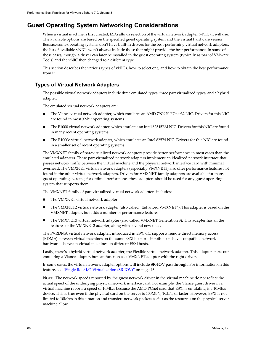# <span id="page-59-0"></span>**Guest Operating System Networking Considerations**

When a virtual machine is first created, ESXi allows selection of the virtual network adapter (vNIC) it will use. The available options are based on the specified guest operating system and the virtual hardware version. Because some operating systems don't have built-in drivers for the best-performing virtual network adapters, the list of available vNICs won't always include those that might provide the best performance. In some of these cases, though, a driver can later be installed in the guest operating system (typically as part of VMware Tools) and the vNIC then changed to a different type.

This section describes the various types of vNICs, how to select one, and how to obtain the best performance from it.

# **Types of Virtual Network Adapters**

The possible virtual network adapters include three emulated types, three paravirtualized types, and a hybrid adapter.

The emulated virtual network adapters are:

- The Vlance virtual network adapter, which emulates an AMD 79C970 PCnet32 NIC. Drivers for this NIC are found in most 32-bit operating systems.
- The E1000 virtual network adapter, which emulates an Intel 82545EM NIC. Drivers for this NIC are found in many recent operating systems.
- The E1000e virtual network adapter, which emulates an Intel 82574 NIC. Drivers for this NIC are found in a smaller set of recent operating systems.

The VMXNET family of paravirtualized network adapters provide better performance in most cases than the emulated adapters. These paravirtualized network adapters implement an idealized network interface that passes network traffic between the virtual machine and the physical network interface card with minimal overhead. The VMXNET virtual network adapters (especially VMXNET3) also offer performance features not found in the other virtual network adapters. Drivers for VMXNET-family adapters are available for many guest operating systems; for optimal performance these adapters should be used for any guest operating system that supports them.

The VMXNET family of paravirtualized virtual network adapters includes:

- The VMXNET virtual network adapter.
- The VMXNET2 virtual network adapter (also called "Enhanced VMXNET"). This adapter is based on the VMXNET adapter, but adds a number of performance features.
- The VMXNET3 virtual network adapter (also called VMXNET Generation 3). This adapter has all the features of the VMXNET2 adapter, along with several new ones.

The PVRDMA virtual network adapter, introduced in ESXi 6.5, supports remote direct memory access (RDMA) between virtual machines on the same ESXi host or—if both hosts have compatible network hardware—between virtual machines on different ESXi hosts.

Lastly, there's a hybrid virtual network adapter, the Flexible virtual network adapter. This adapter starts out emulating a Vlance adapter, but can function as a VMXNET adapter with the right driver.

In some cases, the virtual network adapter options will include **SR-IOV passthrough**. For information on this feature, see ["Single Root I/O Virtualization \(SR-IOV\)" on page 46.](#page-45-1)

**NOTE** The network speeds reported by the guest network driver in the virtual machine do not reflect the actual speed of the underlying physical network interface card. For example, the Vlance guest driver in a virtual machine reports a speed of 10Mb/s because the AMD PCnet card that ESXi is emulating is a 10Mb/s device. This is true even if the physical card on the server is 100Mb/s, 1Gb/s, or faster. However, ESXi is not limited to 10Mb/s in this situation and transfers network packets as fast as the resources on the physical server machine allow.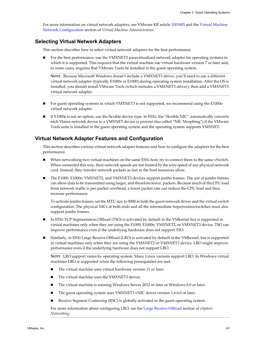For more information on virtual network adapters, see VMware KB article [1001805](https://kb.vmware.com/s/article/1001805) and the [Virtual Machine](https://docs.vmware.com/en/VMware-vSphere/7.0/com.vmware.vsphere.vm_admin.doc/GUID-E6857A76-AE4B-492B-A9A7-1EE94601F8F3.html)  [Network Configuration](https://docs.vmware.com/en/VMware-vSphere/7.0/com.vmware.vsphere.vm_admin.doc/GUID-E6857A76-AE4B-492B-A9A7-1EE94601F8F3.html) section of *Virtual Machine Administration*.

## **Selecting Virtual Network Adapters**

This section describes how to select virtual network adapters for the best performance.

 For the best performance, use the VMXNET3 paravirtualized network adapter for operating systems in which it is supported. This requires that the virtual machine use virtual hardware version 7 or later and, in some cases, requires that VMware Tools be installed in the guest operating system.

**NOTE** Because Microsoft Windows doesn't include a VMXNET3 driver, you'll need to use a different virtual network adapter (typically E1000e or E1000) during operating system installation. After the OS is installed, you should install VMware Tools (which includes a VMXNET3 driver), then add a VMXNET3 virtual network adapter.

- For guest operating systems in which VMXNET3 is not supported, we recommend using the E1000e virtual network adapter.
- If E1000e is not an option, use the flexible device type. In ESXi, the "flexible NIC" automatically converts each Vlance network device to a VMXNET device (a process also called "NIC Morphing") if the VMware Tools suite is installed in the guest operating system and the operating system supports VMXNET.

#### **Virtual Network Adapter Features and Configuration**

This section describes various virtual network adapter features and how to configure the adapters for the best performance.

- When networking two virtual machines on the same ESXi host, try to connect them to the same vSwitch. When connected this way, their network speeds are not limited by the wire speed of any physical network card. Instead, they transfer network packets as fast as the host resources allow.
- The E1000, E1000e, VMXNET2, and VMXNET3 devices support jumbo frames. The use of jumbo frames can allow data to be transmitted using larger, and therefore fewer, packets. Because much of the CPU load from network traffic is per-packet overhead, a lower packet rate can reduce the CPU load and thus increase performance.

To activate jumbo frames, set the MTU size to 9000 in both the guest network driver and the virtual switch configuration. The physical NICs at both ends and all the intermediate hops/routers/switches must also support jumbo frames.

- In ESXi TCP Segmentation Offload (TSO) is activated by default in the VMkernel but is supported in virtual machines only when they are using the E1000, E1000e, VMXNET2, or VMXNET3 device. TSO can improve performance even if the underlying hardware does not support TSO.
- Similarly, in ESXi Large Receive Offload (LRO) is activated by default in the VMkernel, but is supported in virtual machines only when they are using the VMXNET2 or VMXNET3 device. LRO might improve performance even if the underlying hardware does not support LRO.

**NOTE** LRO support varies by operating system. Many Linux variants support LRO. In Windows virtual machines LRO is supported when the following prerequisites are met:

- The virtual machine uses virtual hardware version 11 or later.
- The virtual machine uses the VMXNET3 device.
- The virtual machine is running Windows Server 2012 or later or Windows 8.0 or later.
- The guest operating system uses VMXNET3 vNIC driver version 1.6.6.0 or later.
- Receive Segment Coalescing (RSC) is globally activated in the guest operating system.

For more information about configuring LRO, see the [Large Receive Offload](https://docs.vmware.com/en/VMware-vSphere/7.0/com.vmware.vsphere.networking.doc/GUID-514BC149-CDE7-4E07-A922-E3DFB663DC13.html) section of *vSphere Networking*.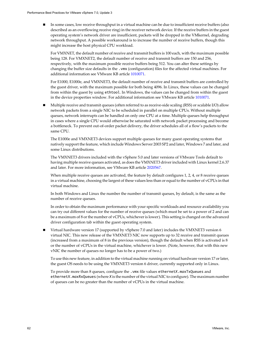In some cases, low receive throughput in a virtual machine can be due to insufficient receive buffers (also described as an overflowing receive ring) in the receiver network device. If the receive buffers in the guest operating system's network driver are insufficient, packets will be dropped in the VMkernel, degrading network throughput. A possible workaround is to increase the number of receive buffers, though this might increase the host physical CPU workload.

For VMXNET, the default number of receive and transmit buffers is 100 each, with the maximum possible being 128. For VMXNET2, the default number of receive and transmit buffers are 150 and 256, respectively, with the maximum possible receive buffers being 512. You can alter these settings by changing the buffer size defaults in the .vmx (configuration) files for the affected virtual machines. For additional information see VMware KB article [1010071.](https://kb.vmware.com/s/article/1010071)

For E1000, E1000e, and VMXNET3, the default number of receive and transmit buffers are controlled by the guest driver, with the maximum possible for both being 4096. In Linux, these values can be changed from within the guest by using ethtool. In Windows, the values can be changed from within the guest in the device properties window. For additional information see VMware KB article [1010071](https://kb.vmware.com/s/article/1010071).

 Multiple receive and transmit queues (often referred to as receive-side scaling (RSS) or scalable I/O) allow network packets from a single NIC to be scheduled in parallel on multiple CPUs. Without multiple queues, network interrupts can be handled on only one CPU at a time. Multiple queues help throughput in cases where a single CPU would otherwise be saturated with network packet processing and become a bottleneck. To prevent out-of-order packet delivery, the driver schedules all of a flow's packets to the same CPU.

The E1000e and VMXNET3 devices support multiple queues for many guest operating systems that natively support the feature, which include Windows Server 2003 SP2 and later, Windows 7 and later, and some Linux distributions.

The VMXNET3 drivers included with the vSphere 5.0 and later versions of VMware Tools default to having multiple receive queues activated, as does the VMXNET3 driver included with Linux kernel 2.6.37 and later. For more information, see VMware KB article [2020567](https://kb.vmware.com/s/article/2020567).

When multiple receive queues are activated, the feature by default configures 1, 2, 4, or 8 receive queues in a virtual machine, choosing the largest of these values less than or equal to the number of vCPUs in that virtual machine.

In both Windows and Linux the number the number of transmit queues, by default, is the same as the number of receive queues.

In order to obtain the maximum performance with your specific workloads and resource availability you can try out different values for the number of receive queues (which must be set to a power of 2 and can be a maximum of 8 or the number of vCPUs, whichever is lower). This setting is changed on the advanced driver configuration tab within the guest operating system.

 Virtual hardware version 17 (supported by vSphere 7.0 and later) includes the VMXNET3 version 6 virtual NIC. This new release of the VMXNET3 NIC now supports up to 32 receive and transmit queues (increased from a maximum of 8 in the previous version), though the default when RSS is activated is 8 or the number of vCPUs in the virtual machine, whichever is lower. (Note, however, that with this new vNIC the number of queues no longer has to be a power of two.)

To use this new feature, in addition to the virtual machine running on virtual hardware version 17 or later, the guest OS needs to be using the VMXNET3 version 6 driver, currently supported only in Linux.

To provide more than 8 queues, configure the .vmx file values ethernet*X*.maxTxQueues and ethernet*X*.maxRxQueues (where *X* is the number of the virtual NIC to configure). The maximum number of queues can be no greater than the number of vCPUs in the virtual machine.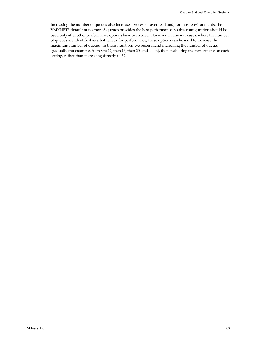Increasing the number of queues also increases processor overhead and, for most environments, the VMXNET3 default of no more 8 queues provides the best performance, so this configuration should be used only after other performance options have been tried. However, in unusual cases, where the number of queues are identified as a bottleneck for performance, these options can be used to increase the maximum number of queues. In these situations we recommend increasing the number of queues gradually (for example, from 8 to 12, then 16, then 20, and so on), then evaluating the performance at each setting, rather than increasing directly to 32.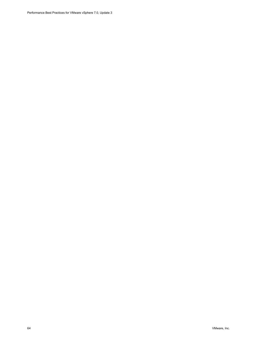Performance Best Practices for VMware vSphere 7.0, Update 3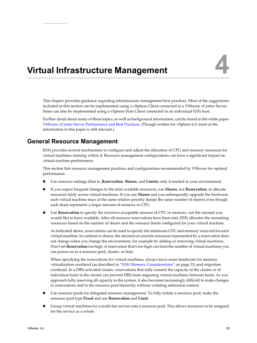# **Virtual Infrastructure Management 4**

This chapter provides guidance regarding infrastructure management best practices. Most of the suggestions included in this section can be implemented using a vSphere Client connected to a VMware vCenter Server. Some can also be implemented using a vSphere Host Client connected to an individual ESXi host.

Further detail about many of these topics, as well as background information, can be found in the white paper [VMware vCenter Server Performance and Best Practices](https://www.vmware.com/techpapers/2015/vmware-vcenter-server-6.0-performance-and-best-pra-10493.html). (Though written for vSphere 6.0, most of the information in this paper is still relevant.)

# **General Resource Management**

4Performance Best Practices for VMware vSphere 7.0, Update 3

ESXi provides several mechanisms to configure and adjust the allocation of CPU and memory resources for virtual machines running within it. Resource management configurations can have a significant impact on virtual machine performance.

This section lists resource management practices and configurations recommended by VMware for optimal performance.

- Use resource settings (that is, **Reservation**, **Shares**, and **Limits**) only if needed in your environment.
- If you expect frequent changes to the total available resources, use **Shares**, not **Reservation**, to allocate resources fairly across virtual machines. If you use **Shares** and you subsequently upgrade the hardware, each virtual machine stays at the same relative priority (keeps the same number of shares) even though each share represents a larger amount of memory or CPU.
- Use **Reservation** to specify the *minimum* acceptable amount of CPU or memory, not the amount you would like to have available. After all resource reservations have been met, ESXi allocates the remaining resources based on the number of shares and the resource limits configured for your virtual machine.

As indicated above, reservations can be used to specify the minimum CPU and memory reserved for each virtual machine. In contrast to shares, the amount of concrete resources represented by a reservation does not change when you change the environment, for example by adding or removing virtual machines. Donʹt set **Reservation** too high. A reservation thatʹs too high can limit the number of virtual machines you can power on in a resource pool, cluster, or host.

When specifying the reservations for virtual machines, always leave some headroom for memory virtualization overhead (as described in ["ESXi Memory Considerations" on page 31\)](#page-30-1) and migration overhead. In a DRS-activated cluster, reservations that fully commit the capacity of the cluster or of individual hosts in the cluster can prevent DRS from migrating virtual machines between hosts. As you approach fully reserving all capacity in the system, it also becomes increasingly difficult to make changes to reservations and to the resource pool hierarchy without violating admission control.

- Use resource pools for delegated resource management. To fully isolate a resource pool, make the resource pool type **Fixed** and use **Reservation** and **Limit**.
- Group virtual machines for a multi-tier service into a resource pool. This allows resources to be assigned for the service as a whole.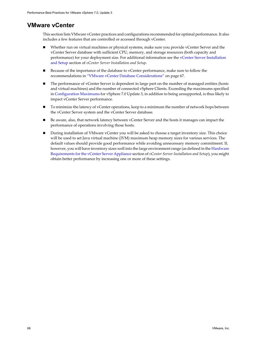# **VMware vCenter**

This section lists VMware vCenter practices and configurations recommended for optimal performance. It also includes a few features that are controlled or accessed through vCenter.

- Whether run on virtual machines or physical systems, make sure you provide vCenter Server and the vCenter Server database with sufficient CPU, memory, and storage resources (both capacity and performance) for your deployment size. For additional information see the [vCenter Server Installation](https://docs.vmware.com/en/VMware-vSphere/7.0/com.vmware.vcenter.install.doc/GUID-8DC3866D-5087-40A2-8067-1361A2AF95BD.html)  [and Setup](https://docs.vmware.com/en/VMware-vSphere/7.0/com.vmware.vcenter.install.doc/GUID-8DC3866D-5087-40A2-8067-1361A2AF95BD.html) section of *vCenter Server Installation and Setup*.
- **Because of the importance of the database to vCenter performance, make sure to follow the** recommendations in ["VMware vCenter Database Considerations" on page 67.](#page-66-0)
- The performance of vCenter Server is dependent in large part on the number of managed entities (hosts and virtual machines) and the number of connected vSphere Clients. Exceeding the maximums specified in [Configuration Maximums](https://configmax.vmware.com/guest?vmwareproduct=vSphere&release=vSphere%207.0&categories=1-0) for vSphere 7.0 Update 3, in addition to being unsupported, is thus likely to impact vCenter Server performance.
- To minimize the latency of vCenter operations, keep to a minimum the number of network hops between the vCenter Server system and the vCenter Server database.
- Be aware, also, that network latency between vCenter Server and the hosts it manages can impact the performance of operations involving those hosts.
- During installation of VMware vCenter you will be asked to choose a target inventory size. This choice will be used to set Java virtual machine (JVM) maximum heap memory sizes for various services. The default values should provide good performance while avoiding unnecessary memory commitment. If, however, you will have inventory sizes well into the large environment range (as defined in the Hardware [Requirements for the vCenter Server Appliance](https://docs.vmware.com/en/VMware-vSphere/7.0/com.vmware.vcenter.install.doc/GUID-88571D8A-46E1-464D-A349-4DC43DCAF320.html) section of *vCenter Server Installation and Setup*), you might obtain better performance by increasing one or more of these settings.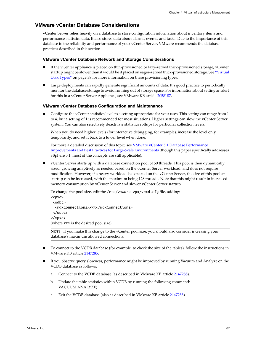# <span id="page-66-0"></span>**VMware vCenter Database Considerations**

vCenter Server relies heavily on a database to store configuration information about inventory items and performance statistics data. It also stores data about alarms, events, and tasks. Due to the importance of this database to the reliability and performance of your vCenter Server, VMware recommends the database practices described in this section.

#### **VMware vCenter Database Network and Storage Considerations**

- If the vCenter appliance is placed on thin-provisioned or lazy-zeroed thick-provisioned storage, vCenter startup might be slower than it would be if placed on eager-zeroed thick-provisioned storage. See ["Virtual](#page-37-0)  [Disk Types" on page 38](#page-37-0) for more information on these provisioning types.
- Large deployments can rapidly generate significant amounts of data. It's good practice to periodically monitor the database storage to avoid running out of storage space. For information about setting an alert for this in a vCenter Server Appliance, see VMware KB article [2058187](https://kb.vmware.com/s/article/2058187).

#### **VMware vCenter Database Configuration and Maintenance**

 Configure the vCenter statistics level to a setting appropriate for your uses. This setting can range from 1 to 4, but a setting of 1 is recommended for most situations. Higher settings can slow the vCenter Server system. You can also selectively deactivate statistics rollups for particular collection levels.

When you do need higher levels (for interactive debugging, for example), increase the level only temporarily, and set it back to a lower level when done.

For more a detailed discussion of this topic, see [VMware vCenter 5.1 Database Performance](https://www.vmware.com/techpapers/2012/vmware-vcenter-server-51-database-performance-imp-10302.html)  [Improvements and Best Practices for Large-Scale Environments](https://www.vmware.com/techpapers/2012/vmware-vcenter-server-51-database-performance-imp-10302.html) (though this paper specifically addresses vSphere 5.1, most of the concepts are still applicable).

 vCenter Server starts up with a database connection pool of 50 threads. This pool is then dynamically sized, growing adaptively as needed based on the vCenter Server workload, and does not require modification. However, if a heavy workload is expected on the vCenter Server, the size of this pool at startup can be increased, with the maximum being 128 threads. Note that this might result in increased memory consumption by vCenter Server and slower vCenter Server startup.

To change the pool size, edit the /etc/vmware-vpx/vpxd.cfg file, adding: <vpxd> <odbc> <maxConnections>*xxx*</maxConnections>

```
 </odbc>
</vpxd>
```
(where *xxx* is the desired pool size).

**NOTE** If you make this change to the vCenter pool size, you should also consider increasing your database's maximum allowed connections.

- To connect to the VCDB database (for example, to check the size of the tables), follow the instructions in VMware KB article [2147285](https://kb.vmware.com/s/article/2147285).
- If you observe query slowness, performance might be improved by running Vacuum and Analyze on the VCDB database as follows:
	- a Connect to the VCDB database (as described in VMware KB article [2147285\)](https://kb.vmware.com/s/article/2147285).
	- b Update the table statistics within VCDB by running the following command: VACUUM ANALYZE;
	- c Exit the VCDB database (also as described in VMware KB article [2147285](https://kb.vmware.com/s/article/2147285)).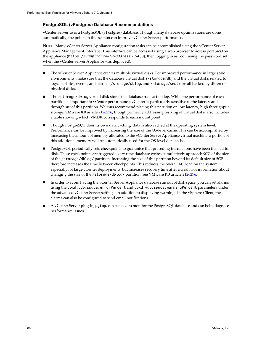#### **PostgreSQL (vPostgres) Database Recommendations**

vCenter Server uses a PostgreSQL (vPostgres) database. Though many database optimizations are done automatically, the points in this section can improve vCenter Server performance.

**NOTE** Many vCenter Server Appliance configuration tasks can be accomplished using the vCenter Server Appliance Management Interface. This interface can be accessed using a web browser to access port 5480 on the appliance (https://*<appliance-IP-address>*:5480), then logging in as root (using the password set when the vCenter Server Appliance was deployed).

- The vCenter Server Appliance creates multiple virtual disks. For improved performance in large scale environments, make sure that the database virtual disk (/storage/db) and the virtual disks related to logs, statistics, events, and alarms (/storage/dblog, and /storage/seat) are all backed by different physical disks.
- The /storage/dblog virtual disk stores the database transaction log. While the performance of each partition is important to vCenter performance, vCenter is particularly sensitive to the latency and throughput of this partition. We thus recommend placing this partition on low latency, high throughput storage. VMware KB article [2126276](https://kb.vmware.com/s/article/2126276), though primarily addressing resizing of virtual disks, also includes a table showing which VMDK corresponds to each mount point.
- Though PostgreSQL does its own data caching, data is also cached at the operating system level. Performance can be improved by increasing the size of the OS-level cache. This can be accomplished by increasing the amount of memory allocated to the vCenter Server Appliance virtual machine; a portion of this additional memory will be automatically used for the OS-level data cache.
- PostgreSQL periodically sets checkpoints to guarantee that preceding transactions have been flushed to disk. These checkpoints are triggered every time database writes cumulatively approach 90% of the size of the /storage/dblog/ partition. Increasing the size of this partition beyond its default size of 5GB therefore increases the time between checkpoints. This reduces the overall I/O load on the system, especially for large vCenter deployments, but increases recovery time after a crash. For information about changing the size of the /storage/dblog/ partition, see VMware KB article [2126276](https://kb.vmware.com/s/article/2126276).
- In order to avoid having the vCenter Server Appliance database run out of disk space, you can set alarms using the vpxd.vdb.space.errorPercent and vpxd.vdb.space.warningPercent parameters under the advanced vCenter Server settings. In addition to displaying warnings in the vSphere Client, these alarms can also be configured to send email notifications.
- A vCenter Server plug-in, pgtop, can be used to monitor the PostgreSQL database and can help diagnose performance issues.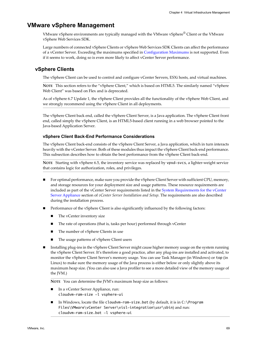# **VMware vSphere Management**

VMware vSphere environments are typically managed with the VMware vSphere $^\circledR$  Client or the VMware vSphere Web Services SDK.

Large numbers of connected vSphere Clients or vSphere Web Services SDK Clients can affect the performance of a vCenter Server. Exceeding the maximums specified in [Configuration Maximums](https://configmax.vmware.com/guest?vmwareproduct=vSphere&release=vSphere%207.0&categories=1-0) is not supported. Even if it seems to work, doing so is even more likely to affect vCenter Server performance.

## **vSphere Clients**

The vSphere Client can be used to control and configure vCenter Servers, ESXi hosts, and virtual machines.

**NOTE** This section refers to the "vSphere Client," which is based on HTML5. The similarly named "vSphere Web Client" was based on Flex and is deprecated.

As of vSphere 6.7 Update 1, the vSphere Client provides all the functionality of the vSphere Web Client, and we strongly recommend using the vSphere Client in all deployments.

The vSphere Client back end, called the vSphere Client Server, is a Java application. The vSphere Client front end, called simply the vSphere Client, is an HTML5-based client running in a web browser pointed to the Java-based Application Server.

#### **vSphere Client Back-End Performance Considerations**

The vSphere Client back-end consists of the vSphere Client Server, a Java application, which in turn interacts heavily with the vCenter Server. Both of these modules thus impact the vSphere Client back-end performance. This subsection describes how to obtain the best performance from the vSphere Client back-end.

**NOTE** Starting with vSphere 6.5, the inventory service was replaced by vpxd-svcs, a lighter-weight service that contains logic for authorization, roles, and privileges.

- For optimal performance, make sure you provide the vSphere Client Server with sufficient CPU, memory, and storage resources for your deployment size and usage patterns. These resource requirements are included as part of the vCenter Server requirements listed in the [System Requirements for the vCenter](https://docs.vmware.com/en/VMware-vSphere/7.0/com.vmware.vcenter.install.doc/GUID-752FCA83-1A9B-499E-9C65-D5625351C0B5.html)  [Server Appliance](https://docs.vmware.com/en/VMware-vSphere/7.0/com.vmware.vcenter.install.doc/GUID-752FCA83-1A9B-499E-9C65-D5625351C0B5.html) section of *vCenter Server Installation and Setup*. The requirements are also described during the installation process.
- Performance of the vSphere Client is also significantly influenced by the following factors:
	- The vCenter inventory size
	- The rate of operations (that is, tasks per hour) performed through vCenter
	- The number of vSphere Clients in use
	- The usage patterns of vSphere Client users
- Installing plug-ins in the vSphere Client Server might cause higher memory usage on the system running the vSphere Client Server. It's therefore a good practice, after any plug-ins are installed and activated, to monitor the vSphere Client Serverʹs memory usage. You can use Task Manager (in Windows) or top (in Linux) to make sure the memory usage of the Java process is either below or only slightly above its maximum heap size. (You can also use a Java profiler to see a more detailed view of the memory usage of the IVM.)

**NOTE** You can determine the JVM's maximum heap size as follows:

- In a vCenter Server Appliance, run: cloudvm-ram-size -l vsphere-ui
- In Windows, locate the file cloudvm-ram-size.bat (by default, it is in C:\Program Files\VMware\vCenter Server\visl-integration\usr\sbin) and run: cloudvm-ram-size.bat -l vsphere-ui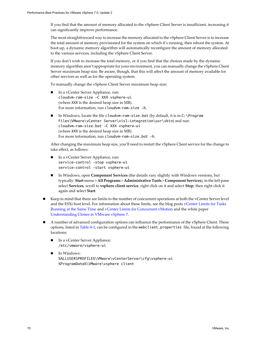If you find that the amount of memory allocated to the vSphere Client Server is insufficient, increasing it can significantly improve performance.

The most straightforward way to increase the memory allocated to the vSphere Client Server is to increase the total amount of memory provisioned for the system on which it's running, then reboot the system. At boot-up, a dynamic memory algorithm will automatically reconfigure the amount of memory allocated to the various services, including the vSphere Client Server.

If you don't wish to increase the total memory, or if you find that the choices made by the dynamic memory algorithm aren't appropriate for your environment, you can manually change the vSphere Client Server maximum heap size. Be aware, though, that this will affect the amount of memory available for other services as well as for the operating system.

To manually change the vSphere Client Server maximum heap size:

- In a vCenter Server Appliance, run: cloudvm-ram-size -C *XXX* vsphere-ui (where *XXX* is the desired heap size in MB). For more information, run cloudvm-ram-size -h.
- In Windows, locate the file cloudvm-ram-size.bat (by default, it is in C:\Program Files\VMware\vCenter Server\visl-integration\usr\sbin) and run: cloudvm-ram-size.bat -C XXX vsphere-ui (where *XXX* is the desired heap size in MB). For more information, run cloudvm-ram-size.bat -h.

After changing the maximum heap size, you'll need to restart the vSphere Client service for the change to take effect, as follows:

- In a vCenter Server Appliance, run: service-control -stop vsphere-ui service-control -start vsphere-ui
- In Windows, open **Component Services** (the details vary slightly with Windows versions, but typically: **Start** menu > **All Programs** > **Administrative Tools** > **Component Services**), in the left pane select **Services**, scroll to **vsphere client service**, right click on it and select **Stop**, then right click it again and select **Start**.
- Keep in mind that there are limits to the number of concurrent operations at both the vCenter Server level and the ESXi host level. For information about these limits, see the blog posts [vCenter Limits for Tasks](https://blogs.vmware.com/performance/2021/02/vcenter-limits-for-tasks-running-at-the-same-time.html)  [Running at the Same Time](https://blogs.vmware.com/performance/2021/02/vcenter-limits-for-tasks-running-at-the-same-time.html) and [vCenter Limits for Concurrent vMotion](https://blogs.vmware.com/performance/2021/02/vcenter-limits-for-concurrent-vmotion.html) and the white paper [Understanding Clones in VMware vSphere 7.](https://www.vmware.com/techpapers/2021/cloning-vSphere7-perf.html)
- A number of advanced configuration options can influence the performance of the vSphere Client. These options, listed in [Table 4-1,](#page-70-0) can be configured in the webclient.properties file, found at the following locations:
	- In a vCenter Server Appliance: /etc/vmware/vsphere-ui
	- In Windows: %ALLUSERSPROFILE%\VMware\vCenterServer\cfg\vsphere-ui %ProgramData%\VMware\vsphere client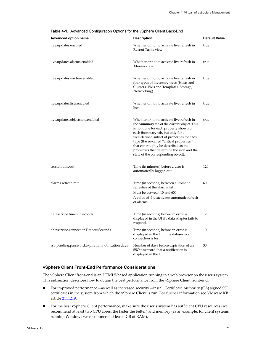| <b>Advanced option name</b>                       | <b>Description</b>                                                                                                                                                                                                                                                                                                                                                                                             | <b>Default Value</b> |
|---------------------------------------------------|----------------------------------------------------------------------------------------------------------------------------------------------------------------------------------------------------------------------------------------------------------------------------------------------------------------------------------------------------------------------------------------------------------------|----------------------|
| live.updates.enabled                              | Whether or not to activate live refresh in<br><b>Recent Tasks view.</b>                                                                                                                                                                                                                                                                                                                                        | true                 |
| live.updates.alarms.enabled                       | Whether or not to activate live refresh in<br>Alarms view.                                                                                                                                                                                                                                                                                                                                                     | true                 |
| live.updates.navtree.enabled                      | Whether or not to activate live refresh in<br>four types of inventory trees (Hosts and<br>Clusters, VMs and Templates, Storage,<br>Networking).                                                                                                                                                                                                                                                                | true                 |
| live.updates.lists.enabled                        | Whether or not to activate live refresh in<br>lists.                                                                                                                                                                                                                                                                                                                                                           | true                 |
| live.updates.objectstate.enabled                  | Whether or not to activate live refresh in<br>the <b>Summary</b> tab of the current object. This<br>is not done for each property shown on<br>each <b>Summary</b> tab, but only for a<br>well-defined subset of properties for each<br>type (the so-called "critical properties,"<br>that can roughly be described as the<br>properties that determine the icon and the<br>state of the corresponding object). | true                 |
| session.timeout                                   | Time (in minutes) before a user is<br>automatically logged out.                                                                                                                                                                                                                                                                                                                                                | 120                  |
| alarms.refresh.rate                               | Time (in seconds) between automatic<br>refreshes of the alarms list.<br>Must be between 10 and 600.<br>A value of -1 deactivates automatic refresh<br>of alarms.                                                                                                                                                                                                                                               | 60                   |
| dataservice.timeoutSeconds                        | Time (in seconds) before an error is<br>displayed in the UI if a data adapter fails to<br>respond.                                                                                                                                                                                                                                                                                                             | 120                  |
| dataservice.connectionTimeoutSeconds              | Time (in seconds) before an error is<br>displayed in the UI if the dataservice<br>connection is lost.                                                                                                                                                                                                                                                                                                          | 10                   |
| sso.pending.password.expiration.notification.days | Number of days before expiration of an<br>SSO password that a notification is<br>displayed in the UI.                                                                                                                                                                                                                                                                                                          | 30                   |

<span id="page-70-0"></span>**Table 4-1.** Advanced Configuration Options for the vSphere Client Back-End

#### **vSphere Client Front-End Performance Considerations**

The vSphere Client front-end is an HTML5-based application running in a web browser on the user's system. This subsection describes how to obtain the best performance from the vSphere Client front-end.

- For improved performance as well as increased security install Certificate Authority (CA) signed SSL certificates in the system from which the vSphere Client is run. For further information see VMware KB article [2111219](https://kb.vmware.com/s/article/2111219).
- For the best vSphere Client performance, make sure the user's system has sufficient CPU resources (we recommend at least two CPU cores; the faster the better) and memory (as an example, for client systems running Windows we recommend at least 4GB of RAM).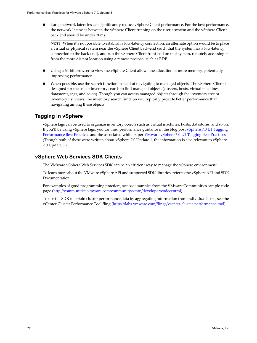**IDED** Large network latencies can significantly reduce vSphere Client performance. For the best performance, the network latencies between the vSphere Client running on the user's system and the vSphere Client back end should be under 30ms.

**NOTE** When it's not possible to establish a low-latency connection, an alternate option would be to place a virtual or physical system near the vSphere Client back-end (such that the system has a low-latency connection to the back-end), and run the vSphere Client front-end on that system, remotely accessing it from the more distant location using a remote protocol such as RDP.

- Using a 64-bit browser to view the vSphere Client allows the allocation of more memory, potentially improving performance.
- When possible, use the search function instead of navigating to managed objects. The vSphere Client is designed for the use of inventory search to find managed objects (clusters, hosts, virtual machines, datastores, tags, and so on). Though you can access managed objects through the inventory tree or inventory list views, the inventory search function will typically provide better performance than navigating among these objects.

# **Tagging in vSphere**

vSphere tags can be used to organize inventory objects such as virtual machines, hosts, datastores, and so on. If you'll be using vSphere tags, you can find performance guidance in the blog post [vSphere 7.0 U1 Tagging](https://blogs.vmware.com/performance/2021/01/vsphere70u1-tagging-performance-best-practices.html)  [Performance Best Practices](https://blogs.vmware.com/performance/2021/01/vsphere70u1-tagging-performance-best-practices.html) and the associated white paper [VMware vSphere 7.0 U1 Tagging Best Practices.](https://www.vmware.com/techpapers/2021/tagging-vsphere70u1-perf.html) (Though both of these were written about vSphere 7.0 Update 1, the information is also relevant to vSphere 7.0 Update 3.)

# **vSphere Web Services SDK Clients**

The VMware vSphere Web Services SDK can be an efficient way to manage the vSphere environment.

To learn more about the VMware vSphere API and supported SDK libraries, refer to the vSphere API and SDK Documentation.

For examples of good programming practices, see code samples from the VMware Communities sample code page [\(http://communities.vmware.com/community/vmtn/developer/codecentral](http://communities.vmware.com/community/vmtn/developer/codecentral)).

To use the SDK to obtain cluster performance data by aggregating information from individual hosts, see the vCenter Cluster Performance Tool fling (<https://labs.vmware.com/flings/vcenter-cluster-performance-tool>).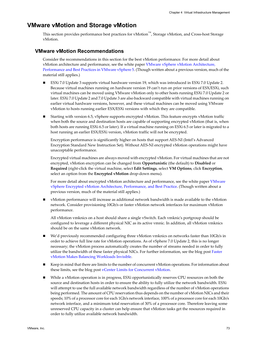# **VMware vMotion and Storage vMotion**

This section provides performance best practices for vMotion™, Storage vMotion, and Cross-host Storage vMotion.

#### <span id="page-72-0"></span>**VMware vMotion Recommendations**

Consider the recommendations in this section for the best vMotion performance. For more detail about vMotion architecture and performance, see the white paper [VMware vSphere vMotion Architecture,](https://www.vmware.com/techpapers/2011/vmotion-architecture-performance-and-best-practi-10202.html)  [Performance and Best Practices in VMware vSphere 5.](https://www.vmware.com/techpapers/2011/vmotion-architecture-performance-and-best-practi-10202.html) (Though written about a previous version, much of the material still applies.)

- ESXi 7.0 Update 3 supports virtual hardware version 19, which was introduced in ESXi 7.0 Update 2. Because virtual machines running on hardware version 19 can't run on prior versions of ESX/ESXi, such virtual machines can be moved using VMware vMotion only to other hosts running ESXi 7.0 Update 2 or later. ESXi 7.0 Update 2 and 7.0 Update 3 are also backward compatible with virtual machines running on earlier virtual hardware versions, however, and these virtual machines can be moved using VMware vMotion to hosts running earlier ESX/ESXi versions with which they are compatible.
- Starting with version 6.5, vSphere supports encrypted vMotion. This feature encrypts vMotion traffic when both the source and destination hosts are capable of supporting encrypted vMotion (that is, when both hosts are running ESXi 6.5 or later). If a virtual machine running on ESXi 6.5 or later is migrated to a host running an earlier ESX/ESXi version, vMotion traffic will not be encrypted.

Encryption performance is significantly higher on hosts that support AES-NI (Intel's Advanced Encryption Standard New Instruction Set). Without AES-NI encrypted vMotion operations might have unacceptable performance.

Encrypted virtual machines are always moved with encrypted vMotion. For virtual machines that are not encrypted, vMotion encryption can be changed from **Opportunistic** (the default) to **Disabled** or **Required** (right-click the virtual machine, select **Edit Settings**, select **VM Options**, click **Encryption**, select an option from the **Encrypted vMotion** drop-down menu).

For more detail about encrypted vMotion architecture and performance, see the white paper [VMware](https://www.vmware.com/techpapers/2017/encrypted-vmotion-vsphere65-perf.html)  [vSphere Encrypted vMotion Architecture, Performance, and Best Practice.](https://www.vmware.com/techpapers/2017/encrypted-vmotion-vsphere65-perf.html) (Though written about a previous version, much of the material still applies.)

 vMotion performance will increase as additional network bandwidth is made available to the vMotion network. Consider provisioning 10Gb/s or faster vMotion network interfaces for maximum vMotion performance.

All vMotion vmknics on a host should share a single vSwitch. Each vmknicʹs portgroup should be configured to leverage a different physical NIC as its active vmnic. In addition, all vMotion vmknics should be on the same vMotion network.

- We'd previously recommended configuring three vMotion vmknics on networks faster than 10Gb/s in order to achieve full line rate for vMotion operations. As of vSphere 7.0 Update 2, this is no longer necessary; the vMotion process automatically creates the number of streams needed in order to fully utilize the bandwidth of these faster physical NICs. For further information, see the blog post [Faster](https://core.vmware.com/blog/faster-vmotion-makes-balancing-workloads-invisible)  [vMotion Makes Balancing Workloads Invisible.](https://core.vmware.com/blog/faster-vmotion-makes-balancing-workloads-invisible)
- Keep in mind that there are limits to the number of concurrent vMotion operations. For information about these limits, see the blog post [vCenter Limits for Concurrent vMotion.](https://blogs.vmware.com/performance/2021/02/vcenter-limits-for-concurrent-vmotion.html)
- While a vMotion operation is in progress, ESXi opportunistically reserves CPU resources on both the source and destination hosts in order to ensure the ability to fully utilize the network bandwidth. ESXi will attempt to use the full available network bandwidth regardless of the number of vMotion operations being performed. The amount of CPU reservation thus depends on the number of vMotion NICs and their speeds; 10% of a processor core for each 1Gb/s network interface, 100% of a processor core for each 10Gb/s network interface, and a minimum total reservation of 30% of a processor core. Therefore leaving some unreserved CPU capacity in a cluster can help ensure that vMotion tasks get the resources required in order to fully utilize available network bandwidth.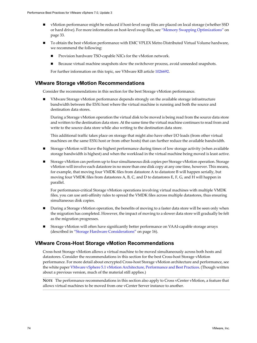- vMotion performance might be reduced if host-level swap files are placed on local storage (whether SSD or hard drive). For more information on host-level swap files, see ["Memory Swapping Optimizations" on](#page-32-0)  [page 33](#page-32-0).
- To obtain the best vMotion performance with EMC VPLEX Metro Distributed Virtual Volume hardware, we recommend the following:
	- Provision hardware TSO-capable NICs for the vMotion network.
	- **Because virtual machine snapshots slow the switchover process, avoid unneeded snapshots.**

For further information on this topic, see VMware KB article [1026692](https://kb.vmware.com/s/article/1026692).

#### <span id="page-73-0"></span>**VMware Storage vMotion Recommendations**

Consider the recommendations in this section for the best Storage vMotion performance.

 VMware Storage vMotion performance depends strongly on the available storage infrastructure bandwidth between the ESXi host where the virtual machine is running and both the source and destination data stores.

During a Storage vMotion operation the virtual disk to be moved is being read from the source data store and written to the destination data store. At the same time the virtual machine continues to read from and write to the source data store while also writing to the destination data store.

This additional traffic takes place on storage that might also have other I/O loads (from other virtual machines on the same ESXi host or from other hosts) that can further reduce the available bandwidth.

- Storage vMotion will have the highest performance during times of low storage activity (when available storage bandwidth is highest) and when the workload in the virtual machine being moved is least active.
- Storage vMotion can perform up to four simultaneous disk copies per Storage vMotion operation. Storage vMotion will involve each datastore in no more than one disk copy at any one time, however. This means, for example, that moving four VMDK files from datastore A to datastore B will happen serially, but moving four VMDK files from datastores A, B, C, and D to datastores E, F, G, and H will happen in parallel.

For performance-critical Storage vMotion operations involving virtual machines with multiple VMDK files, you can use anti-affinity rules to spread the VMDK files across multiple datastores, thus ensuring simultaneous disk copies.

- During a Storage vMotion operation, the benefits of moving to a faster data store will be seen only when the migration has completed. However, the impact of moving to a slower data store will gradually be felt as the migration progresses.
- Storage vMotion will often have significantly better performance on VAAI-capable storage arrays (described in ["Storage Hardware Considerations" on page 16](#page-15-0)).

#### **VMware Cross-Host Storage vMotion Recommendations**

Cross-host Storage vMotion allows a virtual machine to be moved simultaneously across both hosts and datastores. Consider the recommendations in this section for the best Cross-host Storage vMotion performance. For more detail about encrypted Cross-host Storage vMotion architecture and performance, see the white paper [VMware vSphere 5.1 vMotion Architecture, Performance and Best Practices.](https://www.vmware.com/techpapers/2012/vmware-vsphere-51-vmotion-architecture-performan-10305.html) (Though written about a previous version, much of the material still applies.)

**NOTE** The performance recommendations in this section also apply to Cross vCenter vMotion, a feature that allows virtual machines to be moved from one vCenter Server instance to another.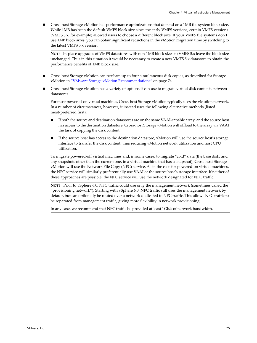Cross-host Storage vMotion has performance optimizations that depend on a 1MB file system block size. While 1MB has been the default VMFS block size since the early VMFS versions, certain VMFS versions (VMFS 3.x, for example) allowed users to choose a different block size. If your VMFS file systems don't use 1MB block sizes, you can obtain significant reductions in the vMotion migration time by switching to the latest VMFS 5.x version.

**NOTE** In-place upgrades of VMFS datastores with non-1MB block sizes to VMFS 5.x leave the block size unchanged. Thus in this situation it would be necessary to create a new VMFS 5.x datastore to obtain the performance benefits of 1MB block size.

- Cross-host Storage vMotion can perform up to four simultaneous disk copies, as described for Storage vMotion in ["VMware Storage vMotion Recommendations" on page 74](#page-73-0).
- Cross-host Storage vMotion has a variety of options it can use to migrate virtual disk contents between datastores.

For most powered-on virtual machines, Cross-host Storage vMotion typically uses the vMotion network. In a number of circumstances, however, it instead uses the following alternative methods (listed most-preferred first):

- If both the source and destination datastores are on the same VAAI-capable array, and the source host has access to the destination datastore, Cross-host Storage vMotion will offload to the array via VAAI the task of copying the disk content.
- If the source host has access to the destination datastore, vMotion will use the source host's storage interface to transfer the disk content, thus reducing vMotion network utilization and host CPU utilization.

To migrate powered-off virtual machines and, in some cases, to migrate "cold" data (the base disk, and any snapshots other than the current one, in a virtual machine that has a snapshot), Cross-host Storage vMotion will use the Network File Copy (NFC) service. As in the case for powered-on virtual machines, the NFC service will similarly preferentially use VAAI or the source host's storage interface. If neither of these approaches are possible, the NFC service will use the network designated for NFC traffic.

**NOTE** Prior to vSphere 6.0, NFC traffic could use only the management network (sometimes called the "provisioning network"). Starting with vSphere 6.0, NFC traffic still uses the management network by default, but can optionally be routed over a network dedicated to NFC traffic. This allows NFC traffic to be separated from management traffic, giving more flexibility in network provisioning.

In any case, we recommend that NFC traffic be provided at least 1Gb/s of network bandwidth.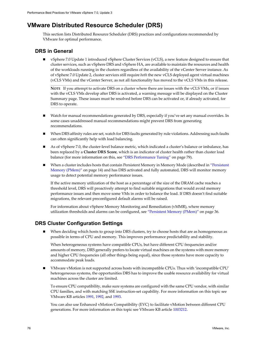# <span id="page-75-0"></span>**VMware Distributed Resource Scheduler (DRS)**

This section lists Distributed Resource Scheduler (DRS) practices and configurations recommended by VMware for optimal performance.

### **DRS in General**

 vSphere 7.0 Update 1 introduced vSphere Cluster Services (vCLS), a new feature designed to ensure that cluster services, such as vSphere DRS and vSphere HA, are available to maintain the resources and health of the workloads running in the clusters regardless of the availability of the vCenter Server instance. As of vSphere 7.0 Update 2, cluster services still require *both* the new vCLS deployed agent virtual machines (vCLS VMs) and the vCenter Server, as not all functionality has moved to the vCLS VMs in this release.

**NOTE** If you attempt to activate DRS on a cluster where there are issues with the vCLS VMs, or if issues with the vCLS VMs develop after DRS is activated, a warning message will be displayed on the Cluster Summary page. These issues must be resolved before DRS can be activated or, if already activated, for DRS to operate.

- Watch for manual recommendations generated by DRS, especially if you've set any manual overrides. In some cases unaddressed manual recommendations might prevent DRS from generating recommendations.
- When DRS affinity rules are set, watch for DRS faults generated by rule violations. Addressing such faults can often significantly help with load balancing.
- As of vSphere 7.0, the cluster-level balance metric, which indicated a cluster's balance or imbalance, has been replaced by a **Cluster DRS Score**, which is an indicator of cluster health rather than cluster load balance (for more information on this, see ["DRS Performance Tuning" on page 79\)](#page-78-0).
- When a cluster includes hosts that contain Persistent Memory in Memory Mode (described in ["Persistent](#page-13-0)  [Memory \(PMem\)" on page 14](#page-13-0)) and has DRS activated and fully automated, DRS will monitor memory usage to detect potential memory performance issues.

If the active memory utilization of the host as a percentage of the size of the DRAM cache reaches a threshold level, DRS will proactively attempt to find suitable migrations that would avoid memory performance issues and then move some VMs in order to balance the load. If DRS doesn't find suitable migrations, the relevant preconfigured default alarms will be raised.

For information about vSphere Memory Monitoring and Remediation (vMMR), where memory utilization thresholds and alarms can be configured, see ["Persistent Memory \(PMem\)" on page 36.](#page-35-0)

### **DRS Cluster Configuration Settings**

 When deciding which hosts to group into DRS clusters, try to choose hosts that are as homogeneous as possible in terms of CPU and memory. This improves performance predictability and stability.

When heterogeneous systems have compatible CPUs, but have different CPU frequencies and/or amounts of memory, DRS generally prefers to locate virtual machines on the systems with more memory and higher CPU frequencies (all other things being equal), since those systems have more capacity to accommodate peak loads.

 VMware vMotion is not supported across hosts with incompatible CPUs. Thus with 'incompatible CPU' heterogeneous systems, the opportunities DRS has to improve the usable resource availability for virtual machines across the cluster are limited.

To ensure CPU compatibility, make sure systems are configured with the same CPU vendor, with similar CPU families, and with matching SSE instruction-set capability. For more information on this topic see VMware KB articles [1991,](https://kb.vmware.com/s/article/1991) [1992](https://kb.vmware.com/s/article/1992), and [1993](https://kb.vmware.com/s/article/1993).

You can also use Enhanced vMotion Compatibility (EVC) to facilitate vMotion between different CPU generations. For more information on this topic see VMware KB article [1003212.](https://kb.vmware.com/s/article/1003212)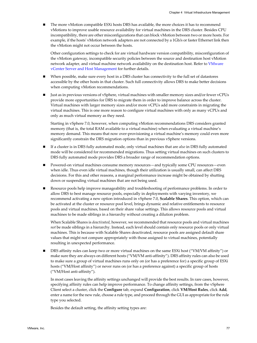The more vMotion compatible ESXi hosts DRS has available, the more choices it has to recommend vMotions to improve usable resource availability for virtual machines in the DRS cluster. Besides CPU incompatibility, there are other misconfigurations that can block vMotion between two or more hosts. For example, if the hostsʹ vMotion network adapters are not connected by a 1Gb/s or faster Ethernet link then the vMotion might not occur between the hosts.

Other configuration settings to check for are virtual hardware version compatibility, misconfiguration of the vMotion gateway, incompatible security policies between the source and destination host vMotion network adapter, and virtual machine network availability on the destination host. Refer to [VMware](https://docs.vmware.com/en/VMware-vSphere/7.0/com.vmware.vsphere.vcenterhost.doc/GUID-3B5AF2B1-C534-4426-B97A-D14019A8010F.html)  [vCenter Server and Host Management](https://docs.vmware.com/en/VMware-vSphere/7.0/com.vmware.vsphere.vcenterhost.doc/GUID-3B5AF2B1-C534-4426-B97A-D14019A8010F.html) for further details.

- When possible, make sure every host in a DRS cluster has connectivity to the full set of datastores accessible by the other hosts in that cluster. Such full connectivity allows DRS to make better decisions when computing vMotion recommendations.
- Just as in previous versions of vSphere, virtual machines with smaller memory sizes and/or fewer vCPUs provide more opportunities for DRS to migrate them in order to improve balance across the cluster. Virtual machines with larger memory sizes and/or more vCPUs add more constraints in migrating the virtual machines. This is one more reason to configure virtual machines with only as many vCPUs and only as much virtual memory as they need.

Starting in vSphere 7.0, however, when computing vMotion recommendations DRS considers granted memory (that is, the total RAM available to a virtual machine) when evaluating a virtual machine's memory demand. This means that now over-provisioning a virtual machine's memory could even more significantly constrain the DRS migration options than in previous vSphere versions.

- If a cluster is in DRS fully automated mode, only virtual machines that are *also* in DRS fully automated mode will be considered for recommended migrations. Thus setting virtual machines on such clusters to DRS fully automated mode provides DRS a broader range of recommendation options.
- Powered-on virtual machines consume memory resources—and typically some CPU resources—even when idle. Thus even idle virtual machines, though their utilization is usually small, can affect DRS decisions. For this and other reasons, a marginal performance increase might be obtained by shutting down or suspending virtual machines that are not being used.
- Resource pools help improve manageability and troubleshooting of performance problems. In order to allow DRS to best manage resource pools, especially in deployments with varying inventory, we recommend activating a new option introduced in vSphere 7.0, **Scalable Shares**. This option, which can be activated at the cluster or resource pool level, brings dynamic and relative entitlements to resource pools and virtual machines, based on their share value settings. This allows resource pools and virtual machines to be made siblings in a hierarchy without creating a dilution problem.

When Scalable Shares is *deactivated*, however, we recommended that resource pools and virtual machines *not* be made siblings in a hierarchy. Instead, each level should contain only resource pools or only virtual machines. This is because with Scalable Shares deactivated, resource pools are assigned default share values that might not compare appropriately with those assigned to virtual machines, potentially resulting in unexpected performance.

 DRS affinity rules can keep two or more virtual machines on the same ESXi host ("VM/VM affinity") or make sure they are always on different hosts ("VM/VM anti-affinity"). DRS affinity rules can also be used to make sure a group of virtual machines runs only on (or has a preference for) a specific group of ESXi hosts ("VM/Host affinity") or never runs on (or has a preference against) a specific group of hosts ("VM/Host anti-affinity").

In most cases leaving the affinity settings unchanged will provide the best results. In rare cases, however, specifying affinity rules can help improve performance. To change affinity settings, from the vSphere Client select a cluster, click the **Configure** tab, expand **Configuration**, click **VM/Host Rules**, click **Add**, enter a name for the new rule, choose a rule type, and proceed through the GUI as appropriate for the rule type you selected.

Besides the default setting, the affinity setting types are: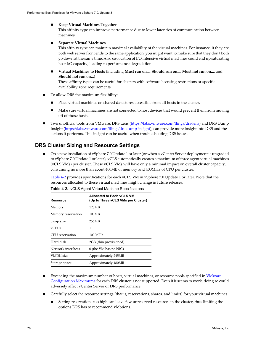#### **Keep Virtual Machines Together**

This affinity type can improve performance due to lower latencies of communication between machines.

#### **Separate Virtual Machines**

This affinity type can maintain maximal availability of the virtual machines. For instance, if they are both web server front ends to the same application, you might want to make sure that they don't both go down at the same time. Also co-location of I/O intensive virtual machines could end up saturating host I/O capacity, leading to performance degradation.

 **Virtual Machines to Hosts** (including **Must run on...**, **Should run on...**, **Must not run on...**, and **Should not run on...**)

These affinity types can be useful for clusters with software licensing restrictions or specific availability zone requirements.

- To allow DRS the maximum flexibility:
	- Place virtual machines on shared datastores accessible from all hosts in the cluster.
	- Make sure virtual machines are not connected to host devices that would prevent them from moving off of those hosts.
- Two unofficial tools from VMware, DRS Lens ([https://labs.vmware.com/flings/drs-lens\)](https://labs.vmware.com/flings/drs-lens) and DRS Dump Insight [\(https://labs.vmware.com/flings/drs-dump-insight](https://flings.vmware.com/drs-dump-insight)), can provide more insight into DRS and the actions it performs. This insight can be useful when troubleshooting DRS issues.

#### **DRS Cluster Sizing and Resource Settings**

 On a new installation of vSphere 7.0 Update 1 or later (or when a vCenter Server deployment is upgraded to vSphere 7.0 Update 1 or later), vCLS automatically creates a maximum of three agent virtual machines (vCLS VMs) per cluster. These vCLS VMs will have only a minimal impact on overall cluster capacity, consuming no more than about 400MB of memory and 400MHz of CPU per cluster.

[Table 4-2](#page-77-0) provides specifications for each vCLS VM in vSphere 7.0 Update 1 or later. Note that the resources allocated to these virtual machines might change in future releases.

| Resource           | <b>Allocated to Each vCLS VM</b><br>(Up to Three vCLS VMs per Cluster) |  |
|--------------------|------------------------------------------------------------------------|--|
| Memory             | 128MB                                                                  |  |
| Memory reservation | 100MB                                                                  |  |
| Swap size          | 256MB                                                                  |  |
| <b>vCPUs</b>       | 1                                                                      |  |
| CPU reservation    | $100 \text{ MHz}$                                                      |  |
| Hard disk          | 2GB (thin provisioned)                                                 |  |
| Network interfaces | 0 (the VM has no NIC)                                                  |  |
| VMDK size          | Approximately 245MB                                                    |  |
| Storage space      | Approximately 480MB                                                    |  |

<span id="page-77-0"></span>

|  | Table 4-2. vCLS Agent Virtual Machine Specifications |  |
|--|------------------------------------------------------|--|
|  |                                                      |  |

- Exceeding the maximum number of hosts, virtual machines, or resource pools specified in [VMware](https://configmax.vmware.com/)  [Configuration Maximums](https://configmax.vmware.com/) for each DRS cluster is not supported. Even if it seems to work, doing so could adversely affect vCenter Server or DRS performance.
- Carefully select the resource settings (that is, reservations, shares, and limits) for your virtual machines.
	- Setting reservations too high can leave few unreserved resources in the cluster, thus limiting the options DRS has to recommend vMotions.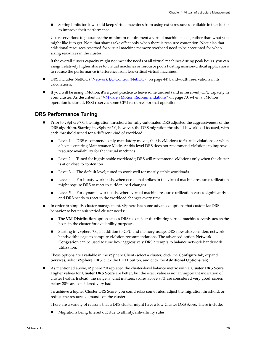Setting limits too low could keep virtual machines from using extra resources available in the cluster to improve their performance.

Use reservations to guarantee the minimum requirement a virtual machine needs, rather than what you might like it to get. Note that shares take effect only when there is resource contention. Note also that additional resources reserved for virtual machine memory overhead need to be accounted for when sizing resources in the cluster.

If the overall cluster capacity might not meet the needs of all virtual machines during peak hours, you can assign relatively higher shares to virtual machines or resource pools hosting mission-critical applications to reduce the performance interference from less-critical virtual machines.

- DRS includes NetIOC [\("Network I/O Control \(NetIOC\)" on page 44](#page-43-0)) bandwidth reservations in its calculations.
- If you will be using vMotion, it's a good practice to leave some unused (and unreserved) CPU capacity in your cluster. As described in ["VMware vMotion Recommendations" on page 73](#page-72-0), when a vMotion operation is started, ESXi reserves some CPU resources for that operation.

#### <span id="page-78-0"></span>**DRS Performance Tuning**

- Prior to vSphere 7.0, the migration threshold for fully-automated DRS adjusted the aggressiveness of the DRS algorithm. Starting in vSphere 7.0, however, the DRS migration threshold is workload focused, with each threshold tuned for a different kind of workload:
	- Level 1 DRS recommends only mandatory moves, that is vMotions to fix rule violations or when a host is entering Maintenance Mode. At this level DRS does not recommend vMotions to improve resource availability for the virtual machines.
	- Level 2 Tuned for highly stable workloads; DRS will recommend vMotions only when the cluster is at or close to contention.
	- Level 3 The default level; tuned to work well for mostly stable workloads.
	- Level 4 For bursty workloads, when occasional spikes in the virtual machine resource utilization might require DRS to react to sudden load changes.
	- $\blacksquare$  Level 5 For dynamic workloads, where virtual machine resource utilization varies significantly and DRS needs to react to the workload changes every time.
- In order to simplify cluster management, vSphere has some advanced options that customize DRS behavior to better suit varied cluster needs:
	- The **VM Distribution** option causes DRS to consider distributing virtual machines evenly across the hosts in the cluster for availability purposes.
	- Starting in vSphere 7.0, in addition to CPU and memory usage, DRS now also considers network bandwidth usage to compute vMotion recommendations. The advanced option **Network Congestion** can be used to tune how aggressively DRS attempts to balance network bandwidth utilization.

These options are available in the vSphere Client (select a cluster, click the **Configure** tab, expand **Services**, select **vSphere DRS**, click the **EDIT** button, and click the **Additional Options** tab).

 As mentioned above, vSphere 7.0 replaced the cluster-level balance metric with a **Cluster DRS Score**. Higher values for **Cluster DRS Score** are better, but the exact value is not an important indication of cluster health. Instead, the range is what matters; scores above 80% are considered very good, scores below 20% are considered very bad.

To achieve a higher Cluster DRS Score, you could relax some rules, adjust the migration threshold, or reduce the resource demands on the cluster.

There are a variety of reasons that a DRS cluster might have a low Cluster DRS Score. These include:

Migrations being filtered out due to affinity/anti-affinity rules.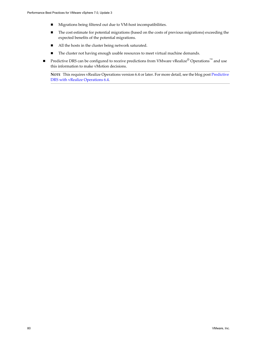- Migrations being filtered out due to VM-host incompatibilities.
- The cost estimate for potential migrations (based on the costs of previous migrations) exceeding the expected benefits of the potential migrations.
- All the hosts in the cluster being network saturated.
- $\blacksquare$  The cluster not having enough usable resources to meet virtual machine demands.
- Predictive DRS can be configured to receive predictions from VMware vRealize® Operations<sup>™</sup> and use this information to make vMotion decisions.

**NOTE** This requires vRealize Operations version 6.4 or later. For more detail, see the blog post [Predictive](https://blogs.vmware.com/management/2016/11/david-davis-vrealize-operations-post-34-new-predictive-drs-vrealize-operations-6-4.html)  [DRS with vRealize Operations 6.4](https://blogs.vmware.com/management/2016/11/david-davis-vrealize-operations-post-34-new-predictive-drs-vrealize-operations-6-4.html).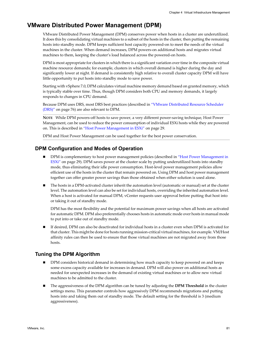# **VMware Distributed Power Management (DPM)**

VMware Distributed Power Management (DPM) conserves power when hosts in a cluster are underutilized. It does this by consolidating virtual machines to a subset of the hosts in the cluster, then putting the remaining hosts into standby mode. DPM keeps sufficient host capacity powered-on to meet the needs of the virtual machines in the cluster. When demand increases, DPM powers-on additional hosts and migrates virtual machines to them, keeping the cluster's load balanced across the powered-on hosts.

DPM is most appropriate for clusters in which there is a significant variation over time in the composite virtual machine resource demands; for example, clusters in which overall demand is higher during the day and significantly lower at night. If demand is consistently high relative to overall cluster capacity DPM will have little opportunity to put hosts into standby mode to save power.

Starting with vSphere 7.0, DPM calculates virtual machine memory demand based on granted memory, which is typically stable over time. Thus, though DPM considers both CPU and memory demands, it largely responds to changes in CPU demand.

Because DPM uses DRS, most DRS best practices (described in ["VMware Distributed Resource Scheduler](#page-75-0)  [\(DRS\)" on page 76](#page-75-0)) are also relevant to DPM.

**NOTE** While DPM powers-off hosts to save power, a very different power-saving technique, Host Power Management, can be used to reduce the power consumption of individual ESXi hosts while they are powered on. This is described in ["Host Power Management in ESXi" on page 29](#page-28-0).

DPM and Host Power Management can be used together for the best power conservation.

#### **DPM Configuration and Modes of Operation**

- DPM is complementary to host power management policies (described in ["Host Power Management in](#page-28-0)  [ESXi" on page 29](#page-28-0)). DPM saves power at the cluster scale by putting underutilized hosts into standby mode, thus eliminating their idle power consumption. Host-level power management policies allow efficient use of the hosts in the cluster that remain powered on. Using DPM and host power management together can offer greater power savings than those obtained when either solution is used alone.
- The hosts in a DPM-activated cluster inherit the automation level (automatic or manual) set at the cluster level. The automation level can also be set for individual hosts, overriding the inherited automation level. When a host is activated for manual DPM, vCenter requests user approval before putting that host into or taking it out of standby mode.

DPM has the most flexibility and the potential for maximum power savings when all hosts are activated for automatic DPM. DPM also preferentially chooses hosts in automatic mode over hosts in manual mode to put into or take out of standby mode.

 If desired, DPM can also be deactivated for individual hosts in a cluster even when DPM is activated for that cluster. This might be done for hosts running mission-critical virtual machines, for example. VM/Host affinity rules can then be used to ensure that those virtual machines are not migrated away from those hosts.

#### **Tuning the DPM Algorithm**

- **DPM** considers historical demand in determining how much capacity to keep powered on and keeps some excess capacity available for increases in demand. DPM will also power on additional hosts as needed for unexpected increases in the demand of existing virtual machines or to allow new virtual machines to be admitted to the cluster.
- The aggressiveness of the DPM algorithm can be tuned by adjusting the **DPM Threshold** in the cluster settings menu. This parameter controls how aggressively DPM recommends migrations and putting hosts into and taking them out of standby mode. The default setting for the threshold is 3 (medium aggressiveness).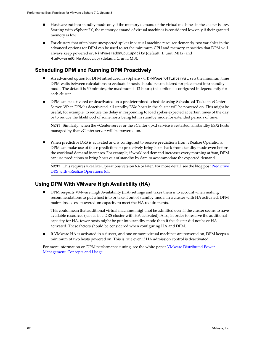- Hosts are put into standby mode only if the memory demand of the virtual machines in the cluster is low. Starting with vSphere 7.0, the memory demand of virtual machines is considered low only if their granted memory is low.
- For clusters that often have unexpected spikes in virtual machine resource demands, two variables in the advanced options for DPM can be used to set the minimum CPU and memory capacities that DPM will always keep powered on, MinPoweredOnCpuCapacity (default: 1, unit: MHz) and MinPoweredOnMemCapacity (default: 1, unit: MB).

### **Scheduling DPM and Running DPM Proactively**

- An advanced option for DPM introduced in vSphere 7.0, DPMPowerOffInterval, sets the minimum time DPM waits between calculations to evaluate if hosts should be considered for placement into standby mode. The default is 30 minutes, the maximum is 12 hours; this option is configured independently for each cluster.
- DPM can be activated or deactivated on a predetermined schedule using **Scheduled Tasks** in vCenter Server. When DPM is deactivated, all standby ESXi hosts in the cluster will be powered on. This might be useful, for example, to reduce the delay in responding to load spikes expected at certain times of the day or to reduce the likelihood of some hosts being left in standby mode for extended periods of time.

**NOTE** Similarly, when the vCenter server or the vCenter vpxd service is restarted, all standby ESXi hosts managed by that vCenter server will be powered on.

 When predictive DRS is activated and is configured to receive predictions from vRealize Operations, DPM can make use of these predictions to proactively bring hosts back from standby mode even before the workload demand increases. For example, if workload demand increases every morning at 9am, DPM can use predictions to bring hosts out of standby by 8am to accommodate the expected demand.

**NOTE** This requires vRealize Operations version 6.4 or later. For more detail, see the blog post [Predictive](https://blogs.vmware.com/management/2016/11/david-davis-vrealize-operations-post-34-new-predictive-drs-vrealize-operations-6-4.html)  [DRS with vRealize Operations 6.4](https://blogs.vmware.com/management/2016/11/david-davis-vrealize-operations-post-34-new-predictive-drs-vrealize-operations-6-4.html).

## **Using DPM With VMware High Availability (HA)**

 DPM respects VMware High Availability (HA) settings and takes them into account when making recommendations to put a host into or take it out of standby mode. In a cluster with HA activated, DPM maintains excess powered-on capacity to meet the HA requirements.

This could mean that additional virtual machines might not be admitted even if the cluster seems to have available resources (just as in a DRS cluster with HA activated). Also, in order to reserve the additional capacity for HA, fewer hosts might be put into standby mode than if the cluster did not have HA activated. These factors should be considered when configuring HA and DPM.

 If VMware HA is activated in a cluster, and one or more virtual machines are powered on, DPM keeps a minimum of two hosts powered on. This is true even if HA admission control is deactivated.

For more information on DPM performance tuning, see the white paper [VMware Distributed Power](https://www.vmware.com/techpapers/2008/vmware-distributed-power-management-concepts-and-1080.html)  [Management: Concepts and Usage](https://www.vmware.com/techpapers/2008/vmware-distributed-power-management-concepts-and-1080.html).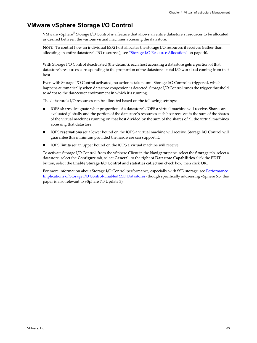# **VMware vSphere Storage I/O Control**

VMware vSphere® Storage I/O Control is a feature that allows an entire datastore's resources to be allocated as desired between the various virtual machines accessing the datastore.

**NOTE** To control how an individual ESXi host allocates the storage I/O resources it receives (rather than allocating an entire datastore's I/O resources), see ["Storage I/O Resource Allocation" on page 40.](#page-39-0)

With Storage I/O Control deactivated (the default), each host accessing a datastore gets a portion of that datastore's resources corresponding to the proportion of the datastore's total I/O workload coming from that host.

Even with Storage I/O Control activated, no action is taken until Storage I/O Control is triggered, which happens automatically when datastore congestion is detected. Storage I/O Control tunes the trigger threshold to adapt to the datacenter environment in which it's running.

The datastore's I/O resources can be allocated based on the following settings:

- IOPS **shares** designate what proportion of a datastore's IOPS a virtual machine will receive. Shares are evaluated globally and the portion of the datastore's resources each host receives is the sum of the shares of the virtual machines running on that host divided by the sum of the shares of all the virtual machines accessing that datastore.
- IOPS **reservations** set a lower bound on the IOPS a virtual machine will receive. Storage I/O Control will guarantee this minimum provided the hardware can support it.
- IOPS **limits** set an upper bound on the IOPS a virtual machine will receive.

To activate Storage I/O Control, from the vSphere Client in the **Navigator** pane, select the **Storage** tab, select a datastore, select the **Configure** tab, select **General**, to the right of **Datastore Capabilities** click the **EDIT...** button, select the **Enable Storage I/O Control and statistics collection** check box, then click **OK**.

For more information about Storage I/O Control performance, especially with SSD storage, see [Performance](https://www.vmware.com/techpapers/2017/sioc-ssd-vsphere65-perf.html)  [Implications of Storage I/O Control-Enabled SSD Datastores](https://www.vmware.com/techpapers/2017/sioc-ssd-vsphere65-perf.html) (though specifically addressing vSphere 6.5, this paper is also relevant to vSphere 7.0 Update 3).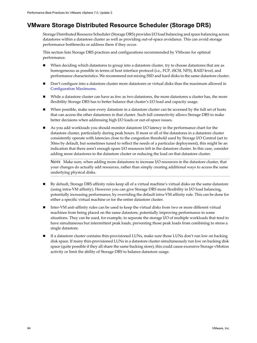# **VMware Storage Distributed Resource Scheduler (Storage DRS)**

Storage Distributed Resource Scheduler (Storage DRS) provides I/O load balancing and space balancing across datastores within a datastore cluster as well as providing out-of-space avoidance. This can avoid storage performance bottlenecks or address them if they occur.

This section lists Storage DRS practices and configurations recommended by VMware for optimal performance.

- When deciding which datastores to group into a datastore cluster, try to choose datastores that are as homogeneous as possible in terms of host interface protocol (i.e., FCP, iSCSI, NFS), RAID level, and performance characteristics. We recommend not mixing SSD and hard disks in the same datastore cluster.
- Don't configure into a datastore cluster more datastores or virtual disks than the maximum allowed in [Configuration Maximums.](https://configmax.vmware.com/guest?vmwareproduct=vSphere&release=vSphere%207.0&categories=1-0)
- While a datastore cluster can have as few as two datastores, the more datastores a cluster has, the more flexibility Storage DRS has to better balance that cluster's I/O load and capacity usage.
- When possible, make sure every datastore in a datastore cluster can be accessed by the full set of hosts that can access the other datastores in that cluster. Such full connectivity allows Storage DRS to make better decisions when addressing high I/O loads or out-of-space issues.
- As you add workloads you should monitor datastore I/O latency in the performance chart for the datastore cluster, particularly during peak hours. If most or all of the datastores in a datastore cluster consistently operate with latencies close to the congestion threshold used by Storage I/O Control (set to 30ms by default, but sometimes tuned to reflect the needs of a particular deployment), this might be an indication that there arenʹt enough spare I/O resources left in the datastore cluster. In this case, consider adding more datastores to the datastore cluster or reducing the load on that datastore cluster.

**NOTE** Make sure, when adding more datastores to increase I/O resources in the datastore cluster, that your changes do actually add resources, rather than simply creating additional ways to access the same underlying physical disks.

- By default, Storage DRS affinity rules keep all of a virtual machine's virtual disks on the same datastore (using intra-VM affinity). However you can give Storage DRS more flexibility in I/O load balancing, potentially increasing performance, by overriding the default intra-VM affinity rule. This can be done for either a specific virtual machine or for the entire datastore cluster.
- Inter-VM anti-affinity rules can be used to keep the virtual disks from two or more different virtual machines from being placed on the same datastore, potentially improving performance in some situations. They can be used, for example, to separate the storage I/O of multiple workloads that tend to have simultaneous but intermittent peak loads, preventing those peak loads from combining to stress a single datastore.
- If a datastore cluster contains thin-provisioned LUNs, make sure those LUNs don't run low on backing disk space. If many thin-provisioned LUNs in a datastore cluster simultaneously run low on backing disk space (quite possible if they all share the same backing store), this could cause excessive Storage vMotion activity or limit the ability of Storage DRS to balance datastore usage.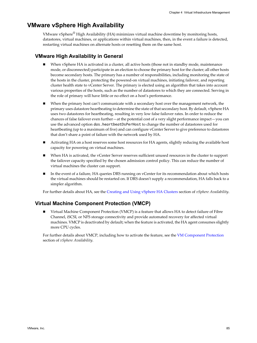## <span id="page-84-0"></span>**VMware vSphere High Availability**

VMware vSphere® High Availability (HA) minimizes virtual machine downtime by monitoring hosts, datastores, virtual machines, or applications within virtual machines, then, in the event a failure is detected, restarting virtual machines on alternate hosts or resetting them on the same host.

#### **VMware High Availability in General**

- When vSphere HA is activated in a cluster, all active hosts (those not in standby mode, maintenance mode, or disconnected) participate in an election to choose the primary host for the cluster; all other hosts become secondary hosts. The primary has a number of responsibilities, including monitoring the state of the hosts in the cluster, protecting the powered-on virtual machines, initiating failover, and reporting cluster health state to vCenter Server. The primary is elected using an algorithm that takes into account various properties of the hosts, such as the number of datastores to which they are connected. Serving in the role of primary will have little or no effect on a host's performance.
- When the primary host can't communicate with a secondary host over the management network, the primary uses datastore heartbeating to determine the state of that secondary host. By default, vSphere HA uses two datastores for heartbeating, resulting in very low false failover rates. In order to reduce the chances of false failover even further—at the potential cost of a very slight performance impact—you can use the advanced option das.heartbeatDsPerHost to change the number of datastores used for heartbeating (up to a maximum of five) and can configure vCenter Server to give preference to datastores that don't share a point of failure with the network used by HA.
- Activating HA on a host reserves some host resources for HA agents, slightly reducing the available host capacity for powering on virtual machines.
- When HA is activated, the vCenter Server reserves sufficient unused resources in the cluster to support the failover capacity specified by the chosen admission control policy. This can reduce the number of virtual machines the cluster can support.
- In the event of a failure, HA queries DRS running on vCenter for its recommendation about which hosts the virtual machines should be restarted on. If DRS doesn't supply a recommendation, HA falls back to a simpler algorithm.

For further details about HA, see the [Creating and Using vSphere HA Clusters](https://docs.vmware.com/en/VMware-vSphere/7.0/com.vmware.vsphere.avail.doc/GUID-5432CA24-14F1-44E3-87FB-61D937831CF6.html) section of *vSphere Availability*.

### **Virtual Machine Component Protection (VMCP)**

 Virtual Machine Component Protection (VMCP) is a feature that allows HA to detect failure of Fibre Channel, iSCSI, or NFS storage connectivity and provide automated recovery for affected virtual machines. VMCP is deactivated by default; when the feature is activated, the HA agent consumes slightly more CPU cycles.

For further details about VMCP, including how to activate the feature, see the [VM Component Protection](https://docs.vmware.com/en/VMware-vSphere/7.0/com.vmware.vsphere.avail.doc/GUID-F01F7EB8-FF9D-45E2-A093-5F56A788D027.html) section of *vSphere Availability*.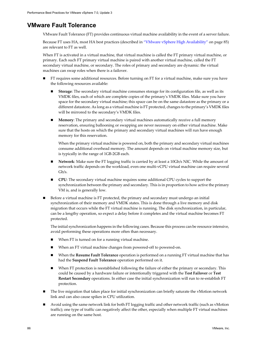# **VMware Fault Tolerance**

VMware Fault Tolerance (FT) provides continuous virtual machine availability in the event of a server failure.

Because FT uses HA, most HA best practices (described in ["VMware vSphere High Availability" on page 85\)](#page-84-0) are relevant to FT as well.

When FT is activated in a virtual machine, that virtual machine is called the FT primary virtual machine, or primary. Each such FT primary virtual machine is paired with another virtual machine, called the FT secondary virtual machine, or secondary. The roles of primary and secondary are dynamic: the virtual machines can swap roles when there is a failover.

- FT requires some additional resources. Before turning on FT for a virtual machine, make sure you have the following resources available:
	- **Storage**: The secondary virtual machine consumes storage for its configuration file, as well as its VMDK files, each of which are complete copies of the primaryʹs VMDK files. Make sure you have space for the secondary virtual machine; this space can be on the same datastore as the primary or a different datastore. As long as a virtual machine is FT protected, changes to the primary's VMDK files will be mirrored to the secondary's VMDK files.
	- **Memory**: The primary and secondary virtual machines automatically receive a full memory reservation, ensuring ballooning or swapping are never necessary on either virtual machine. Make sure that the hosts on which the primary and secondary virtual machines will run have enough memory for this reservation.

When the primary virtual machine is powered on, both the primary and secondary virtual machines consume additional overhead memory. The amount depends on virtual machine memory size, but is typically in the range of 1GB-2GB each.

- **Network**: Make sure the FT logging traffic is carried by at least a 10Gb/s NIC. While the amount of network traffic depends on the workload, even one multi-vCPU virtual machine can require several Gb/s.
- **CPU**: The secondary virtual machine requires some additional CPU cycles to support the synchronization between the primary and secondary. This is in proportion to how active the primary VM is, and is generally low.
- Before a virtual machine is FT protected, the primary and secondary must undergo an initial synchronization of their memory and VMDK states. This is done through a live memory and disk migration that occurs while the FT virtual machine is running. The disk synchronization, in particular, can be a lengthy operation, so expect a delay before it completes and the virtual machine becomes FT protected.

The initial synchronization happens in the following cases. Because this process can be resource intensive, avoid performing these operations more often than necessary.

- When FT is turned on for a running virtual machine.
- When an FT virtual machine changes from powered-off to powered-on.
- When the **Resume Fault Tolerance** operation is performed on a running FT virtual machine that has had the **Suspend Fault Tolerance** operation performed on it.
- When FT protection is reestablished following the failure of either the primary or secondary. This could be caused by a hardware failure or intentionally triggered with the **Test Failover** or **Test Restart Secondary** operations. In either case the initial synchronization will run to re-establish FT protection.
- The live migration that takes place for initial synchronization can briefly saturate the vMotion network link and can also cause spikes in CPU utilization.
- Avoid using the same network link for both FT logging traffic and other network traffic (such as vMotion traffic); one type of traffic can negatively affect the other, especially when multiple FT virtual machines are running on the same host.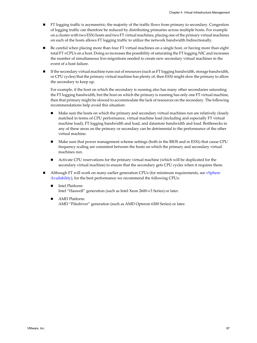- **F** FT logging traffic is asymmetric; the majority of the traffic flows from primary to secondary. Congestion of logging traffic can therefore be reduced by distributing primaries across multiple hosts. For example on a cluster with two ESXi hosts and two FT virtual machines, placing one of the primary virtual machines on each of the hosts allows FT logging traffic to utilize the network bandwidth bidirectionally.
- Be careful when placing more than four FT virtual machines on a single host, or having more than eight total FT vCPUs on a host. Doing so increases the possibility of saturating the FT logging NIC and increases the number of simultaneous live-migrations needed to create new secondary virtual machines in the event of a host failure.
- If the secondary virtual machine runs out of resources (such as FT logging bandwidth, storage bandwidth, or CPU cycles) that the primary virtual machine has plenty of, then ESXi might slow the primary to allow the secondary to keep up.

For example, if the host on which the secondary is running also has many other secondaries saturating the FT logging bandwidth, but the host on which the primary is running has only one FT virtual machine, then that primary might be slowed to accommodate the lack of resources on the secondary. The following recommendations help avoid this situation:

- Make sure the hosts on which the primary and secondary virtual machines run are relatively closely matched in terms of CPU performance, virtual machine load (including and especially FT virtual machine load), FT logging bandwidth and load, and datastore bandwidth and load. Bottlenecks in any of these areas on the primary or secondary can be detrimental to the performance of the other virtual machine.
- Make sure that power management scheme settings (both in the BIOS and in ESXi) that cause CPU frequency scaling are consistent between the hosts on which the primary and secondary virtual machines run.
- Activate CPU reservations for the primary virtual machine (which will be duplicated for the secondary virtual machine) to ensure that the secondary gets CPU cycles when it requires them.
- Although FT will work on many earlier generation CPUs (for minimum requirements, see vSphere [Availability](https://docs.vmware.com/en/VMware-vSphere/7.0/com.vmware.vsphere.avail.doc/GUID-63F459B7-8884-4818-8872-C9753B2E0215.html)), for the best performance we recommend the following CPUs:
	- **Intel Platform:** Intel "Haswell" generation (such as Intel Xeon 2600-v3 Series) or later.
	- AMD Platform: AMD "Piledriver" generation (such as AMD Opteron 6300 Series) or later.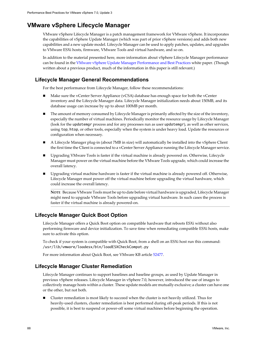## **VMware vSphere Lifecycle Manager**

VMware vSphere Lifecycle Manager is a patch management framework for VMware vSphere. It incorporates the capabilities of vSphere Update Manager (which was part of prior vSphere versions) and adds both new capabilities and a new update model. Lifecycle Manager can be used to apply patches, updates, and upgrades to VMware ESXi hosts, firmware, VMware Tools and virtual hardware, and so on.

In addition to the material presented here, more information about vSphere Lifecycle Manager performance can be found in the [VMware vSphere Update Manager Performance and Best Practices](https://www.vmware.com/techpapers/2016/vum-vsphere65-perf.html) white paper. (Though written about a previous product, much of the information in this paper is still relevant.)

#### **Lifecycle Manager General Recommendations**

For the best performance from Lifecycle Manager, follow these recommendations:

- Make sure the vCenter Server Appliance (vCSA) database has enough space for both the vCenter inventory and the Lifecycle Manager data. Lifecycle Manager initialization needs about 150MB, and its database usage can increase by up to about 100MB per month.
- The amount of memory consumed by Lifecycle Manager is primarily affected by the size of the inventory, especially the number of virtual machines. Periodically monitor the resource usage by Lifecycle Manager (look for the updatemgr process and for any processes run as user updatemgr), as well as other services, using top, htop, or other tools, especially when the system is under heavy load. Update the resources or configuration when necessary.
- A Lifecycle Manager plug-in (about 7MB in size) will automatically be installed into the vSphere Client the first time the Client is connected to a vCenter Server Appliance running the Lifecycle Manager service.
- Upgrading VMware Tools is faster if the virtual machine is already powered on. Otherwise, Lifecycle Manager must power on the virtual machine before the VMware Tools upgrade, which could increase the overall latency.
- Upgrading virtual machine hardware is faster if the virtual machine is already powered off. Otherwise, Lifecycle Manager must power off the virtual machine before upgrading the virtual hardware, which could increase the overall latency.

**NOTE** Because VMware Tools must be up to date before virtual hardware is upgraded, Lifecycle Manager might need to upgrade VMware Tools before upgrading virtual hardware. In such cases the process is faster if the virtual machine is already powered-on.

#### **Lifecycle Manager Quick Boot Option**

Lifecycle Manager offers a Quick Boot option on compatible hardware that reboots ESXi without also performing firmware and device initialization. To save time when remediating compatible ESXi hosts, make sure to activate this option.

To check if your system is compatible with Quick Boot, from a shell on an ESXi host run this command: /usr/lib/vmware/loadesx/bin/loadESXCheckCompat.py

For more information about Quick Boot, see VMware KB article [52477](https://kb.vmware.com/s/article/52477).

#### **Lifecycle Manager Cluster Remediation**

Lifecycle Manager continues to support baselines and baseline groups, as used by Update Manager in previous vSphere releases. Lifecycle Manager in vSphere 7.0, however, introduced the use of images to collectively manage hosts within a cluster. These update models are mutually exclusive; a cluster can have one or the other, but not both.

 Cluster remediation is most likely to succeed when the cluster is not heavily utilized. Thus for heavily-used clusters, cluster remediation is best performed during off-peak periods. If this is not possible, it is best to suspend or power-off some virtual machines before beginning the operation.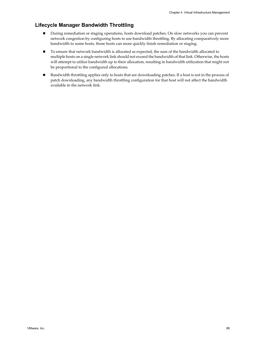### **Lifecycle Manager Bandwidth Throttling**

- During remediation or staging operations, hosts download patches. On slow networks you can prevent network congestion by configuring hosts to use bandwidth throttling. By allocating comparatively more bandwidth to some hosts, those hosts can more quickly finish remediation or staging.
- To ensure that network bandwidth is allocated as expected, the sum of the bandwidth allocated to multiple hosts on a single network link should not exceed the bandwidth of that link. Otherwise, the hosts will attempt to utilize bandwidth up to their allocation, resulting in bandwidth utilization that might not be proportional to the configured allocations.
- Bandwidth throttling applies only to hosts that are downloading patches. If a host is not in the process of patch downloading, any bandwidth throttling configuration for that host will not affect the bandwidth available in the network link.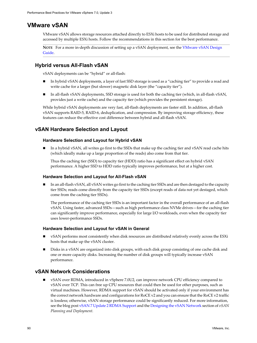# **VMware vSAN**

VMware vSAN allows storage resources attached directly to ESXi hosts to be used for distributed storage and accessed by multiple ESXi hosts. Follow the recommendations in this section for the best performance.

**NOTE** For a more in-depth discussion of setting up a vSAN deployment, see the [VMware vSAN Design](https://core.vmware.com/resource/vmware-vsan-design-guide)  [Guide.](https://core.vmware.com/resource/vmware-vsan-design-guide)

### **Hybrid versus All-Flash vSAN**

vSAN deployments can be "hybrid" or all-flash:

- In hybrid vSAN deployments, a layer of fast SSD storage is used as a "caching tier" to provide a read and write cache for a larger (but slower) magnetic disk layer (the "capacity tier").
- In all-flash vSAN deployments, SSD storage is used for both the caching tier (which, in all-flash vSAN, provides just a write cache) and the capacity tier (which provides the persistent storage).

While hybrid vSAN deployments are very fast, all-flash deployments are faster still. In addition, all-flash vSAN supports RAID-5, RAID-6, deduplication, and compression. By improving storage efficiency, these features can reduce the effective cost difference between hybrid and all-flash vSAN.

#### **vSAN Hardware Selection and Layout**

#### **Hardware Selection and Layout for Hybrid vSAN**

 In a hybrid vSAN, all writes go first to the SSDs that make up the caching tier and vSAN read cache hits (which ideally make up a large proportion of the reads) also come from that tier.

Thus the caching tier (SSD) to capacity tier (HDD) ratio has a significant effect on hybrid vSAN performance. A higher SSD to HDD ratio typically improves performance, but at a higher cost.

#### **Hardware Selection and Layout for All-Flash vSAN**

 In an all-flash vSAN, all vSAN writes go first to the caching tier SSDs and are then destaged to the capacity tier SSDs; reads come directly from the capacity tier SSDs (except reads of data not yet destaged, which come from the caching tier SSDs).

The performance of the caching tier SSDs is an important factor in the overall performance of an all-flash vSAN. Using faster, advanced SSDs—such as high performance class NVMe drives—for the caching tier can significantly improve performance, especially for large I/O workloads, even when the capacity tier uses lower-performance SSDs.

#### **Hardware Selection and Layout for vSAN in General**

- vSAN performs most consistently when disk resources are distributed relatively evenly across the ESXi hosts that make up the vSAN cluster.
- Disks in a vSAN are organized into disk groups, with each disk group consisting of one cache disk and one or more capacity disks. Increasing the number of disk groups will typically increase vSAN performance.

#### **vSAN Network Considerations**

■ vSAN over RDMA, introduced in vSphere 7.0U2, can improve network CPU efficiency compared to vSAN over TCP. This can free up CPU resources that could then be used for other purposes, such as virtual machines. However, RDMA support for vSAN should be activated only if your environment has the correct network hardware and configurations for RoCE v2 and you can ensure that the RoCE v2 traffic is lossless; otherwise, vSAN storage performance could be significantly reduced. For more information, see the blog post [vSAN 7 Update 2 RDMA Support](https://core.vmware.com/blog/vsan-7-update-2-rdma-support) and the [Designing the vSAN Network](https://docs.vmware.com/en/VMware-vSphere/7.0/com.vmware.vsphere.vsan-planning.doc/GUID-031F9637-EE29-4684-8644-7A93B9FD8D7B.html) section of *vSAN Planning and Deployment.*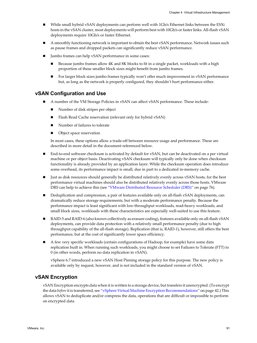- While small hybrid vSAN deployments can perform well with 1Gb/s Ethernet links between the ESXi hosts in the vSAN cluster, most deployments will perform best with 10Gb/s or faster links. All-flash vSAN deployments require 10Gb/s or faster Ethernet.
- A smoothly functioning network is important to obtain the best vSAN performance. Network issues such as pause frames and dropped packets can significantly reduce vSAN performance.
- Jumbo frames can help vSAN performance in some cases:
	- Because jumbo frames allow 4K and 8K blocks to fit in a single packet, workloads with a high proportion of these smaller block sizes might benefit from jumbo frames.
	- For larger block sizes jumbo frames typically won't offer much improvement in vSAN performance but, as long as the network is properly configured, they shouldn't hurt performance either.

#### **vSAN Configuration and Use**

- A number of the VM Storage Policies in vSAN can affect vSAN performance. These include:
	- Number of disk stripes per object
	- Flash Read Cache reservation (relevant only for hybrid vSAN)
	- Number of failures to tolerate
	- Object space reservation

In most cases, these options allow a trade-off between resource usage and performance. These are described in more detail in the document referenced below.

- End-to-end software checksum is activated by default for vSAN, but can be deactivated on a per virtual machine or per object basis. Deactivating vSAN checksum will typically only be done when checksum functionality is already provided by an application layer. While the checksum operation does introduce some overhead, its performance impact is small, due in part to a dedicated in-memory cache.
- Just as disk resources should generally be distributed relatively evenly across vSAN hosts, for the best performance virtual machines should also be distributed relatively evenly across those hosts. VMware DRS can help to achieve this (see ["VMware Distributed Resource Scheduler \(DRS\)" on page 76](#page-75-0)).
- Deduplication and compression, a pair of features available only on all-flash vSAN deployments, can dramatically reduce storage requirements, but with a moderate performance penalty. Because the performance impact is least significant with low-throughput workloads, read-heavy workloads, and small block sizes, workloads with these characteristics are especially well-suited to use this feature.
- RAID-5 and RAID-6 (also known collectively as erasure coding), features available only on all-flash vSAN deployments, can provide data protection with a relatively small performance penalty (due to high throughput capability of the all-flash storage). Replication (that is, RAID-1), however, still offers the best performance, but at the cost of significantly lower space efficiency.
- A few very specific workloads (certain configurations of Hadoop, for example) have some data replication built in. When running such workloads, you might choose to set Failures to Tolerate (FTT) to 0 (in other words, perform no data replication in vSAN).

vSphere 6.7 introduced a new vSAN Host Pinning storage policy for this purpose. The new policy is available only by request, however, and is not included in the standard version of vSAN.

#### **vSAN Encryption**

vSAN Encryption encrypts data when it is written to a storage device, but transfers it unencrypted. (To encrypt the data *before* it is transferred, see ["vSphere Virtual Machine Encryption Recommendations" on page 42](#page-41-0).) This allows vSAN to deduplicate and/or compress the data, operations that are difficult or impossible to perform on encrypted data.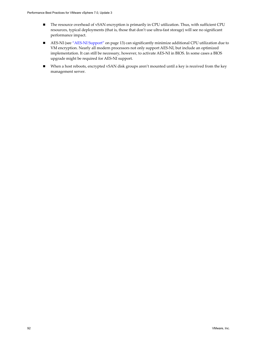- The resource overhead of vSAN encryption is primarily in CPU utilization. Thus, with sufficient CPU resources, typical deployments (that is, those that don't use ultra-fast storage) will see no significant performance impact.
- AES-NI (see ["AES-NI Support" on page 13\)](#page-12-0) can significantly minimize additional CPU utilization due to VM encryption. Nearly all modern processors not only support AES-NI, but include an optimized implementation. It can still be necessary, however, to activate AES-NI in BIOS. In some cases a BIOS upgrade might be required for AES-NI support.
- When a host reboots, encrypted vSAN disk groups aren't mounted until a key is received from the key management server.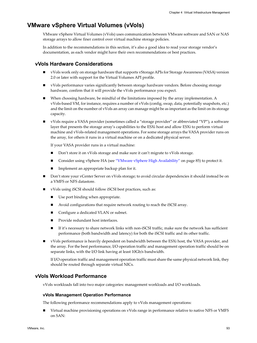# **VMware vSphere Virtual Volumes (vVols)**

VMware vSphere Virtual Volumes (vVols) uses communication between VMware software and SAN or NAS storage arrays to allow finer control over virtual machine storage policies.

In addition to the recommendations in this section, it's also a good idea to read your storage vendor's documentation, as each vendor might have their own recommendations or best practices.

#### **vVols Hardware Considerations**

- vVols work only on storage hardware that supports vStorage APIs for Storage Awareness (VASA) version 2.0 or later with support for the Virtual Volumes API profile.
- vVols performance varies significantly between storage hardware vendors. Before choosing storage hardware, confirm that it will provide the vVols performance you expect.
- When choosing hardware, be mindful of the limitations imposed by the array implementation. A vVols-based VM, for instance, requires a number of vVols (config, swap, data, potentially snapshots, etc.) and the limit on the number of vVols an array can manage might be as important as the limit on its storage capacity.
- vVols require a VASA provider (sometimes called a "storage provider" or abbreviated "VP"), a software layer that presents the storage array's capabilities to the ESXi host and allow ESXi to perform virtual machine and vVols-related management operations. For some storage arrays the VASA provider runs on the array, for others it runs in a virtual machine or on a dedicated physical server.

If your VASA provider runs in a virtual machine:

- Don't store it on vVols storage and make sure it can't migrate to vVols storage.
- Consider using vSphere HA (see ["VMware vSphere High Availability" on page 85](#page-84-0)) to protect it.
- **IMPLEMENTE Implement an appropriate backup plan for it.**
- Don't store your vCenter Server on vVols storage; to avoid circular dependencies it should instead be on a VMFS or NFS datastore.
- vVols using iSCSI should follow iSCSI best practices, such as:
	- Use port binding when appropriate.
	- Avoid configurations that require network routing to reach the iSCSI array.
	- Configure a dedicated VLAN or subnet.
	- Provide redundant host interfaces.
	- If it's necessary to share network links with non-iSCSI traffic, make sure the network has sufficient performance (both bandwidth and latency) for both the iSCSI traffic and its other traffic.
- vVols performance is heavily dependent on bandwidth between the ESXi host, the VASA provider, and the array. For the best performance, I/O operation traffic and management operation traffic should be on separate links, with the I/O link having at least 10Gb/s bandwidth.

If I/O operation traffic and management operation traffic must share the same physical network link, they should be routed through separate virtual NICs.

#### **vVols Workload Performance**

vVols workloads fall into two major categories: management workloads and I/O workloads.

#### **vVols Management Operation Performance**

The following performance recommendations apply to vVols management operations:

 Virtual machine provisioning operations on vVols range in performance relative to native NFS or VMFS on SAN: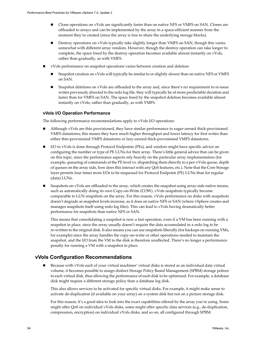- Clone operations on vVols are significantly faster than on native NFS or VMFS on SAN. Clones are offloaded to arrays and can be implemented by the array in a space-efficient manner from the moment they're created (since the array is free to share the underlying storage blocks).
- Destroy operations on vVols typically take slightly longer than VMFS on SAN, though this varies somewhat with different array vendors. However, though the destroy operation can take longer to complete, the space freed by the destroy operation becomes available almost instantly on vVols, rather than gradually, as with VMFS.
- vVols performance on snapshot operations varies between creation and deletion:
	- Snapshot creation on vVols will typically be similar to or slightly slower than on native NFS or VMFS on SAN.
	- Snapshot deletions on vVols are offloaded to the array and, since there's no requirement to re-issue writes previously directed to the redo log file, they will typically be of more predictable duration and faster than for VMFS on SAN. The space freed by the snapshot deletion becomes available almost instantly on vVols, rather than gradually, as with VMFS.

#### **vVols I/O Operation Performance**

The following performance recommendations apply to vVols I/O operations:

- Although vVols are thin provisioned, they have similar performance to eager-zeroed thick-provisioned VMFS datastores; this means they have much higher throughput and lower latency for first writes than either thin-provisioned VMFS datastores or lazy-zeroed thick-provisioned VMFS datastores.
- I/O to vVols is done through Protocol Endpoints (PEs), and vendors might have specific advice on configuring the number or type of PE LUNs for their array. There's little general advice that can be given on this topic, since the performance aspects rely heavily on the particular array implementation (for example, queueing of commands at the PE level vs. dispatching them directly to a per-vVols queue, depth of queues on the array side, how does this interact with any QoS features, etc.). Note that the Core Storage layer permits four times more I/Os to be enqueued for Protocol Endpoint (PE) LUNs than for regular (data) LUNs.
- Snapshots on vVols are offloaded to the array, which creates the snapshot using array-side native means, such as automatically doing its own Copy-on-Write (COW). vVols snapshots typically become comparable to LUN snapshots on the array. For this reason, vVols performance on disks with snapshots doesn't degrade as snapshot levels increase, as it does on native NFS or SAN (where vSphere creates and manages snapshots itself using redo log files). This can lead to vVols having dramatically better performance for snapshots than native NFS or SAN.

This means that consolidating a snapshot is now a fast operation, even if a VM has been running with a snapshot in place, since the array usually doesn't require the data accumulated in a redo log to be re-written to the original disk. It also means you can use snapshots liberally (for backups on running VMs, for example) since the array handles the copy-on-write or other operations needed to maintain the snapshot, and the I/O from the VM to the disk is therefore unaffected. There's no longer a performance penalty for running a VM with a snapshot in place.

### **vVols Configuration Recommendations**

 Because with vVols each of your virtual machines' virtual disks is stored as an individual data virtual volume, it becomes possible to assign distinct Storage Policy Based Management (SPBM) storage polices to each virtual disk, thus allowing the performance of each disk to be optimized. For example, a database disk might require a different storage policy than a database log disk.

This also allows services to be activated for specific virtual disks. For example, it might make sense to activate de-duplication (if available on your array) on a system disk but not on a picture storage disk.

For this reason, it's a good idea to look into the exact capabilities offered by the array you're using. Some might offer QoS on individual vVols disks, some might offer specific data services (e.g., de-duplication, compression, encryption) on individual vVols disks, and so on, all configured through SPBM.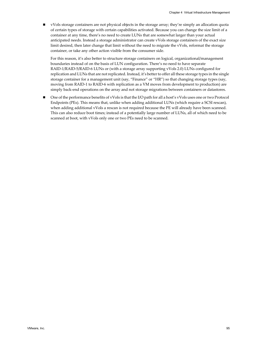vVols storage containers are not physical objects in the storage array; they're simply an allocation quota of certain types of storage with certain capabilities activated. Because you can change the size limit of a container at any time, there's no need to create LUNs that are somewhat larger than your actual anticipated needs. Instead a storage administrator can create vVols storage containers of the exact size limit desired, then later change that limit without the need to migrate the vVols, reformat the storage container, or take any other action visible from the consumer side.

For this reason, it's also better to structure storage containers on logical, organizational/management boundaries instead of on the basis of LUN configuration. There's no need to have separate RAID-1/RAID-5/RAID-6 LUNs or (with a storage array supporting vVols 2.0) LUNs configured for replication and LUNs that are not replicated. Instead, it's better to offer all these storage types in the single storage container for a management unit (say, "Finance" or "HR") so that changing storage types (say, moving from RAID-1 to RAID-6 with replication as a VM moves from development to production) are simply back-end operations on the array and not storage migrations between containers or datastores.

■ One of the performance benefits of vVols is that the I/O path for all a host's vVols uses one or two Protocol Endpoints (PEs). This means that, unlike when adding additional LUNs (which require a SCSI rescan), when adding additional vVols a rescan is not required because the PE will already have been scanned. This can also reduce boot times; instead of a potentially large number of LUNs, all of which need to be scanned at boot, with vVols only one or two PEs need to be scanned.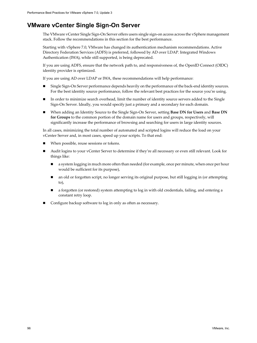# **VMware vCenter Single Sign-On Server**

The VMware vCenter Single Sign-On Server offers users single sign-on access across the vSphere management stack. Follow the recommendations in this section for the best performance.

Starting with vSphere 7.0, VMware has changed its authentication mechanism recommendations. Active Directory Federation Services (ADFS) is preferred, followed by AD over LDAP. Integrated Windows Authentication (IWA), while still supported, is being deprecated.

If you are using ADFS, ensure that the network path to, and responsiveness of, the OpenID Connect (OIDC) identity provider is optimized.

If you are using AD over LDAP or IWA, these recommendations will help performance:

- Single Sign-On Server performance depends heavily on the performance of the back-end identity sources. For the best identity source performance, follow the relevant best practices for the source you're using.
- In order to minimize search overhead, limit the number of identity source servers added to the Single Sign-On Server. Ideally, you would specify just a primary and a secondary for each domain.
- When adding an Identity Source to the Single Sign-On Server, setting **Base DN for Users** and **Base DN for Groups** to the common portion of the domain name for users and groups, respectively, will significantly increase the performance of browsing and searching for users in large identity sources.

In all cases, minimizing the total number of automated and scripted logins will reduce the load on your vCenter Server and, in most cases, speed up your scripts. To that end:

- When possible, reuse sessions or tokens.
- Audit logins to your vCenter Server to determine if they're all necessary or even still relevant. Look for things like:
	- system logging in much more often than needed (for example, once per minute, when once per hour would be sufficient for its purpose),
	- an old or forgotten script, no longer serving its original purpose, but still logging in (or attempting to),
	- a forgotten (or restored) system attempting to log in with old credentials, failing, and entering a constant retry loop.
- Configure backup software to log in only as often as necessary.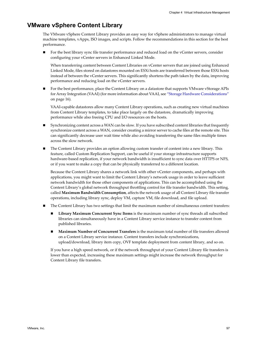# **VMware vSphere Content Library**

The VMware vSphere Content Library provides an easy way for vSphere administrators to manage virtual machine templates, vApps, ISO images, and scripts. Follow the recommendations in this section for the best performance.

**For the best library sync file transfer performance and reduced load on the vCenter servers, consider** configuring your vCenter servers in Enhanced Linked Mode.

When transferring content between Content Libraries on vCenter servers that are joined using Enhanced Linked Mode, files stored on datastores mounted on ESXi hosts are transferred between those ESXi hosts instead of between the vCenter servers. This significantly shortens the path taken by the data, improving performance and reducing load on the vCenter servers.

 For the best performance, place the Content Library on a datastore that supports VMware vStorage APIs for Array Integration (VAAI) (for more information about VAAI, see ["Storage Hardware Considerations"](#page-15-0) [on page 16\)](#page-15-0).

VAAI-capable datastores allow many Content Library operations, such as creating new virtual machines from Content Library templates, to take place largely on the datastore, dramatically improving performance while also freeing CPU and I/O resources on the hosts.

- Synchronizing content across a WAN can be slow. If you have subscribed content libraries that frequently synchronize content across a WAN, consider creating a mirror server to cache files at the remote site. This can significantly decrease user wait time while also avoiding transferring the same files multiple times across the slow network.
- The Content Library provides an option allowing custom transfer of content into a new library. This feature, called Custom Replication Support, can be useful if your storage infrastructure supports hardware-based replication, if your network bandwidth is insufficient to sync data over HTTPS or NFS, or if you want to make a copy that can be physically transferred to a different location.

Because the Content Library shares a network link with other vCenter components, and perhaps with applications, you might want to limit the Content Library's network usage in order to leave sufficient network bandwidth for those other components of applications. This can be accomplished using the Content Library's global network throughput throttling control for file transfer bandwidth. This setting, called **Maximum Bandwidth Consumption**, affects the network usage of all Content Library file transfer operations, including library sync, deploy VM, capture VM, file download, and file upload.

- The Content Library has two settings that limit the maximum number of simultaneous content transfers:
	- **Library Maximum Concurrent Sync Items** is the maximum number of sync threads all subscribed libraries can simultaneously have in a Content Library service instance to transfer content from published libraries.
	- **Maximum Number of Concurrent Transfers** is the maximum total number of file transfers allowed on a Content Library service instance. Content transfers include synchronizations, upload/download, library item copy, OVF template deployment from content library, and so on.

If you have a high speed network, or if the network throughput of your Content Library file transfers is lower than expected, increasing these maximum settings might increase the network throughput for Content Library file transfers.